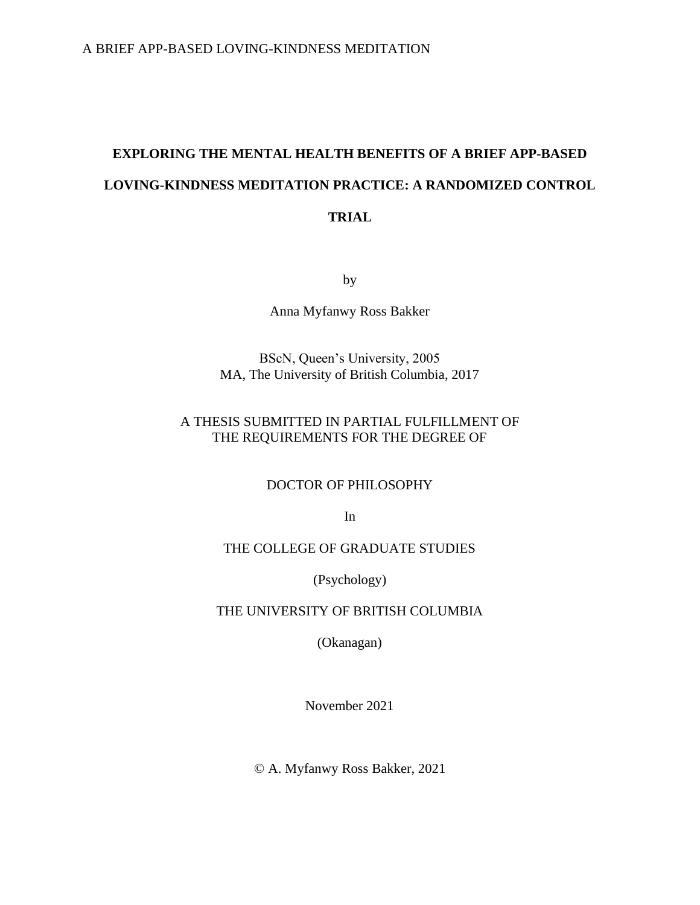# **EXPLORING THE MENTAL HEALTH BENEFITS OF A BRIEF APP-BASED LOVING-KINDNESS MEDITATION PRACTICE: A RANDOMIZED CONTROL TRIAL**

by

Anna Myfanwy Ross Bakker

# BScN, Queen's University, 2005 MA, The University of British Columbia, 2017

# A THESIS SUBMITTED IN PARTIAL FULFILLMENT OF THE REQUIREMENTS FOR THE DEGREE OF

# DOCTOR OF PHILOSOPHY

In

# THE COLLEGE OF GRADUATE STUDIES

(Psychology)

### THE UNIVERSITY OF BRITISH COLUMBIA

(Okanagan)

November 2021

© A. Myfanwy Ross Bakker, 2021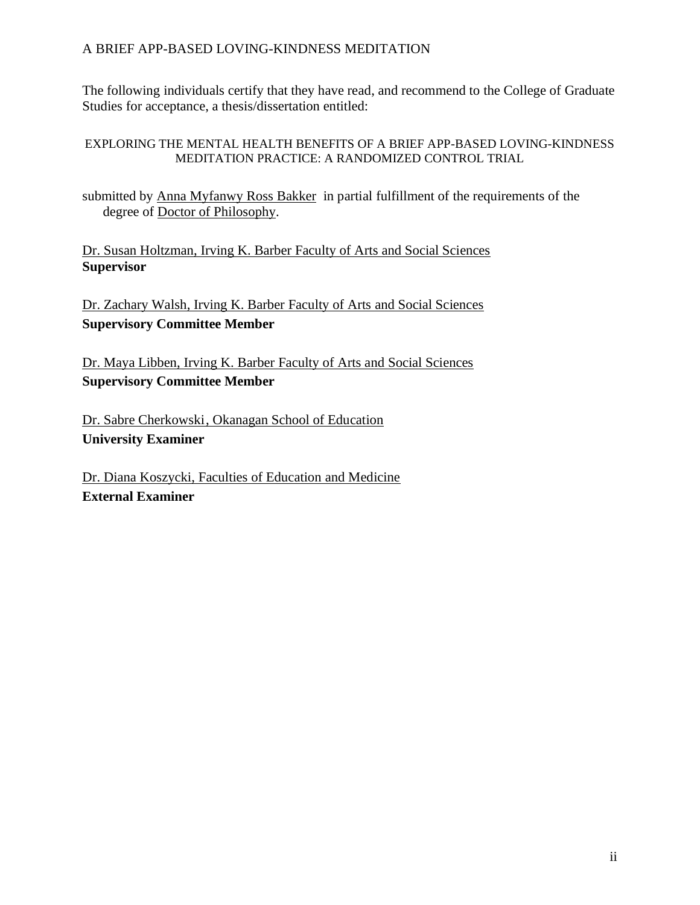The following individuals certify that they have read, and recommend to the College of Graduate Studies for acceptance, a thesis/dissertation entitled:

### EXPLORING THE MENTAL HEALTH BENEFITS OF A BRIEF APP-BASED LOVING-KINDNESS MEDITATION PRACTICE: A RANDOMIZED CONTROL TRIAL

submitted by Anna Myfanwy Ross Bakker in partial fulfillment of the requirements of the degree of Doctor of Philosophy.

Dr. Susan Holtzman, Irving K. Barber Faculty of Arts and Social Sciences **Supervisor**

Dr. Zachary Walsh, Irving K. Barber Faculty of Arts and Social Sciences **Supervisory Committee Member**

Dr. Maya Libben, Irving K. Barber Faculty of Arts and Social Sciences **Supervisory Committee Member**

Dr. Sabre Cherkowski, Okanagan School of Education **University Examiner**

Dr. Diana Koszycki, Faculties of Education and Medicine **External Examiner**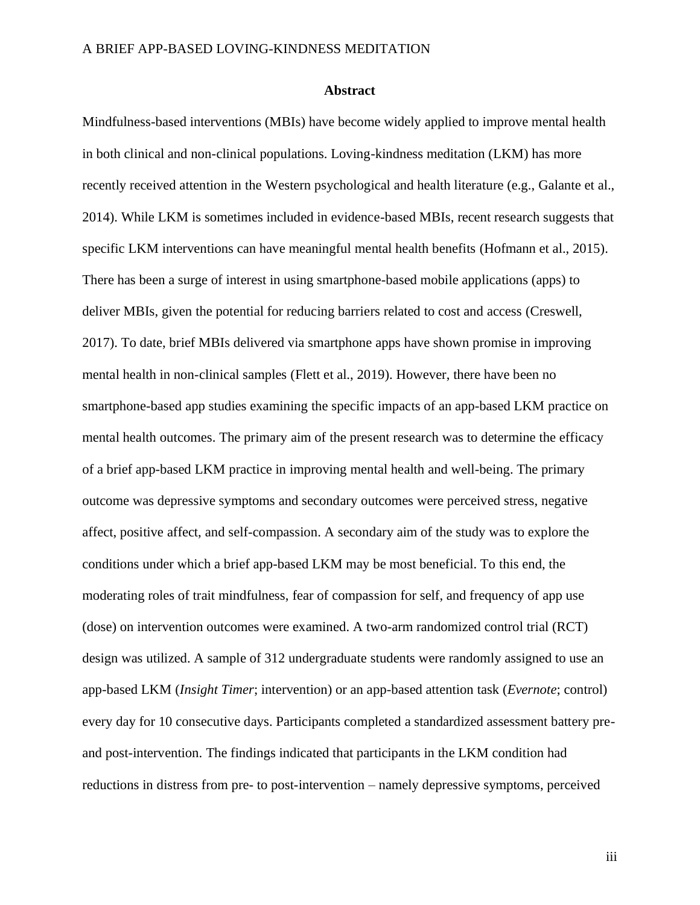#### **Abstract**

Mindfulness-based interventions (MBIs) have become widely applied to improve mental health in both clinical and non-clinical populations. Loving-kindness meditation (LKM) has more recently received attention in the Western psychological and health literature (e.g., Galante et al., 2014). While LKM is sometimes included in evidence-based MBIs, recent research suggests that specific LKM interventions can have meaningful mental health benefits (Hofmann et al., 2015). There has been a surge of interest in using smartphone-based mobile applications (apps) to deliver MBIs, given the potential for reducing barriers related to cost and access (Creswell, 2017). To date, brief MBIs delivered via smartphone apps have shown promise in improving mental health in non-clinical samples (Flett et al., 2019). However, there have been no smartphone-based app studies examining the specific impacts of an app-based LKM practice on mental health outcomes. The primary aim of the present research was to determine the efficacy of a brief app-based LKM practice in improving mental health and well-being. The primary outcome was depressive symptoms and secondary outcomes were perceived stress, negative affect, positive affect, and self-compassion. A secondary aim of the study was to explore the conditions under which a brief app-based LKM may be most beneficial. To this end, the moderating roles of trait mindfulness, fear of compassion for self, and frequency of app use (dose) on intervention outcomes were examined. A two-arm randomized control trial (RCT) design was utilized. A sample of 312 undergraduate students were randomly assigned to use an app-based LKM (*Insight Timer*; intervention) or an app-based attention task (*Evernote*; control) every day for 10 consecutive days. Participants completed a standardized assessment battery preand post-intervention. The findings indicated that participants in the LKM condition had reductions in distress from pre- to post-intervention – namely depressive symptoms, perceived

iii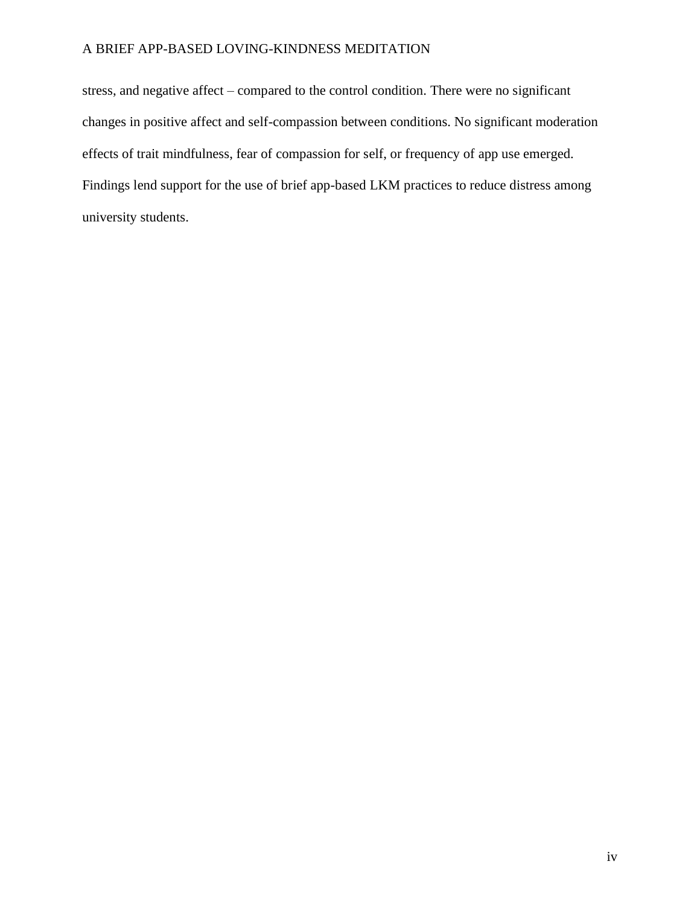stress, and negative affect – compared to the control condition. There were no significant changes in positive affect and self-compassion between conditions. No significant moderation effects of trait mindfulness, fear of compassion for self, or frequency of app use emerged. Findings lend support for the use of brief app-based LKM practices to reduce distress among university students.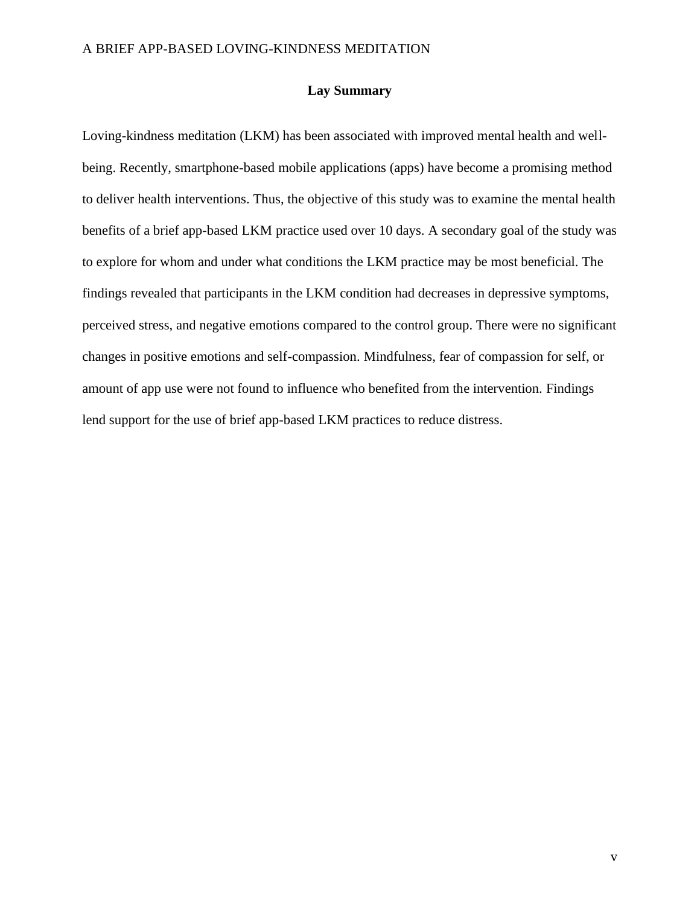### **Lay Summary**

Loving-kindness meditation (LKM) has been associated with improved mental health and wellbeing. Recently, smartphone-based mobile applications (apps) have become a promising method to deliver health interventions. Thus, the objective of this study was to examine the mental health benefits of a brief app-based LKM practice used over 10 days. A secondary goal of the study was to explore for whom and under what conditions the LKM practice may be most beneficial. The findings revealed that participants in the LKM condition had decreases in depressive symptoms, perceived stress, and negative emotions compared to the control group. There were no significant changes in positive emotions and self-compassion. Mindfulness, fear of compassion for self, or amount of app use were not found to influence who benefited from the intervention. Findings lend support for the use of brief app-based LKM practices to reduce distress.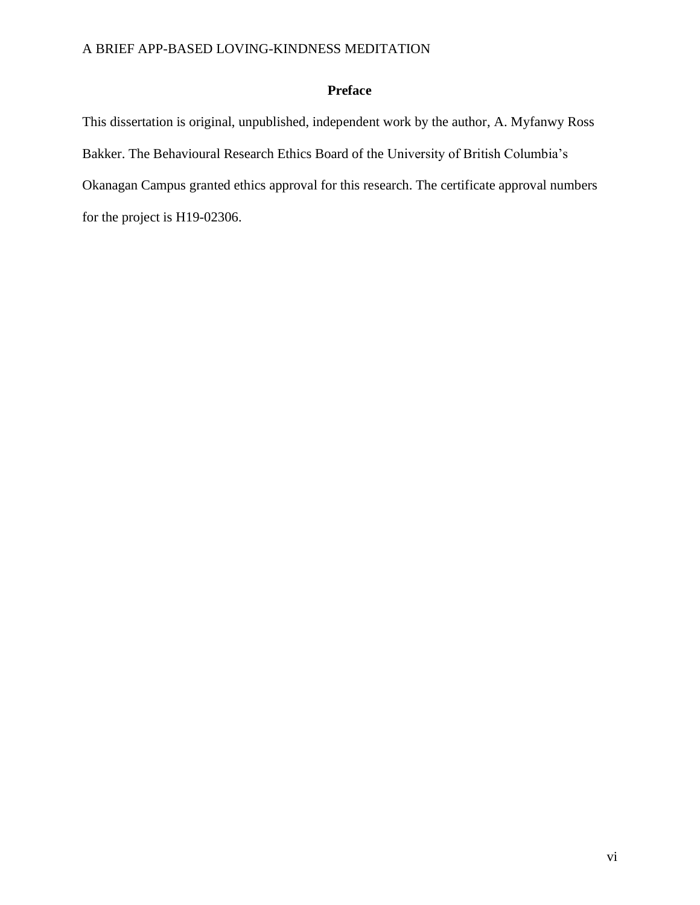# **Preface**

This dissertation is original, unpublished, independent work by the author, A. Myfanwy Ross Bakker. The Behavioural Research Ethics Board of the University of British Columbia's Okanagan Campus granted ethics approval for this research. The certificate approval numbers for the project is H19-02306.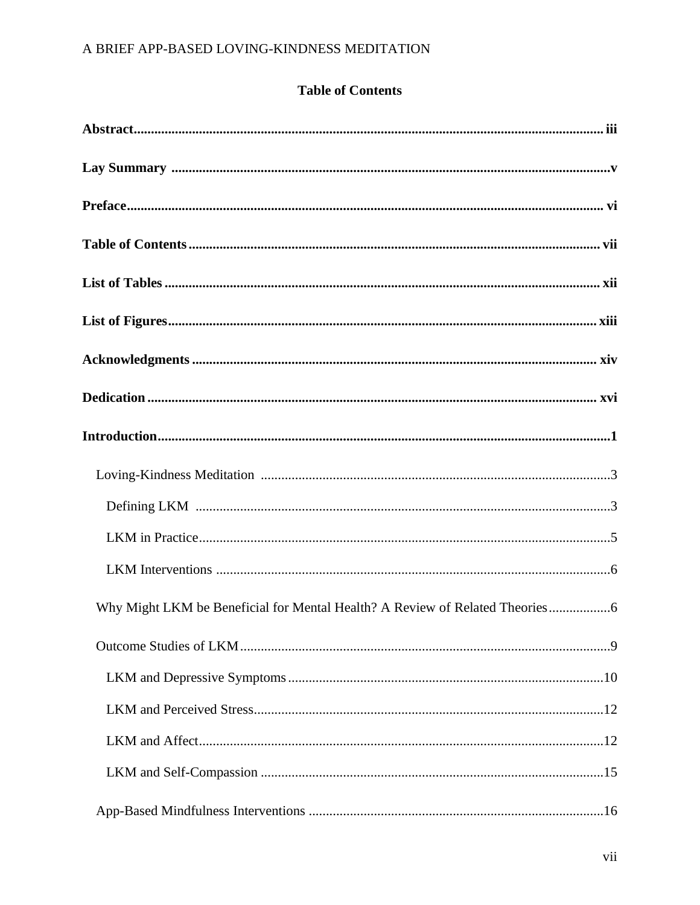# **Table of Contents**

| Why Might LKM be Beneficial for Mental Health? A Review of Related Theories |
|-----------------------------------------------------------------------------|
|                                                                             |
|                                                                             |
|                                                                             |
|                                                                             |
|                                                                             |
|                                                                             |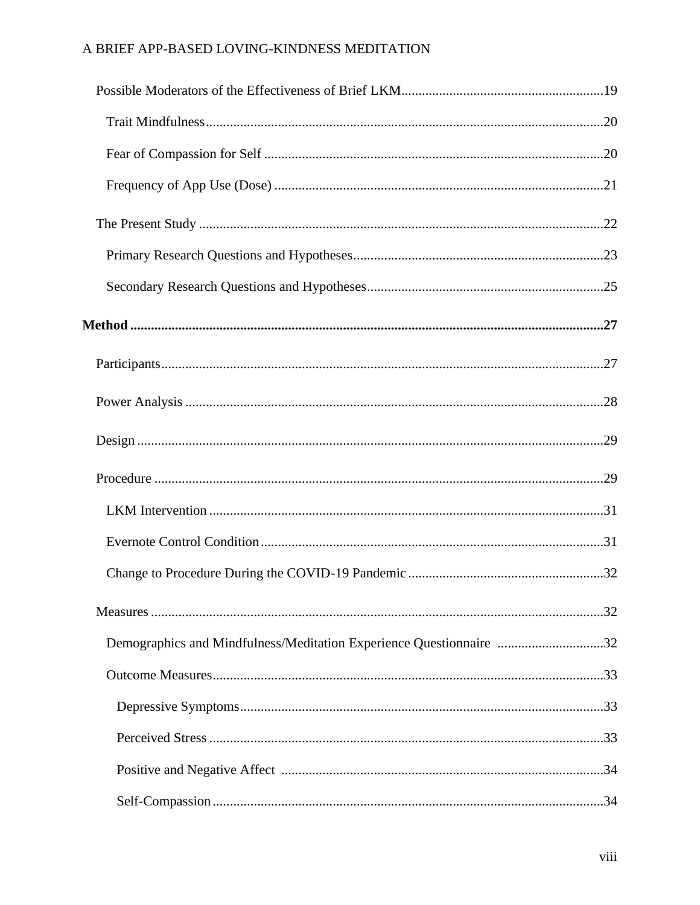| Demographics and Mindfulness/Meditation Experience Questionnaire 32 |  |
|---------------------------------------------------------------------|--|
|                                                                     |  |
|                                                                     |  |
|                                                                     |  |
|                                                                     |  |
|                                                                     |  |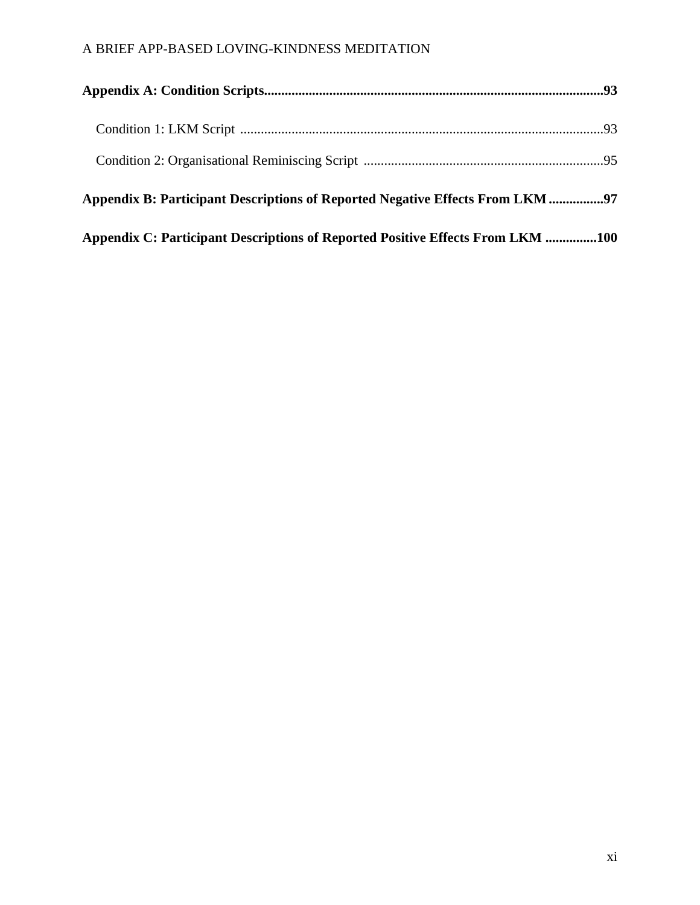| Appendix B: Participant Descriptions of Reported Negative Effects From LKM 97  |  |
|--------------------------------------------------------------------------------|--|
| Appendix C: Participant Descriptions of Reported Positive Effects From LKM 100 |  |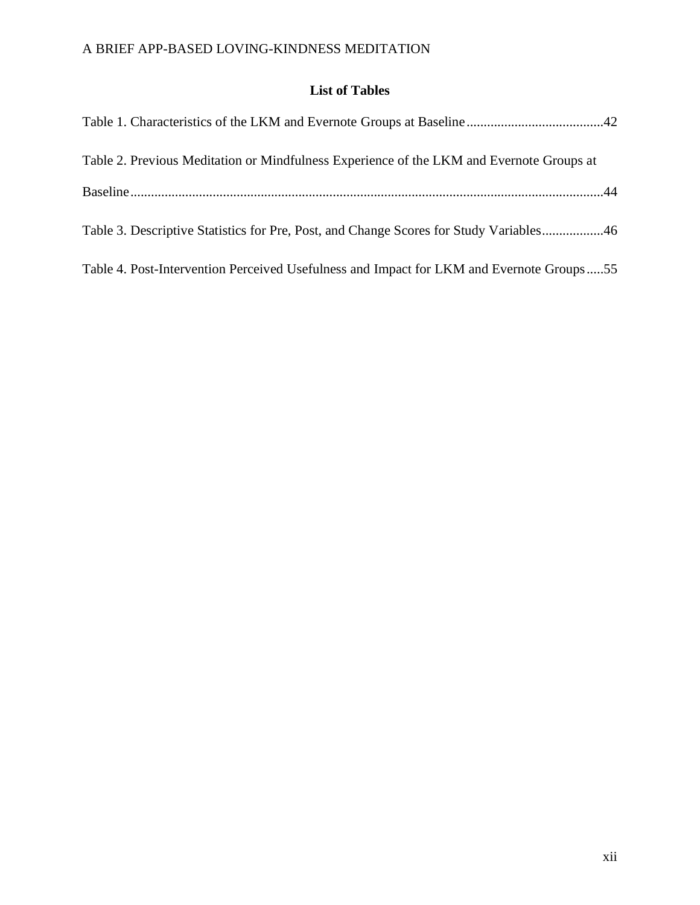# **List of Tables**

| Table 2. Previous Meditation or Mindfulness Experience of the LKM and Evernote Groups at |
|------------------------------------------------------------------------------------------|
|                                                                                          |
| Table 3. Descriptive Statistics for Pre, Post, and Change Scores for Study Variables46   |
| Table 4. Post-Intervention Perceived Usefulness and Impact for LKM and Evernote Groups55 |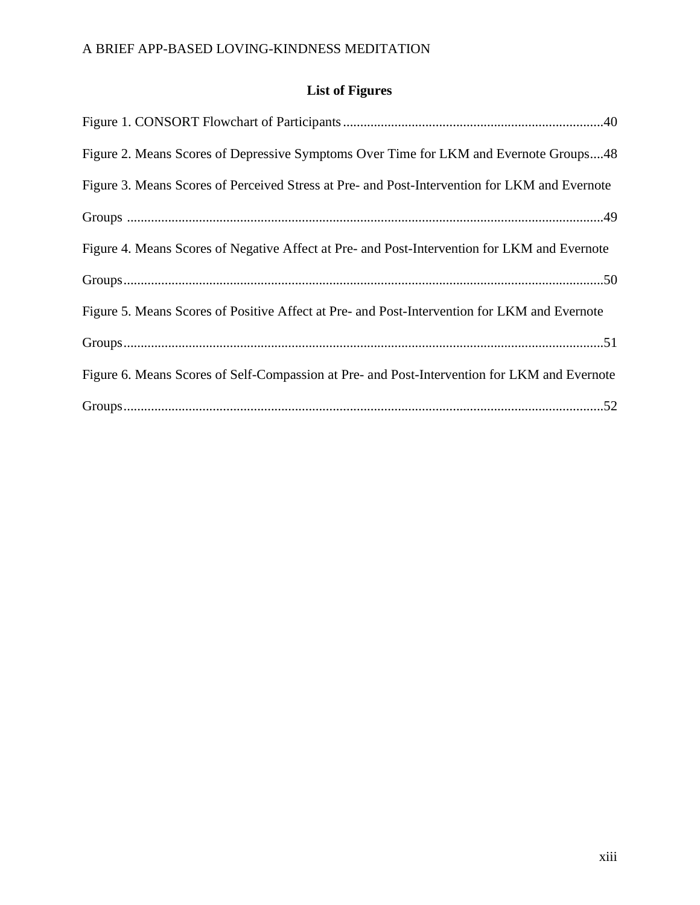# **List of Figures**

| Figure 2. Means Scores of Depressive Symptoms Over Time for LKM and Evernote Groups48         |
|-----------------------------------------------------------------------------------------------|
| Figure 3. Means Scores of Perceived Stress at Pre- and Post-Intervention for LKM and Evernote |
|                                                                                               |
| Figure 4. Means Scores of Negative Affect at Pre- and Post-Intervention for LKM and Evernote  |
|                                                                                               |
| Figure 5. Means Scores of Positive Affect at Pre- and Post-Intervention for LKM and Evernote  |
|                                                                                               |
| Figure 6. Means Scores of Self-Compassion at Pre- and Post-Intervention for LKM and Evernote  |
|                                                                                               |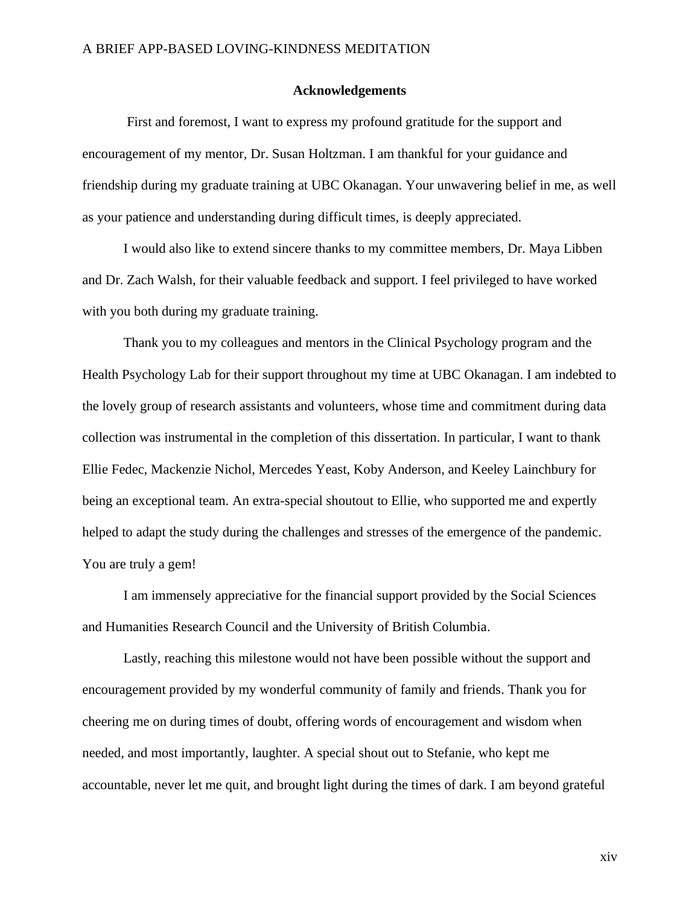#### **Acknowledgements**

First and foremost, I want to express my profound gratitude for the support and encouragement of my mentor, Dr. Susan Holtzman. I am thankful for your guidance and friendship during my graduate training at UBC Okanagan. Your unwavering belief in me, as well as your patience and understanding during difficult times, is deeply appreciated.

I would also like to extend sincere thanks to my committee members, Dr. Maya Libben and Dr. Zach Walsh, for their valuable feedback and support. I feel privileged to have worked with you both during my graduate training.

Thank you to my colleagues and mentors in the Clinical Psychology program and the Health Psychology Lab for their support throughout my time at UBC Okanagan. I am indebted to the lovely group of research assistants and volunteers, whose time and commitment during data collection was instrumental in the completion of this dissertation. In particular, I want to thank Ellie Fedec, Mackenzie Nichol, Mercedes Yeast, Koby Anderson, and Keeley Lainchbury for being an exceptional team. An extra-special shoutout to Ellie, who supported me and expertly helped to adapt the study during the challenges and stresses of the emergence of the pandemic. You are truly a gem!

I am immensely appreciative for the financial support provided by the Social Sciences and Humanities Research Council and the University of British Columbia.

Lastly, reaching this milestone would not have been possible without the support and encouragement provided by my wonderful community of family and friends. Thank you for cheering me on during times of doubt, offering words of encouragement and wisdom when needed, and most importantly, laughter. A special shout out to Stefanie, who kept me accountable, never let me quit, and brought light during the times of dark. I am beyond grateful

xiv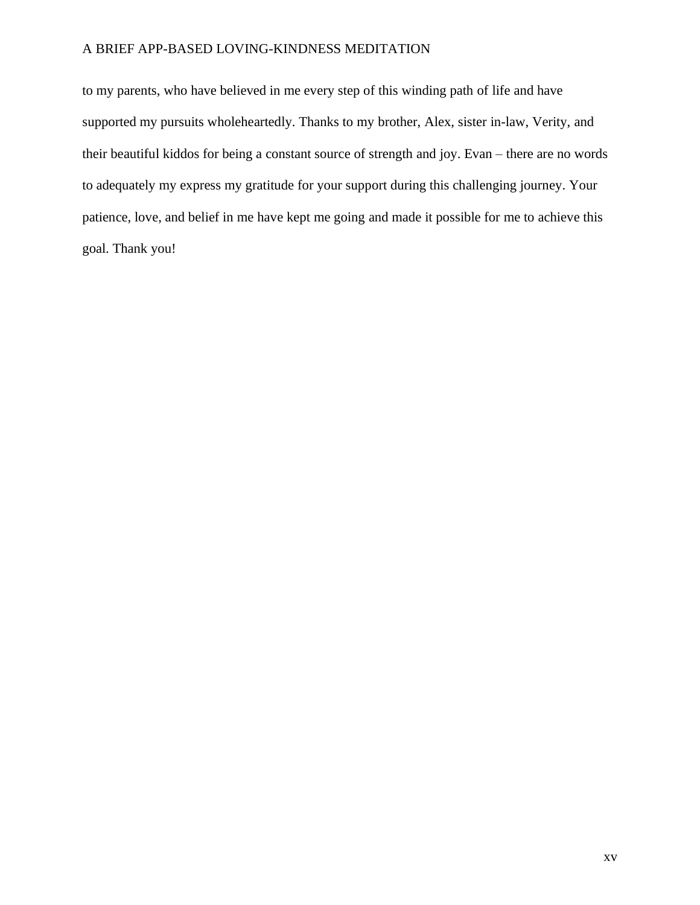to my parents, who have believed in me every step of this winding path of life and have supported my pursuits wholeheartedly. Thanks to my brother, Alex, sister in-law, Verity, and their beautiful kiddos for being a constant source of strength and joy. Evan – there are no words to adequately my express my gratitude for your support during this challenging journey. Your patience, love, and belief in me have kept me going and made it possible for me to achieve this goal. Thank you!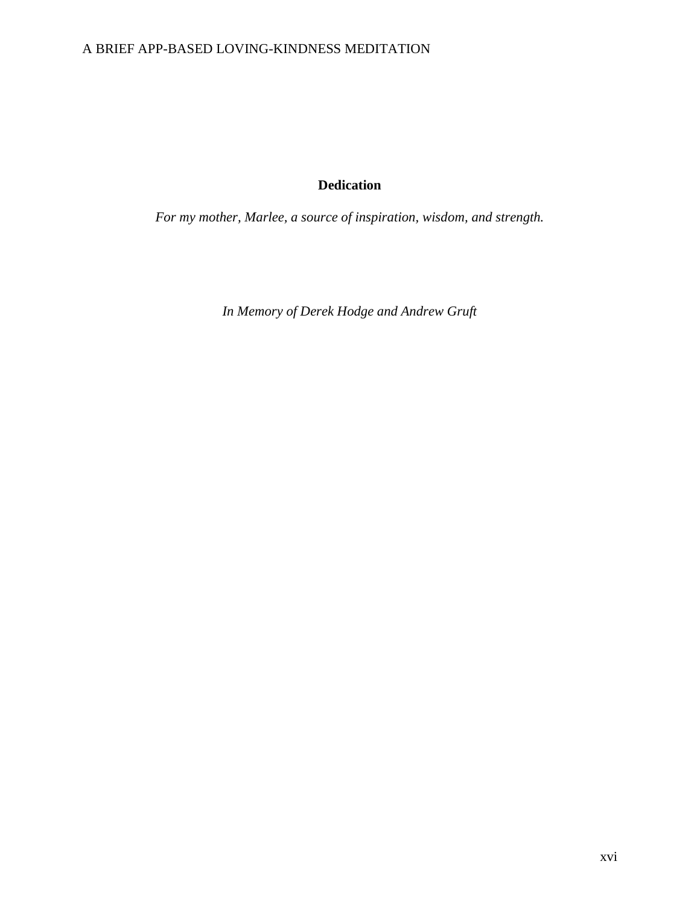# **Dedication**

*For my mother, Marlee, a source of inspiration, wisdom, and strength.*

*In Memory of Derek Hodge and Andrew Gruft*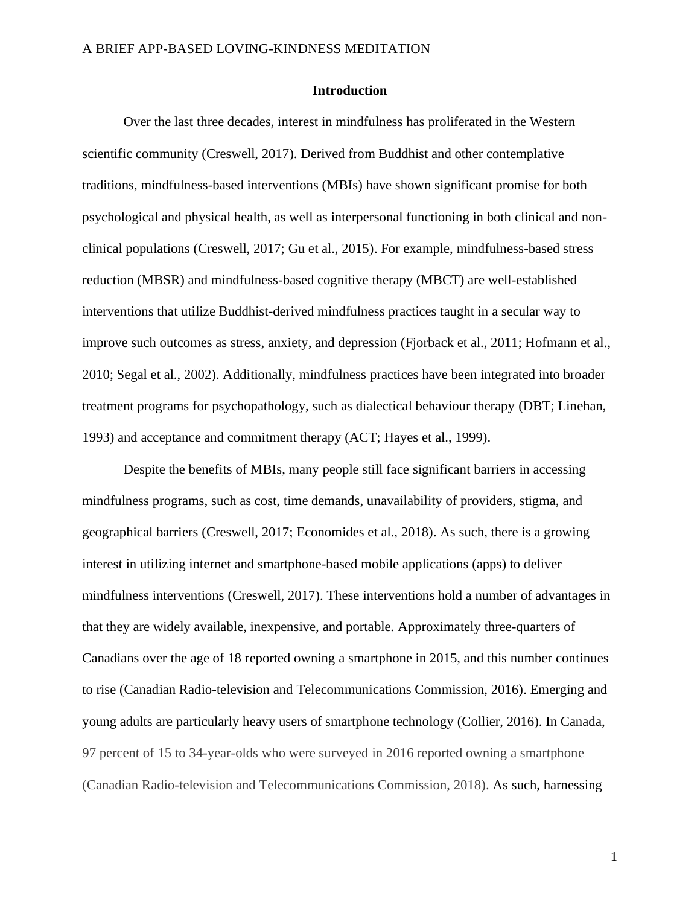### **Introduction**

Over the last three decades, interest in mindfulness has proliferated in the Western scientific community (Creswell, 2017). Derived from Buddhist and other contemplative traditions, mindfulness-based interventions (MBIs) have shown significant promise for both psychological and physical health, as well as interpersonal functioning in both clinical and nonclinical populations (Creswell, 2017; Gu et al., 2015). For example, mindfulness-based stress reduction (MBSR) and mindfulness-based cognitive therapy (MBCT) are well-established interventions that utilize Buddhist-derived mindfulness practices taught in a secular way to improve such outcomes as stress, anxiety, and depression (Fjorback et al., 2011; Hofmann et al., 2010; Segal et al., 2002). Additionally, mindfulness practices have been integrated into broader treatment programs for psychopathology, such as dialectical behaviour therapy (DBT; Linehan, 1993) and acceptance and commitment therapy (ACT; Hayes et al., 1999).

Despite the benefits of MBIs, many people still face significant barriers in accessing mindfulness programs, such as cost, time demands, unavailability of providers, stigma, and geographical barriers (Creswell, 2017; Economides et al., 2018). As such, there is a growing interest in utilizing internet and smartphone-based mobile applications (apps) to deliver mindfulness interventions (Creswell, 2017). These interventions hold a number of advantages in that they are widely available, inexpensive, and portable. Approximately three-quarters of Canadians over the age of 18 reported owning a smartphone in 2015, and this number continues to rise (Canadian Radio-television and Telecommunications Commission, 2016). Emerging and young adults are particularly heavy users of smartphone technology (Collier, 2016). In Canada, 97 percent of 15 to 34-year-olds who were surveyed in 2016 reported owning a smartphone (Canadian Radio-television and Telecommunications Commission, 2018). As such, harnessing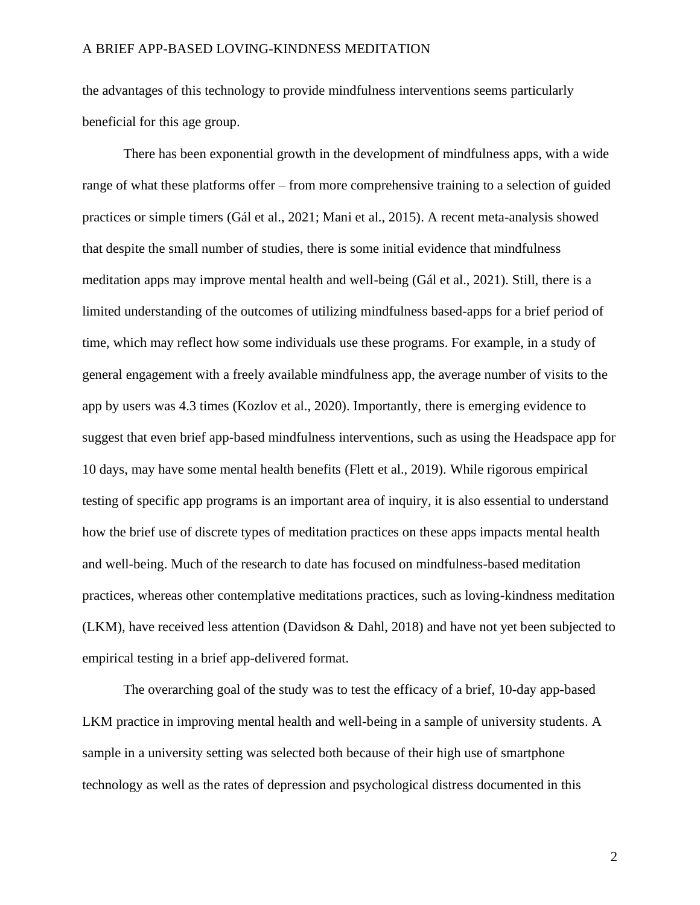the advantages of this technology to provide mindfulness interventions seems particularly beneficial for this age group.

There has been exponential growth in the development of mindfulness apps, with a wide range of what these platforms offer – from more comprehensive training to a selection of guided practices or simple timers (Gál et al., 2021; Mani et al., 2015). A recent meta-analysis showed that despite the small number of studies, there is some initial evidence that mindfulness meditation apps may improve mental health and well-being (Gál et al., 2021). Still, there is a limited understanding of the outcomes of utilizing mindfulness based-apps for a brief period of time, which may reflect how some individuals use these programs. For example, in a study of general engagement with a freely available mindfulness app, the average number of visits to the app by users was 4.3 times (Kozlov et al., 2020). Importantly, there is emerging evidence to suggest that even brief app-based mindfulness interventions, such as using the Headspace app for 10 days, may have some mental health benefits (Flett et al., 2019). While rigorous empirical testing of specific app programs is an important area of inquiry, it is also essential to understand how the brief use of discrete types of meditation practices on these apps impacts mental health and well-being. Much of the research to date has focused on mindfulness-based meditation practices, whereas other contemplative meditations practices, such as loving-kindness meditation (LKM), have received less attention (Davidson & Dahl, 2018) and have not yet been subjected to empirical testing in a brief app-delivered format.

The overarching goal of the study was to test the efficacy of a brief, 10-day app-based LKM practice in improving mental health and well-being in a sample of university students. A sample in a university setting was selected both because of their high use of smartphone technology as well as the rates of depression and psychological distress documented in this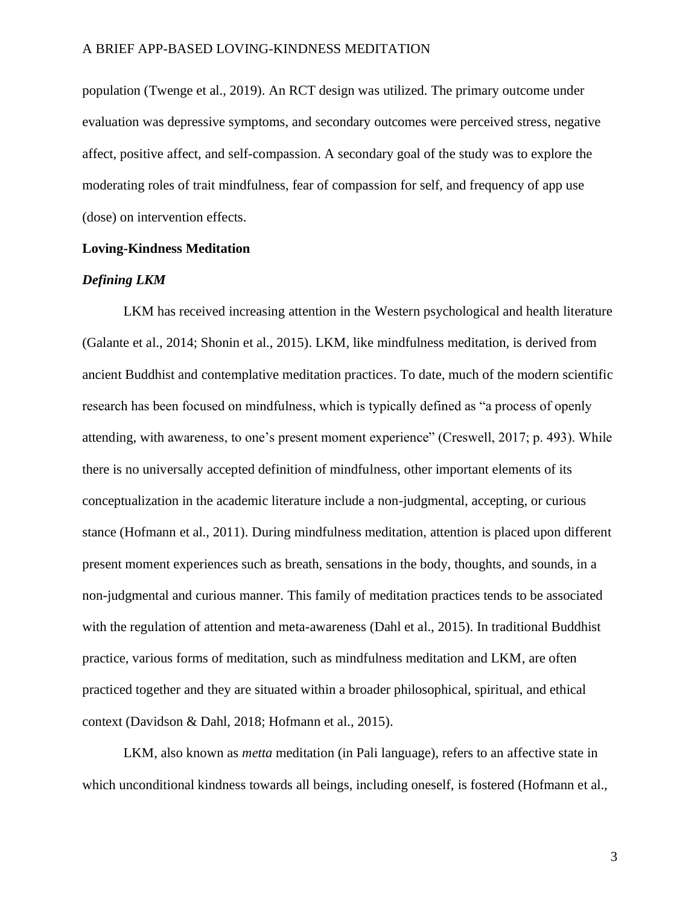population (Twenge et al., 2019). An RCT design was utilized. The primary outcome under evaluation was depressive symptoms, and secondary outcomes were perceived stress, negative affect, positive affect, and self-compassion. A secondary goal of the study was to explore the moderating roles of trait mindfulness, fear of compassion for self, and frequency of app use (dose) on intervention effects.

#### **Loving-Kindness Meditation**

### *Defining LKM*

LKM has received increasing attention in the Western psychological and health literature (Galante et al., 2014; Shonin et al., 2015). LKM, like mindfulness meditation, is derived from ancient Buddhist and contemplative meditation practices. To date, much of the modern scientific research has been focused on mindfulness, which is typically defined as "a process of openly attending, with awareness, to one's present moment experience" (Creswell, 2017; p. 493). While there is no universally accepted definition of mindfulness, other important elements of its conceptualization in the academic literature include a non-judgmental, accepting, or curious stance (Hofmann et al., 2011). During mindfulness meditation, attention is placed upon different present moment experiences such as breath, sensations in the body, thoughts, and sounds, in a non-judgmental and curious manner. This family of meditation practices tends to be associated with the regulation of attention and meta-awareness (Dahl et al., 2015). In traditional Buddhist practice, various forms of meditation, such as mindfulness meditation and LKM, are often practiced together and they are situated within a broader philosophical, spiritual, and ethical context (Davidson & Dahl, 2018; Hofmann et al., 2015).

LKM, also known as *metta* meditation (in Pali language), refers to an affective state in which unconditional kindness towards all beings, including oneself, is fostered (Hofmann et al.,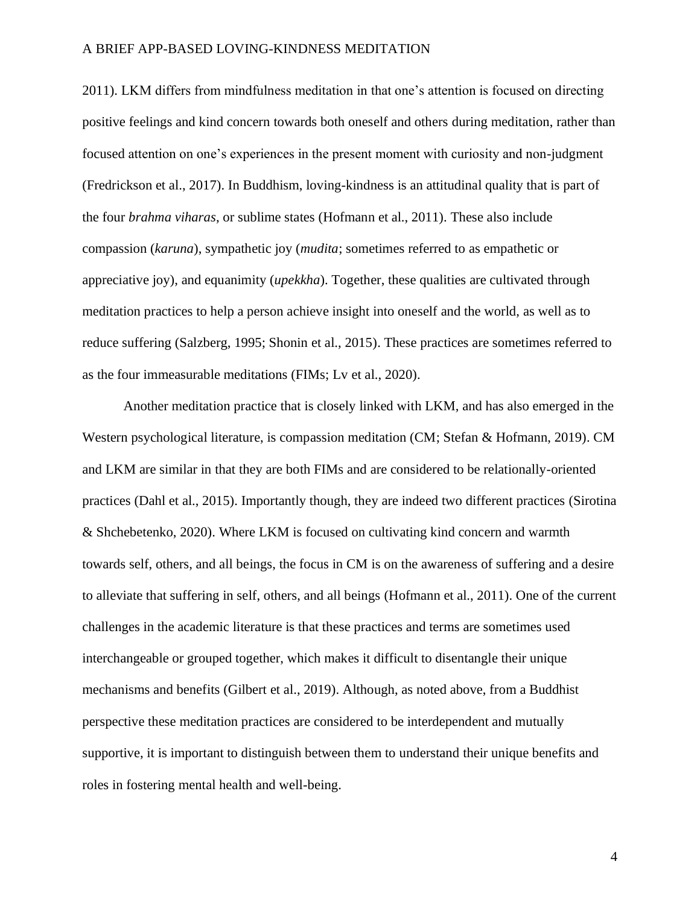2011). LKM differs from mindfulness meditation in that one's attention is focused on directing positive feelings and kind concern towards both oneself and others during meditation, rather than focused attention on one's experiences in the present moment with curiosity and non-judgment (Fredrickson et al., 2017). In Buddhism, loving-kindness is an attitudinal quality that is part of the four *brahma viharas*, or sublime states (Hofmann et al., 2011). These also include compassion (*karuna*), sympathetic joy (*mudita*; sometimes referred to as empathetic or appreciative joy), and equanimity (*upekkha*). Together, these qualities are cultivated through meditation practices to help a person achieve insight into oneself and the world, as well as to reduce suffering (Salzberg, 1995; Shonin et al., 2015). These practices are sometimes referred to as the four immeasurable meditations (FIMs; Lv et al., 2020).

Another meditation practice that is closely linked with LKM, and has also emerged in the Western psychological literature, is compassion meditation (CM; Stefan & Hofmann, 2019). CM and LKM are similar in that they are both FIMs and are considered to be relationally-oriented practices (Dahl et al., 2015). Importantly though, they are indeed two different practices (Sirotina & Shchebetenko, 2020). Where LKM is focused on cultivating kind concern and warmth towards self, others, and all beings, the focus in CM is on the awareness of suffering and a desire to alleviate that suffering in self, others, and all beings (Hofmann et al., 2011). One of the current challenges in the academic literature is that these practices and terms are sometimes used interchangeable or grouped together, which makes it difficult to disentangle their unique mechanisms and benefits (Gilbert et al., 2019). Although, as noted above, from a Buddhist perspective these meditation practices are considered to be interdependent and mutually supportive, it is important to distinguish between them to understand their unique benefits and roles in fostering mental health and well-being.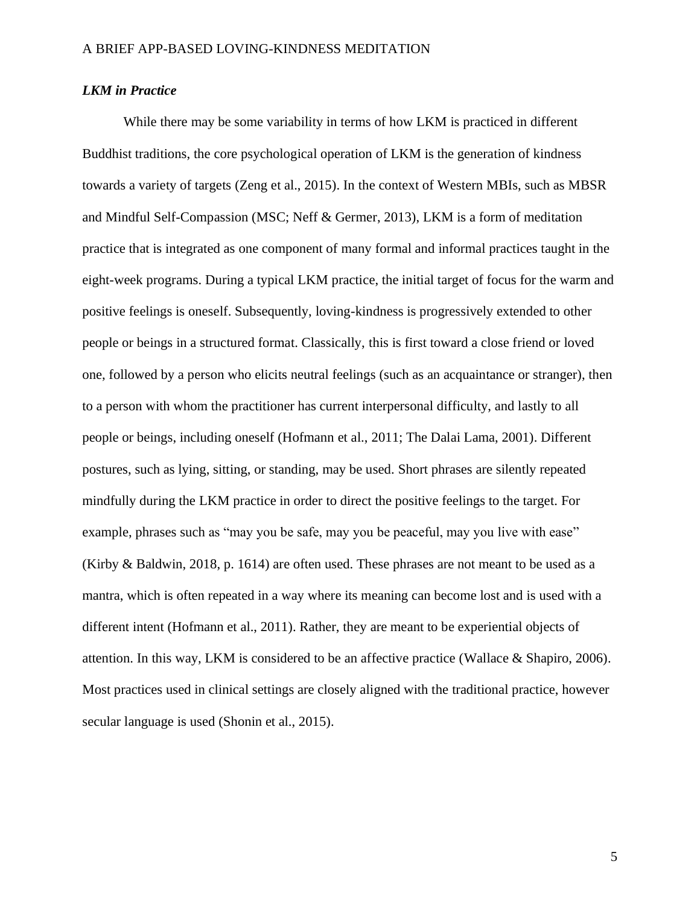### *LKM in Practice*

While there may be some variability in terms of how LKM is practiced in different Buddhist traditions, the core psychological operation of LKM is the generation of kindness towards a variety of targets (Zeng et al., 2015). In the context of Western MBIs, such as MBSR and Mindful Self-Compassion (MSC; Neff & Germer, 2013), LKM is a form of meditation practice that is integrated as one component of many formal and informal practices taught in the eight-week programs. During a typical LKM practice, the initial target of focus for the warm and positive feelings is oneself. Subsequently, loving-kindness is progressively extended to other people or beings in a structured format. Classically, this is first toward a close friend or loved one, followed by a person who elicits neutral feelings (such as an acquaintance or stranger), then to a person with whom the practitioner has current interpersonal difficulty, and lastly to all people or beings, including oneself (Hofmann et al., 2011; The Dalai Lama, 2001). Different postures, such as lying, sitting, or standing, may be used. Short phrases are silently repeated mindfully during the LKM practice in order to direct the positive feelings to the target. For example, phrases such as "may you be safe, may you be peaceful, may you live with ease" (Kirby & Baldwin, 2018, p. 1614) are often used. These phrases are not meant to be used as a mantra, which is often repeated in a way where its meaning can become lost and is used with a different intent (Hofmann et al., 2011). Rather, they are meant to be experiential objects of attention. In this way, LKM is considered to be an affective practice (Wallace & Shapiro, 2006). Most practices used in clinical settings are closely aligned with the traditional practice, however secular language is used (Shonin et al., 2015).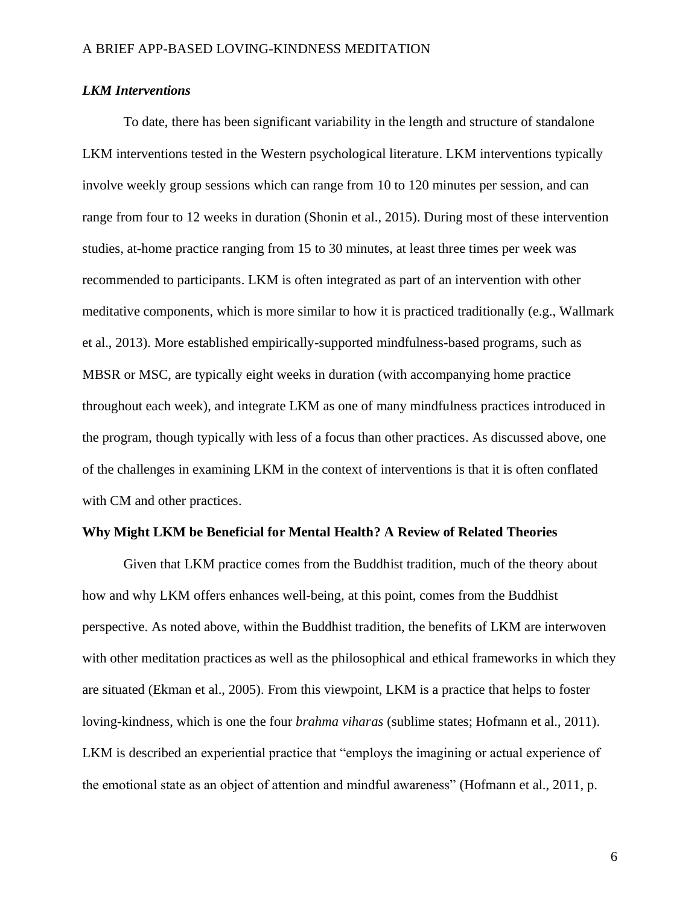### *LKM Interventions*

To date, there has been significant variability in the length and structure of standalone LKM interventions tested in the Western psychological literature. LKM interventions typically involve weekly group sessions which can range from 10 to 120 minutes per session, and can range from four to 12 weeks in duration (Shonin et al., 2015). During most of these intervention studies, at-home practice ranging from 15 to 30 minutes, at least three times per week was recommended to participants. LKM is often integrated as part of an intervention with other meditative components, which is more similar to how it is practiced traditionally (e.g., Wallmark et al., 2013). More established empirically-supported mindfulness-based programs, such as MBSR or MSC, are typically eight weeks in duration (with accompanying home practice throughout each week), and integrate LKM as one of many mindfulness practices introduced in the program, though typically with less of a focus than other practices. As discussed above, one of the challenges in examining LKM in the context of interventions is that it is often conflated with CM and other practices.

#### **Why Might LKM be Beneficial for Mental Health? A Review of Related Theories**

Given that LKM practice comes from the Buddhist tradition, much of the theory about how and why LKM offers enhances well-being, at this point, comes from the Buddhist perspective. As noted above, within the Buddhist tradition, the benefits of LKM are interwoven with other meditation practices as well as the philosophical and ethical frameworks in which they are situated (Ekman et al., 2005). From this viewpoint, LKM is a practice that helps to foster loving-kindness, which is one the four *brahma viharas* (sublime states; Hofmann et al., 2011). LKM is described an experiential practice that "employs the imagining or actual experience of the emotional state as an object of attention and mindful awareness" (Hofmann et al., 2011, p.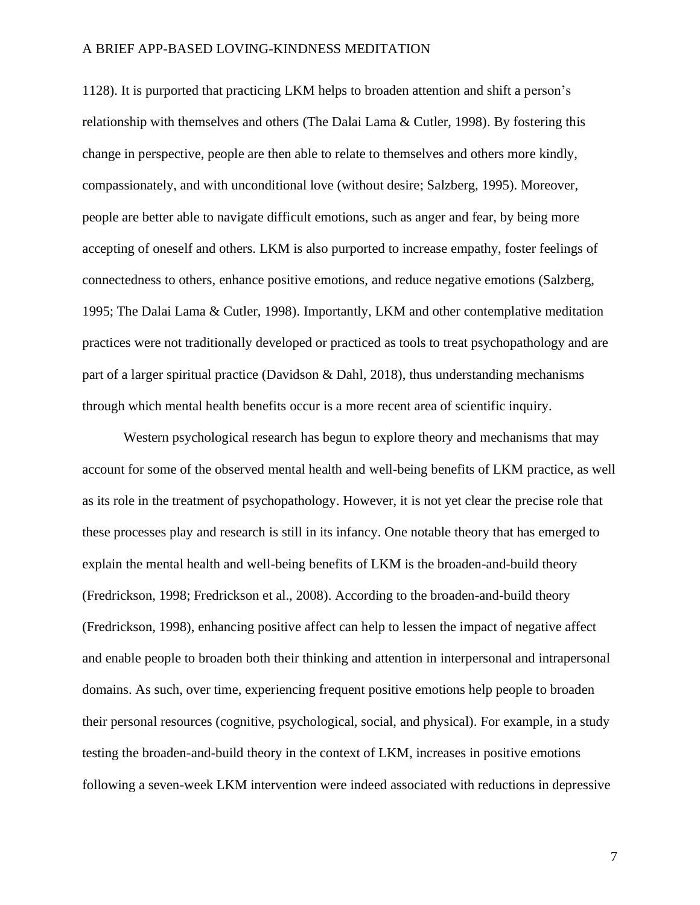1128). It is purported that practicing LKM helps to broaden attention and shift a person's relationship with themselves and others (The Dalai Lama & Cutler, 1998). By fostering this change in perspective, people are then able to relate to themselves and others more kindly, compassionately, and with unconditional love (without desire; Salzberg, 1995). Moreover, people are better able to navigate difficult emotions, such as anger and fear, by being more accepting of oneself and others. LKM is also purported to increase empathy, foster feelings of connectedness to others, enhance positive emotions, and reduce negative emotions (Salzberg, 1995; The Dalai Lama & Cutler, 1998). Importantly, LKM and other contemplative meditation practices were not traditionally developed or practiced as tools to treat psychopathology and are part of a larger spiritual practice (Davidson & Dahl, 2018), thus understanding mechanisms through which mental health benefits occur is a more recent area of scientific inquiry.

Western psychological research has begun to explore theory and mechanisms that may account for some of the observed mental health and well-being benefits of LKM practice, as well as its role in the treatment of psychopathology. However, it is not yet clear the precise role that these processes play and research is still in its infancy. One notable theory that has emerged to explain the mental health and well-being benefits of LKM is the broaden-and-build theory (Fredrickson, 1998; Fredrickson et al., 2008). According to the broaden-and-build theory (Fredrickson, 1998), enhancing positive affect can help to lessen the impact of negative affect and enable people to broaden both their thinking and attention in interpersonal and intrapersonal domains. As such, over time, experiencing frequent positive emotions help people to broaden their personal resources (cognitive, psychological, social, and physical). For example, in a study testing the broaden-and-build theory in the context of LKM, increases in positive emotions following a seven-week LKM intervention were indeed associated with reductions in depressive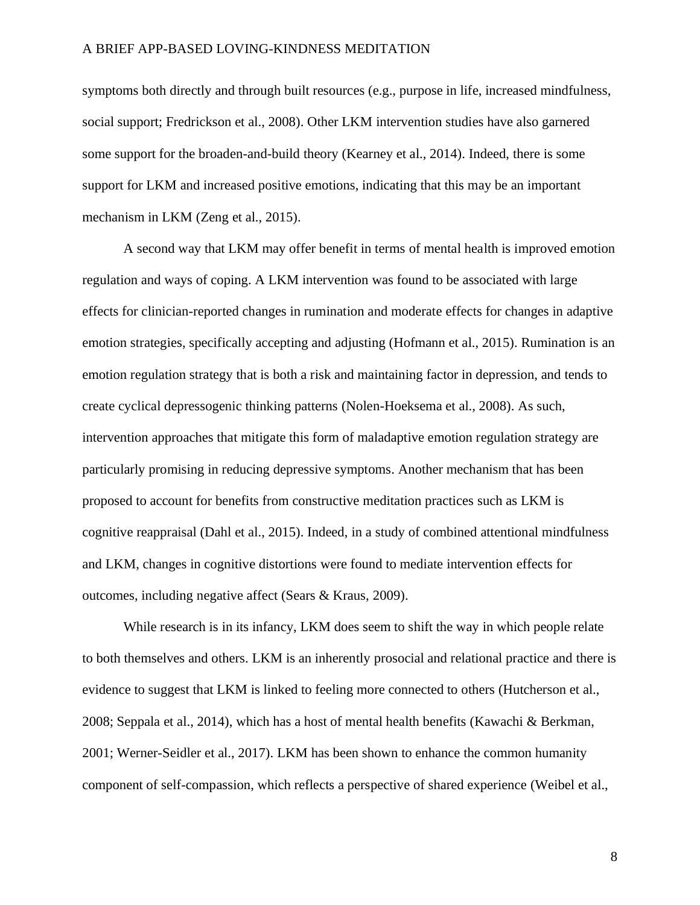symptoms both directly and through built resources (e.g., purpose in life, increased mindfulness, social support; Fredrickson et al., 2008). Other LKM intervention studies have also garnered some support for the broaden-and-build theory (Kearney et al., 2014). Indeed, there is some support for LKM and increased positive emotions, indicating that this may be an important mechanism in LKM (Zeng et al., 2015).

A second way that LKM may offer benefit in terms of mental health is improved emotion regulation and ways of coping. A LKM intervention was found to be associated with large effects for clinician-reported changes in rumination and moderate effects for changes in adaptive emotion strategies, specifically accepting and adjusting (Hofmann et al., 2015). Rumination is an emotion regulation strategy that is both a risk and maintaining factor in depression, and tends to create cyclical depressogenic thinking patterns (Nolen-Hoeksema et al., 2008). As such, intervention approaches that mitigate this form of maladaptive emotion regulation strategy are particularly promising in reducing depressive symptoms. Another mechanism that has been proposed to account for benefits from constructive meditation practices such as LKM is cognitive reappraisal (Dahl et al., 2015). Indeed, in a study of combined attentional mindfulness and LKM, changes in cognitive distortions were found to mediate intervention effects for outcomes, including negative affect (Sears & Kraus, 2009).

While research is in its infancy, LKM does seem to shift the way in which people relate to both themselves and others. LKM is an inherently prosocial and relational practice and there is evidence to suggest that LKM is linked to feeling more connected to others (Hutcherson et al., 2008; Seppala et al., 2014), which has a host of mental health benefits (Kawachi & Berkman, 2001; Werner-Seidler et al., 2017). LKM has been shown to enhance the common humanity component of self-compassion, which reflects a perspective of shared experience (Weibel et al.,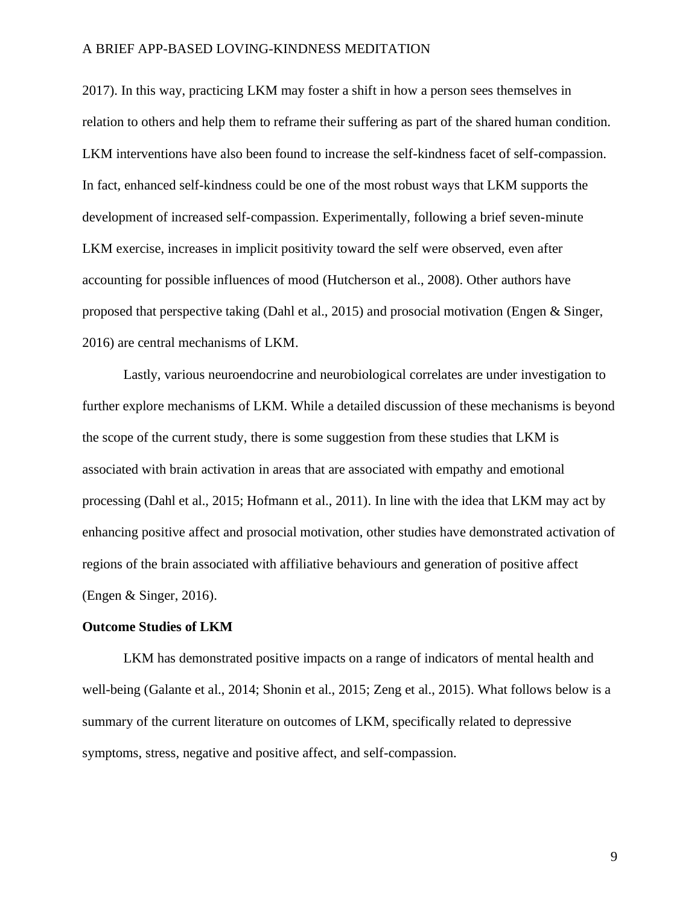2017). In this way, practicing LKM may foster a shift in how a person sees themselves in relation to others and help them to reframe their suffering as part of the shared human condition. LKM interventions have also been found to increase the self-kindness facet of self-compassion. In fact, enhanced self-kindness could be one of the most robust ways that LKM supports the development of increased self-compassion. Experimentally, following a brief seven-minute LKM exercise, increases in implicit positivity toward the self were observed, even after accounting for possible influences of mood (Hutcherson et al., 2008). Other authors have proposed that perspective taking (Dahl et al., 2015) and prosocial motivation (Engen & Singer, 2016) are central mechanisms of LKM.

Lastly, various neuroendocrine and neurobiological correlates are under investigation to further explore mechanisms of LKM. While a detailed discussion of these mechanisms is beyond the scope of the current study, there is some suggestion from these studies that LKM is associated with brain activation in areas that are associated with empathy and emotional processing (Dahl et al., 2015; Hofmann et al., 2011). In line with the idea that LKM may act by enhancing positive affect and prosocial motivation, other studies have demonstrated activation of regions of the brain associated with affiliative behaviours and generation of positive affect (Engen & Singer, 2016).

#### **Outcome Studies of LKM**

LKM has demonstrated positive impacts on a range of indicators of mental health and well-being (Galante et al., 2014; Shonin et al., 2015; Zeng et al., 2015). What follows below is a summary of the current literature on outcomes of LKM, specifically related to depressive symptoms, stress, negative and positive affect, and self-compassion.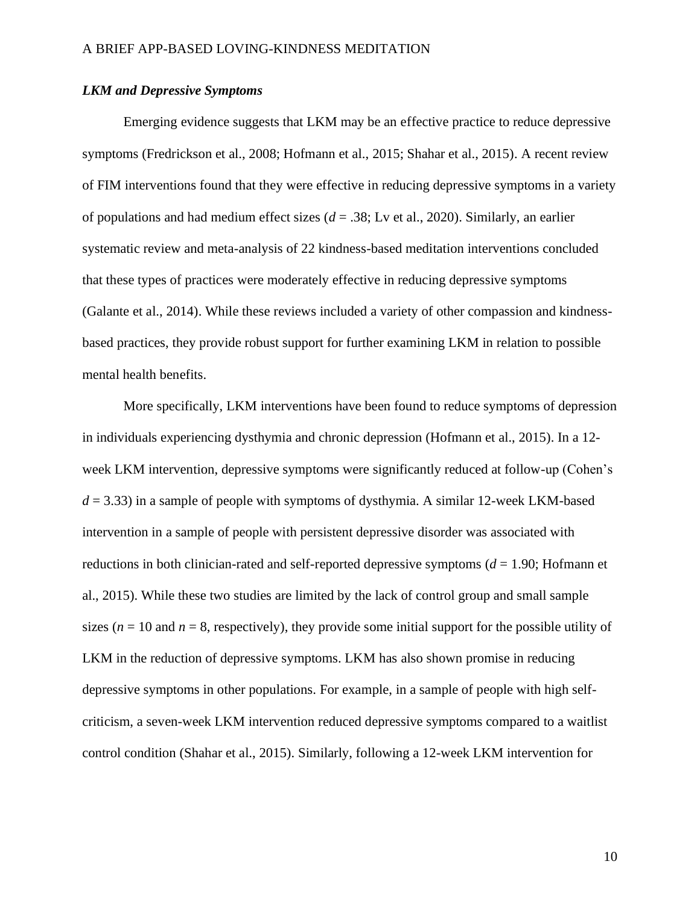### *LKM and Depressive Symptoms*

Emerging evidence suggests that LKM may be an effective practice to reduce depressive symptoms (Fredrickson et al., 2008; Hofmann et al., 2015; Shahar et al., 2015). A recent review of FIM interventions found that they were effective in reducing depressive symptoms in a variety of populations and had medium effect sizes (*d* = .38; Lv et al., 2020). Similarly, an earlier systematic review and meta-analysis of 22 kindness-based meditation interventions concluded that these types of practices were moderately effective in reducing depressive symptoms (Galante et al., 2014). While these reviews included a variety of other compassion and kindnessbased practices, they provide robust support for further examining LKM in relation to possible mental health benefits.

More specifically, LKM interventions have been found to reduce symptoms of depression in individuals experiencing dysthymia and chronic depression (Hofmann et al., 2015). In a 12 week LKM intervention, depressive symptoms were significantly reduced at follow-up (Cohen's  $d = 3.33$ ) in a sample of people with symptoms of dysthymia. A similar 12-week LKM-based intervention in a sample of people with persistent depressive disorder was associated with reductions in both clinician-rated and self-reported depressive symptoms (*d* = 1.90; Hofmann et al., 2015). While these two studies are limited by the lack of control group and small sample sizes ( $n = 10$  and  $n = 8$ , respectively), they provide some initial support for the possible utility of LKM in the reduction of depressive symptoms. LKM has also shown promise in reducing depressive symptoms in other populations. For example, in a sample of people with high selfcriticism, a seven-week LKM intervention reduced depressive symptoms compared to a waitlist control condition (Shahar et al., 2015). Similarly, following a 12-week LKM intervention for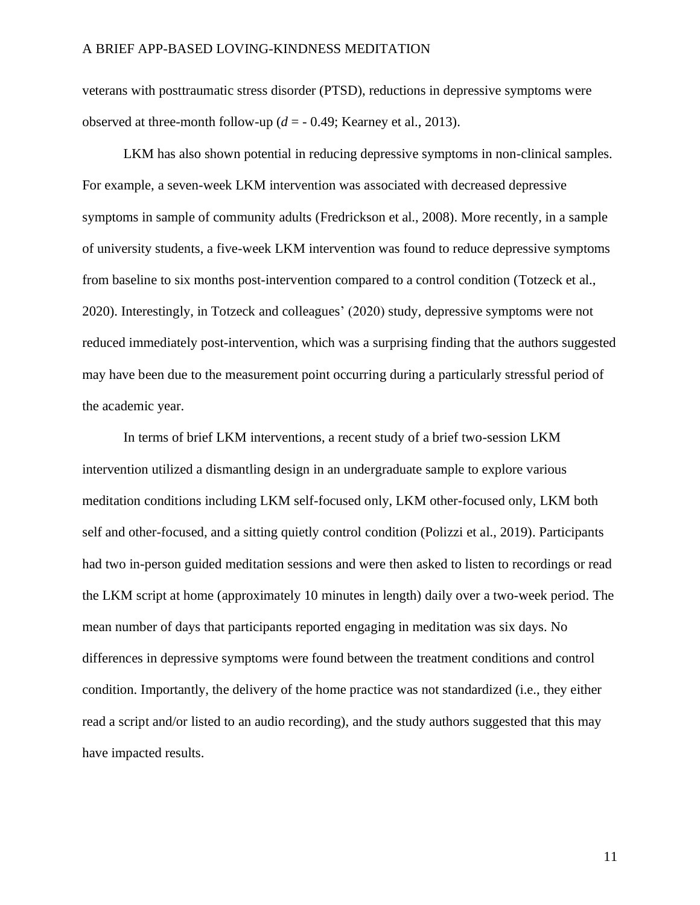veterans with posttraumatic stress disorder (PTSD), reductions in depressive symptoms were observed at three-month follow-up  $(d = -0.49;$  Kearney et al., 2013).

LKM has also shown potential in reducing depressive symptoms in non-clinical samples. For example, a seven-week LKM intervention was associated with decreased depressive symptoms in sample of community adults (Fredrickson et al., 2008). More recently, in a sample of university students, a five-week LKM intervention was found to reduce depressive symptoms from baseline to six months post-intervention compared to a control condition (Totzeck et al., 2020). Interestingly, in Totzeck and colleagues' (2020) study, depressive symptoms were not reduced immediately post-intervention, which was a surprising finding that the authors suggested may have been due to the measurement point occurring during a particularly stressful period of the academic year.

In terms of brief LKM interventions, a recent study of a brief two-session LKM intervention utilized a dismantling design in an undergraduate sample to explore various meditation conditions including LKM self-focused only, LKM other-focused only, LKM both self and other-focused, and a sitting quietly control condition (Polizzi et al., 2019). Participants had two in-person guided meditation sessions and were then asked to listen to recordings or read the LKM script at home (approximately 10 minutes in length) daily over a two-week period. The mean number of days that participants reported engaging in meditation was six days. No differences in depressive symptoms were found between the treatment conditions and control condition. Importantly, the delivery of the home practice was not standardized (i.e., they either read a script and/or listed to an audio recording), and the study authors suggested that this may have impacted results.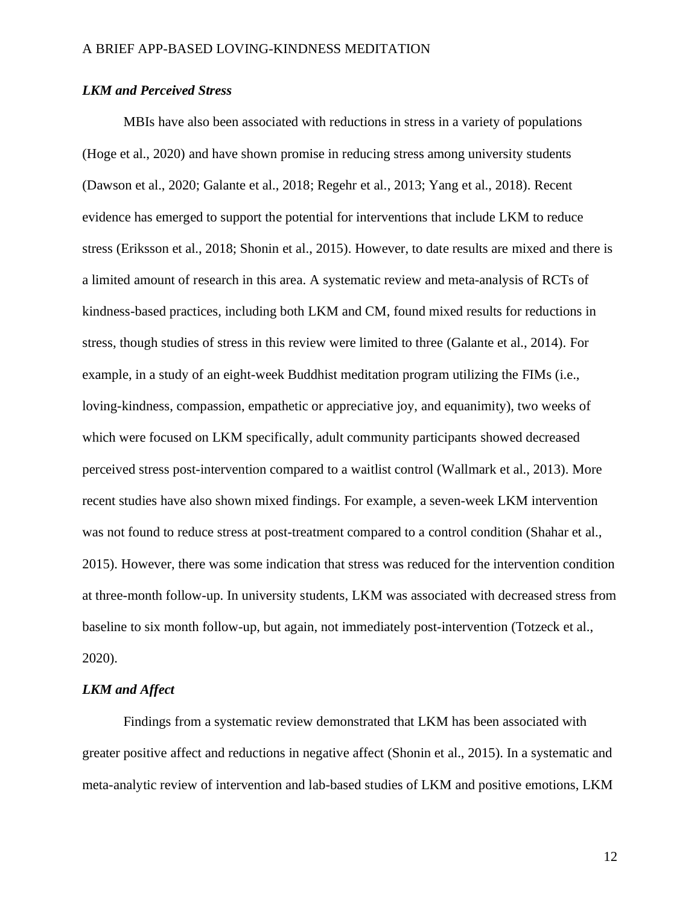### *LKM and Perceived Stress*

MBIs have also been associated with reductions in stress in a variety of populations (Hoge et al., 2020) and have shown promise in reducing stress among university students (Dawson et al., 2020; Galante et al., 2018; Regehr et al., 2013; Yang et al., 2018). Recent evidence has emerged to support the potential for interventions that include LKM to reduce stress (Eriksson et al., 2018; Shonin et al., 2015). However, to date results are mixed and there is a limited amount of research in this area. A systematic review and meta-analysis of RCTs of kindness-based practices, including both LKM and CM, found mixed results for reductions in stress, though studies of stress in this review were limited to three (Galante et al., 2014). For example, in a study of an eight-week Buddhist meditation program utilizing the FIMs (i.e., loving-kindness, compassion, empathetic or appreciative joy, and equanimity), two weeks of which were focused on LKM specifically, adult community participants showed decreased perceived stress post-intervention compared to a waitlist control (Wallmark et al., 2013). More recent studies have also shown mixed findings. For example, a seven-week LKM intervention was not found to reduce stress at post-treatment compared to a control condition (Shahar et al., 2015). However, there was some indication that stress was reduced for the intervention condition at three-month follow-up. In university students, LKM was associated with decreased stress from baseline to six month follow-up, but again, not immediately post-intervention (Totzeck et al., 2020).

### *LKM and Affect*

Findings from a systematic review demonstrated that LKM has been associated with greater positive affect and reductions in negative affect (Shonin et al., 2015). In a systematic and meta-analytic review of intervention and lab-based studies of LKM and positive emotions, LKM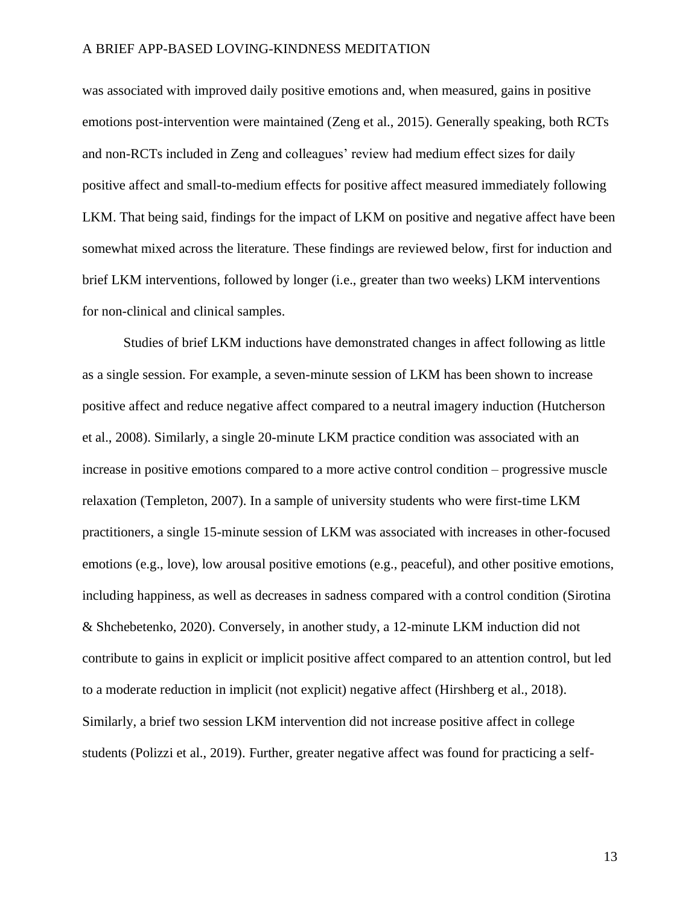was associated with improved daily positive emotions and, when measured, gains in positive emotions post-intervention were maintained (Zeng et al., 2015). Generally speaking, both RCTs and non-RCTs included in Zeng and colleagues' review had medium effect sizes for daily positive affect and small-to-medium effects for positive affect measured immediately following LKM. That being said, findings for the impact of LKM on positive and negative affect have been somewhat mixed across the literature. These findings are reviewed below, first for induction and brief LKM interventions, followed by longer (i.e., greater than two weeks) LKM interventions for non-clinical and clinical samples.

Studies of brief LKM inductions have demonstrated changes in affect following as little as a single session. For example, a seven-minute session of LKM has been shown to increase positive affect and reduce negative affect compared to a neutral imagery induction (Hutcherson et al., 2008). Similarly, a single 20-minute LKM practice condition was associated with an increase in positive emotions compared to a more active control condition – progressive muscle relaxation (Templeton, 2007). In a sample of university students who were first-time LKM practitioners, a single 15-minute session of LKM was associated with increases in other-focused emotions (e.g., love), low arousal positive emotions (e.g., peaceful), and other positive emotions, including happiness, as well as decreases in sadness compared with a control condition (Sirotina & Shchebetenko, 2020). Conversely, in another study, a 12-minute LKM induction did not contribute to gains in explicit or implicit positive affect compared to an attention control, but led to a moderate reduction in implicit (not explicit) negative affect (Hirshberg et al., 2018). Similarly, a brief two session LKM intervention did not increase positive affect in college students (Polizzi et al., 2019). Further, greater negative affect was found for practicing a self-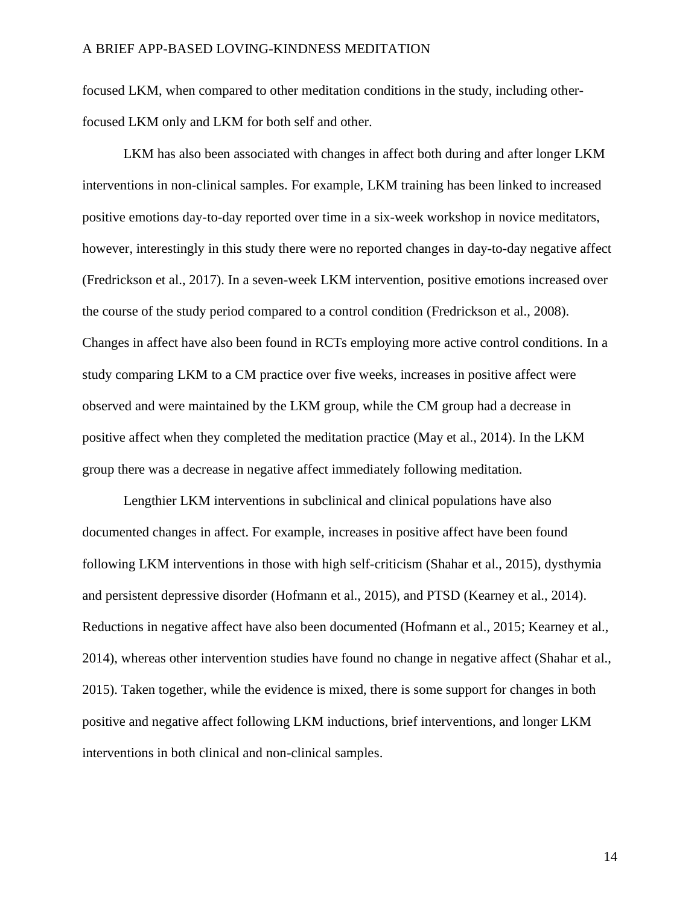focused LKM, when compared to other meditation conditions in the study, including otherfocused LKM only and LKM for both self and other.

LKM has also been associated with changes in affect both during and after longer LKM interventions in non-clinical samples. For example, LKM training has been linked to increased positive emotions day-to-day reported over time in a six-week workshop in novice meditators, however, interestingly in this study there were no reported changes in day-to-day negative affect (Fredrickson et al., 2017). In a seven-week LKM intervention, positive emotions increased over the course of the study period compared to a control condition (Fredrickson et al., 2008). Changes in affect have also been found in RCTs employing more active control conditions. In a study comparing LKM to a CM practice over five weeks, increases in positive affect were observed and were maintained by the LKM group, while the CM group had a decrease in positive affect when they completed the meditation practice (May et al., 2014). In the LKM group there was a decrease in negative affect immediately following meditation.

Lengthier LKM interventions in subclinical and clinical populations have also documented changes in affect. For example, increases in positive affect have been found following LKM interventions in those with high self-criticism (Shahar et al., 2015), dysthymia and persistent depressive disorder (Hofmann et al., 2015), and PTSD (Kearney et al., 2014). Reductions in negative affect have also been documented (Hofmann et al., 2015; Kearney et al., 2014), whereas other intervention studies have found no change in negative affect (Shahar et al., 2015). Taken together, while the evidence is mixed, there is some support for changes in both positive and negative affect following LKM inductions, brief interventions, and longer LKM interventions in both clinical and non-clinical samples.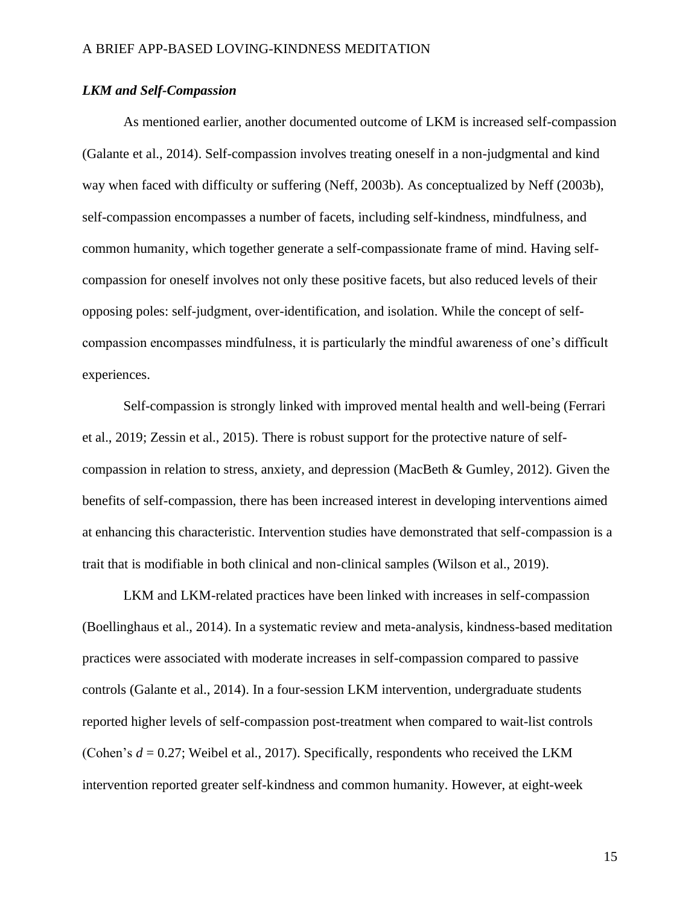### *LKM and Self-Compassion*

As mentioned earlier, another documented outcome of LKM is increased self-compassion (Galante et al., 2014). Self-compassion involves treating oneself in a non-judgmental and kind way when faced with difficulty or suffering (Neff, 2003b). As conceptualized by Neff (2003b), self-compassion encompasses a number of facets, including self-kindness, mindfulness, and common humanity, which together generate a self-compassionate frame of mind. Having selfcompassion for oneself involves not only these positive facets, but also reduced levels of their opposing poles: self-judgment, over-identification, and isolation. While the concept of selfcompassion encompasses mindfulness, it is particularly the mindful awareness of one's difficult experiences.

Self-compassion is strongly linked with improved mental health and well-being (Ferrari et al., 2019; Zessin et al., 2015). There is robust support for the protective nature of selfcompassion in relation to stress, anxiety, and depression (MacBeth & Gumley, 2012). Given the benefits of self-compassion, there has been increased interest in developing interventions aimed at enhancing this characteristic. Intervention studies have demonstrated that self-compassion is a trait that is modifiable in both clinical and non-clinical samples (Wilson et al., 2019).

LKM and LKM-related practices have been linked with increases in self-compassion (Boellinghaus et al., 2014). In a systematic review and meta-analysis, kindness-based meditation practices were associated with moderate increases in self-compassion compared to passive controls (Galante et al., 2014). In a four-session LKM intervention, undergraduate students reported higher levels of self-compassion post-treatment when compared to wait-list controls (Cohen's *d* = 0.27; Weibel et al., 2017). Specifically, respondents who received the LKM intervention reported greater self-kindness and common humanity. However, at eight-week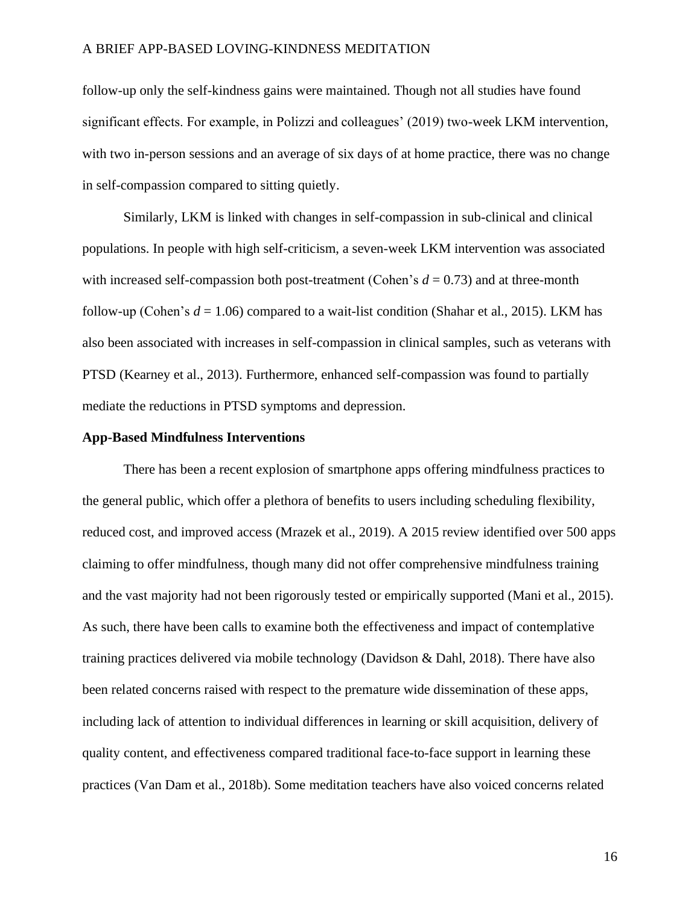follow-up only the self-kindness gains were maintained. Though not all studies have found significant effects. For example, in Polizzi and colleagues' (2019) two-week LKM intervention, with two in-person sessions and an average of six days of at home practice, there was no change in self-compassion compared to sitting quietly.

Similarly, LKM is linked with changes in self-compassion in sub-clinical and clinical populations. In people with high self-criticism, a seven-week LKM intervention was associated with increased self-compassion both post-treatment (Cohen's  $d = 0.73$ ) and at three-month follow-up (Cohen's  $d = 1.06$ ) compared to a wait-list condition (Shahar et al., 2015). LKM has also been associated with increases in self-compassion in clinical samples, such as veterans with PTSD (Kearney et al., 2013). Furthermore, enhanced self-compassion was found to partially mediate the reductions in PTSD symptoms and depression.

#### **App-Based Mindfulness Interventions**

There has been a recent explosion of smartphone apps offering mindfulness practices to the general public, which offer a plethora of benefits to users including scheduling flexibility, reduced cost, and improved access (Mrazek et al., 2019). A 2015 review identified over 500 apps claiming to offer mindfulness, though many did not offer comprehensive mindfulness training and the vast majority had not been rigorously tested or empirically supported (Mani et al., 2015). As such, there have been calls to examine both the effectiveness and impact of contemplative training practices delivered via mobile technology (Davidson & Dahl, 2018). There have also been related concerns raised with respect to the premature wide dissemination of these apps, including lack of attention to individual differences in learning or skill acquisition, delivery of quality content, and effectiveness compared traditional face-to-face support in learning these practices (Van Dam et al., 2018b). Some meditation teachers have also voiced concerns related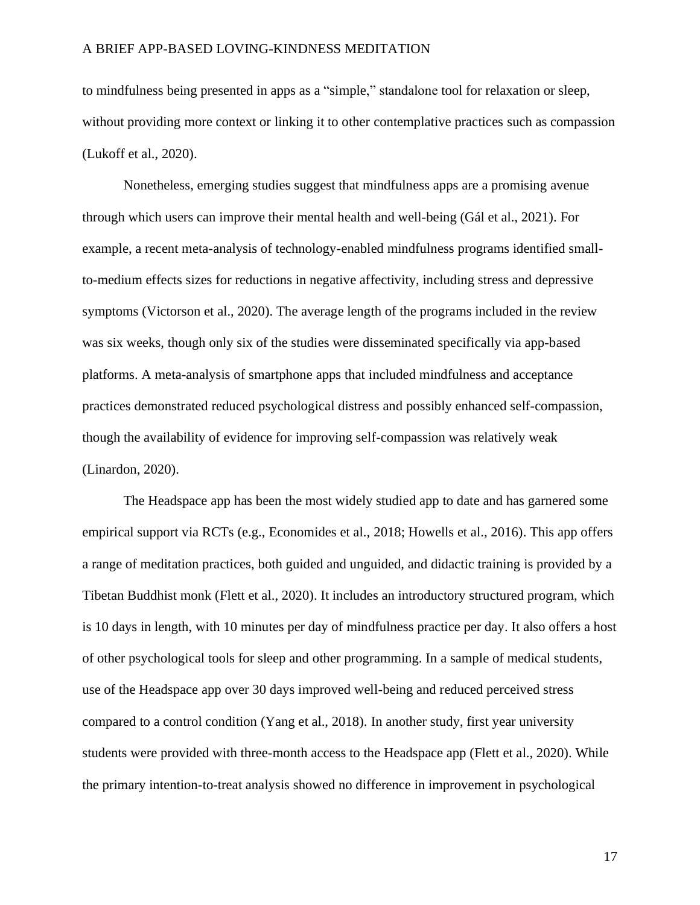to mindfulness being presented in apps as a "simple," standalone tool for relaxation or sleep, without providing more context or linking it to other contemplative practices such as compassion (Lukoff et al., 2020).

Nonetheless, emerging studies suggest that mindfulness apps are a promising avenue through which users can improve their mental health and well-being (Gál et al., 2021). For example, a recent meta-analysis of technology-enabled mindfulness programs identified smallto-medium effects sizes for reductions in negative affectivity, including stress and depressive symptoms (Victorson et al., 2020). The average length of the programs included in the review was six weeks, though only six of the studies were disseminated specifically via app-based platforms. A meta-analysis of smartphone apps that included mindfulness and acceptance practices demonstrated reduced psychological distress and possibly enhanced self-compassion, though the availability of evidence for improving self-compassion was relatively weak (Linardon, 2020).

The Headspace app has been the most widely studied app to date and has garnered some empirical support via RCTs (e.g., Economides et al., 2018; Howells et al., 2016). This app offers a range of meditation practices, both guided and unguided, and didactic training is provided by a Tibetan Buddhist monk (Flett et al., 2020). It includes an introductory structured program, which is 10 days in length, with 10 minutes per day of mindfulness practice per day. It also offers a host of other psychological tools for sleep and other programming. In a sample of medical students, use of the Headspace app over 30 days improved well-being and reduced perceived stress compared to a control condition (Yang et al., 2018). In another study, first year university students were provided with three-month access to the Headspace app (Flett et al., 2020). While the primary intention-to-treat analysis showed no difference in improvement in psychological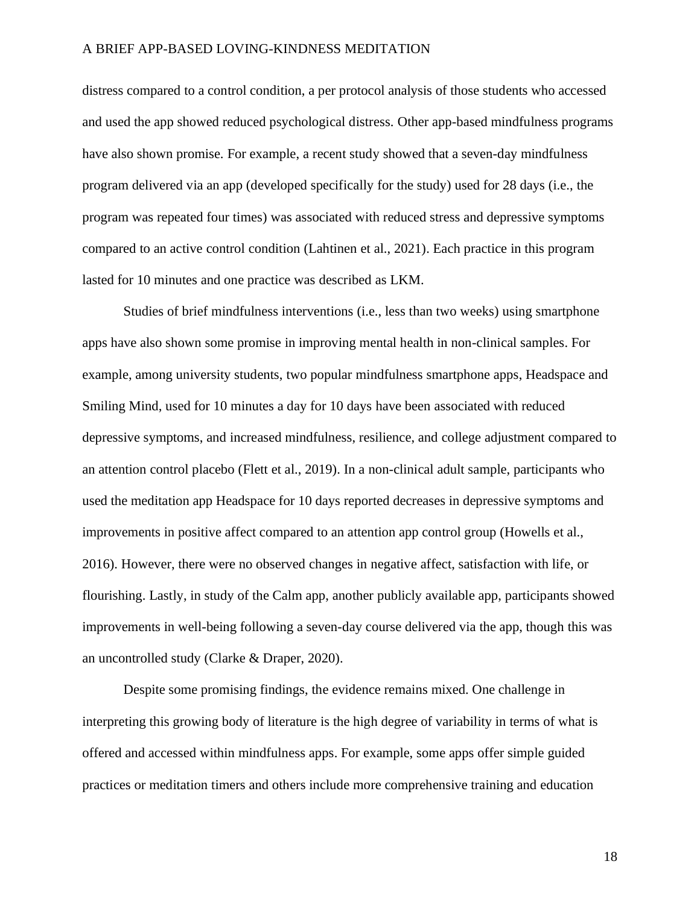distress compared to a control condition, a per protocol analysis of those students who accessed and used the app showed reduced psychological distress. Other app-based mindfulness programs have also shown promise. For example, a recent study showed that a seven-day mindfulness program delivered via an app (developed specifically for the study) used for 28 days (i.e., the program was repeated four times) was associated with reduced stress and depressive symptoms compared to an active control condition (Lahtinen et al., 2021). Each practice in this program lasted for 10 minutes and one practice was described as LKM.

Studies of brief mindfulness interventions (i.e., less than two weeks) using smartphone apps have also shown some promise in improving mental health in non-clinical samples. For example, among university students, two popular mindfulness smartphone apps, Headspace and Smiling Mind, used for 10 minutes a day for 10 days have been associated with reduced depressive symptoms, and increased mindfulness, resilience, and college adjustment compared to an attention control placebo (Flett et al., 2019). In a non-clinical adult sample, participants who used the meditation app Headspace for 10 days reported decreases in depressive symptoms and improvements in positive affect compared to an attention app control group (Howells et al., 2016). However, there were no observed changes in negative affect, satisfaction with life, or flourishing. Lastly, in study of the Calm app, another publicly available app, participants showed improvements in well-being following a seven-day course delivered via the app, though this was an uncontrolled study (Clarke & Draper, 2020).

Despite some promising findings, the evidence remains mixed. One challenge in interpreting this growing body of literature is the high degree of variability in terms of what is offered and accessed within mindfulness apps. For example, some apps offer simple guided practices or meditation timers and others include more comprehensive training and education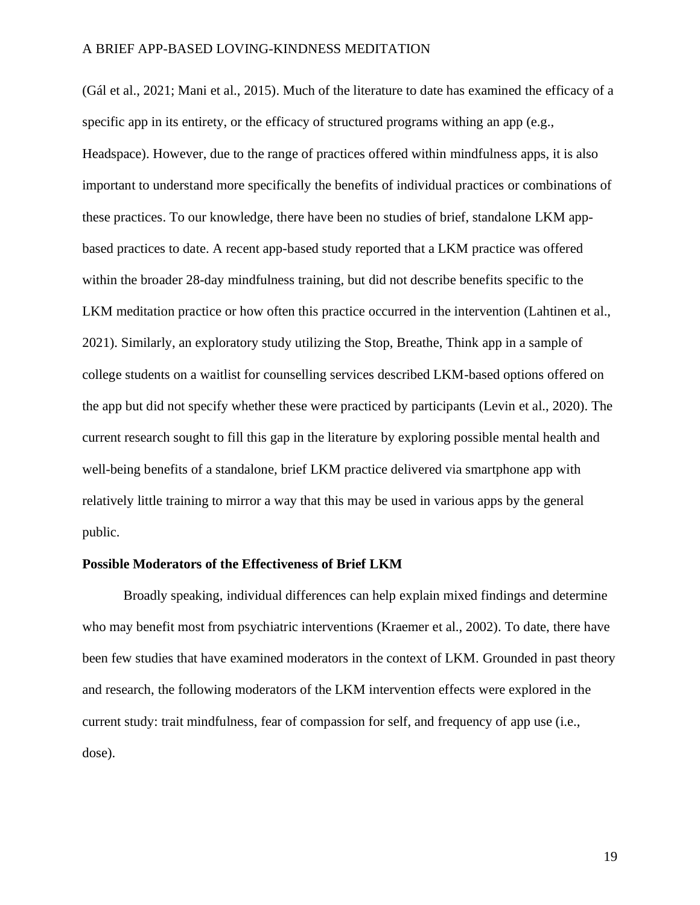(Gál et al., 2021; Mani et al., 2015). Much of the literature to date has examined the efficacy of a specific app in its entirety, or the efficacy of structured programs withing an app (e.g., Headspace). However, due to the range of practices offered within mindfulness apps, it is also important to understand more specifically the benefits of individual practices or combinations of these practices. To our knowledge, there have been no studies of brief, standalone LKM appbased practices to date. A recent app-based study reported that a LKM practice was offered within the broader 28-day mindfulness training, but did not describe benefits specific to the LKM meditation practice or how often this practice occurred in the intervention (Lahtinen et al., 2021). Similarly, an exploratory study utilizing the Stop, Breathe, Think app in a sample of college students on a waitlist for counselling services described LKM-based options offered on the app but did not specify whether these were practiced by participants (Levin et al., 2020). The current research sought to fill this gap in the literature by exploring possible mental health and well-being benefits of a standalone, brief LKM practice delivered via smartphone app with relatively little training to mirror a way that this may be used in various apps by the general public.

### **Possible Moderators of the Effectiveness of Brief LKM**

Broadly speaking, individual differences can help explain mixed findings and determine who may benefit most from psychiatric interventions (Kraemer et al., 2002). To date, there have been few studies that have examined moderators in the context of LKM. Grounded in past theory and research, the following moderators of the LKM intervention effects were explored in the current study: trait mindfulness, fear of compassion for self, and frequency of app use (i.e., dose).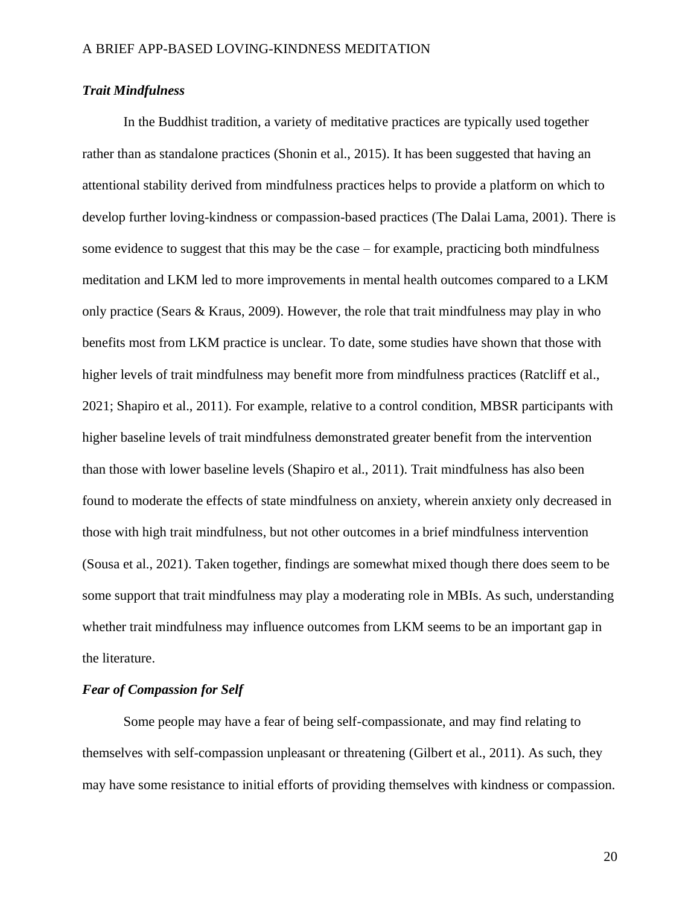### *Trait Mindfulness*

In the Buddhist tradition, a variety of meditative practices are typically used together rather than as standalone practices (Shonin et al., 2015). It has been suggested that having an attentional stability derived from mindfulness practices helps to provide a platform on which to develop further loving-kindness or compassion-based practices (The Dalai Lama, 2001). There is some evidence to suggest that this may be the case – for example, practicing both mindfulness meditation and LKM led to more improvements in mental health outcomes compared to a LKM only practice (Sears & Kraus, 2009). However, the role that trait mindfulness may play in who benefits most from LKM practice is unclear. To date, some studies have shown that those with higher levels of trait mindfulness may benefit more from mindfulness practices (Ratcliff et al., 2021; Shapiro et al., 2011). For example, relative to a control condition, MBSR participants with higher baseline levels of trait mindfulness demonstrated greater benefit from the intervention than those with lower baseline levels (Shapiro et al., 2011). Trait mindfulness has also been found to moderate the effects of state mindfulness on anxiety, wherein anxiety only decreased in those with high trait mindfulness, but not other outcomes in a brief mindfulness intervention (Sousa et al., 2021). Taken together, findings are somewhat mixed though there does seem to be some support that trait mindfulness may play a moderating role in MBIs. As such, understanding whether trait mindfulness may influence outcomes from LKM seems to be an important gap in the literature.

### *Fear of Compassion for Self*

Some people may have a fear of being self-compassionate, and may find relating to themselves with self-compassion unpleasant or threatening (Gilbert et al., 2011). As such, they may have some resistance to initial efforts of providing themselves with kindness or compassion.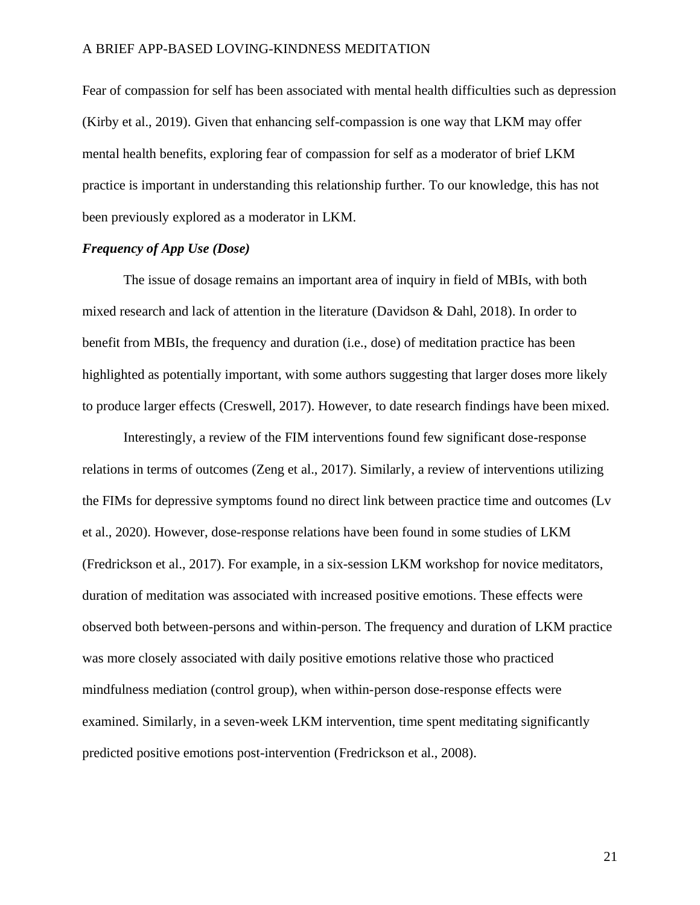Fear of compassion for self has been associated with mental health difficulties such as depression (Kirby et al., 2019). Given that enhancing self-compassion is one way that LKM may offer mental health benefits, exploring fear of compassion for self as a moderator of brief LKM practice is important in understanding this relationship further. To our knowledge, this has not been previously explored as a moderator in LKM.

### *Frequency of App Use (Dose)*

The issue of dosage remains an important area of inquiry in field of MBIs, with both mixed research and lack of attention in the literature (Davidson & Dahl, 2018). In order to benefit from MBIs, the frequency and duration (i.e., dose) of meditation practice has been highlighted as potentially important, with some authors suggesting that larger doses more likely to produce larger effects (Creswell, 2017). However, to date research findings have been mixed.

Interestingly, a review of the FIM interventions found few significant dose-response relations in terms of outcomes (Zeng et al., 2017). Similarly, a review of interventions utilizing the FIMs for depressive symptoms found no direct link between practice time and outcomes (Lv et al., 2020). However, dose-response relations have been found in some studies of LKM (Fredrickson et al., 2017). For example, in a six-session LKM workshop for novice meditators, duration of meditation was associated with increased positive emotions. These effects were observed both between-persons and within-person. The frequency and duration of LKM practice was more closely associated with daily positive emotions relative those who practiced mindfulness mediation (control group), when within-person dose-response effects were examined. Similarly, in a seven-week LKM intervention, time spent meditating significantly predicted positive emotions post-intervention (Fredrickson et al., 2008).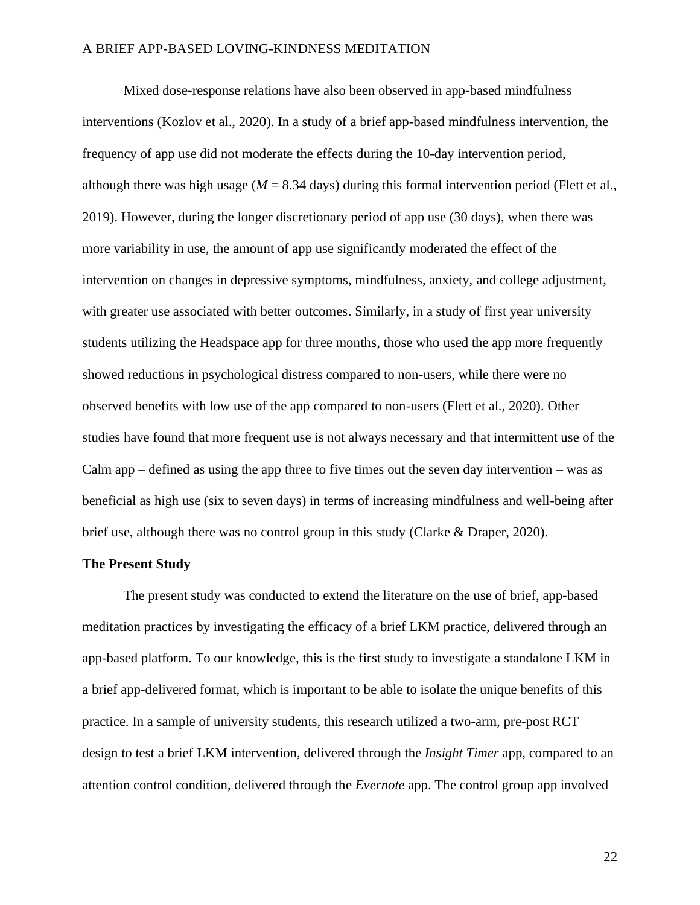Mixed dose-response relations have also been observed in app-based mindfulness interventions (Kozlov et al., 2020). In a study of a brief app-based mindfulness intervention, the frequency of app use did not moderate the effects during the 10-day intervention period, although there was high usage ( $M = 8.34$  days) during this formal intervention period (Flett et al., 2019). However, during the longer discretionary period of app use (30 days), when there was more variability in use, the amount of app use significantly moderated the effect of the intervention on changes in depressive symptoms, mindfulness, anxiety, and college adjustment, with greater use associated with better outcomes. Similarly, in a study of first year university students utilizing the Headspace app for three months, those who used the app more frequently showed reductions in psychological distress compared to non-users, while there were no observed benefits with low use of the app compared to non-users (Flett et al., 2020). Other studies have found that more frequent use is not always necessary and that intermittent use of the Calm app – defined as using the app three to five times out the seven day intervention – was as beneficial as high use (six to seven days) in terms of increasing mindfulness and well-being after brief use, although there was no control group in this study (Clarke & Draper, 2020).

### **The Present Study**

The present study was conducted to extend the literature on the use of brief, app-based meditation practices by investigating the efficacy of a brief LKM practice, delivered through an app-based platform. To our knowledge, this is the first study to investigate a standalone LKM in a brief app-delivered format, which is important to be able to isolate the unique benefits of this practice. In a sample of university students, this research utilized a two-arm, pre-post RCT design to test a brief LKM intervention, delivered through the *Insight Timer* app, compared to an attention control condition, delivered through the *Evernote* app. The control group app involved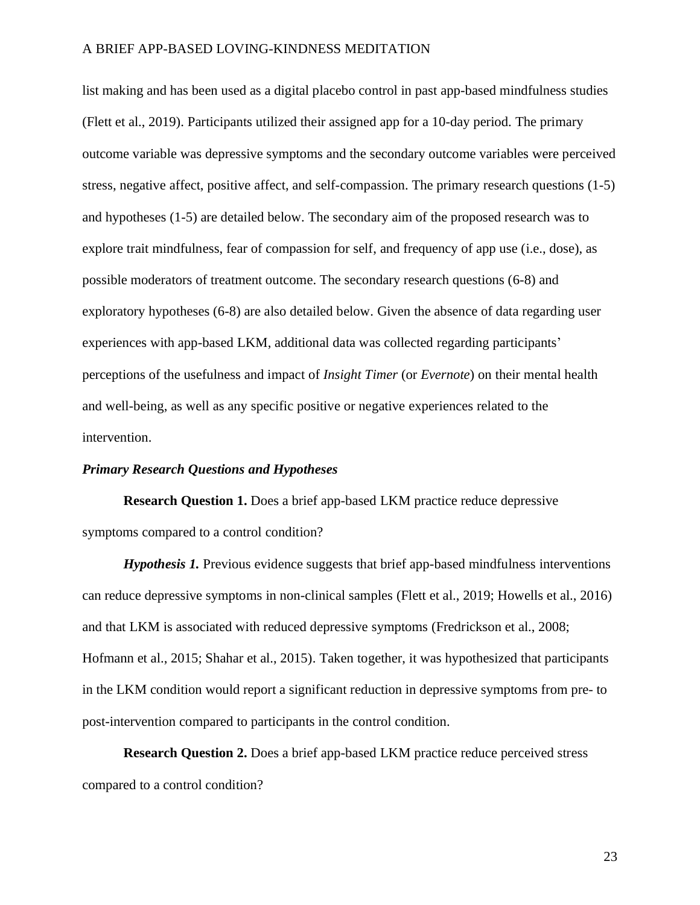list making and has been used as a digital placebo control in past app-based mindfulness studies (Flett et al., 2019). Participants utilized their assigned app for a 10-day period. The primary outcome variable was depressive symptoms and the secondary outcome variables were perceived stress, negative affect, positive affect, and self-compassion. The primary research questions (1-5) and hypotheses (1-5) are detailed below. The secondary aim of the proposed research was to explore trait mindfulness, fear of compassion for self, and frequency of app use (i.e., dose), as possible moderators of treatment outcome. The secondary research questions (6-8) and exploratory hypotheses (6-8) are also detailed below. Given the absence of data regarding user experiences with app-based LKM, additional data was collected regarding participants' perceptions of the usefulness and impact of *Insight Timer* (or *Evernote*) on their mental health and well-being, as well as any specific positive or negative experiences related to the intervention.

### *Primary Research Questions and Hypotheses*

**Research Question 1.** Does a brief app-based LKM practice reduce depressive symptoms compared to a control condition?

*Hypothesis 1.* Previous evidence suggests that brief app-based mindfulness interventions can reduce depressive symptoms in non-clinical samples (Flett et al., 2019; Howells et al., 2016) and that LKM is associated with reduced depressive symptoms (Fredrickson et al., 2008; Hofmann et al., 2015; Shahar et al., 2015). Taken together, it was hypothesized that participants in the LKM condition would report a significant reduction in depressive symptoms from pre- to post-intervention compared to participants in the control condition.

**Research Question 2.** Does a brief app-based LKM practice reduce perceived stress compared to a control condition?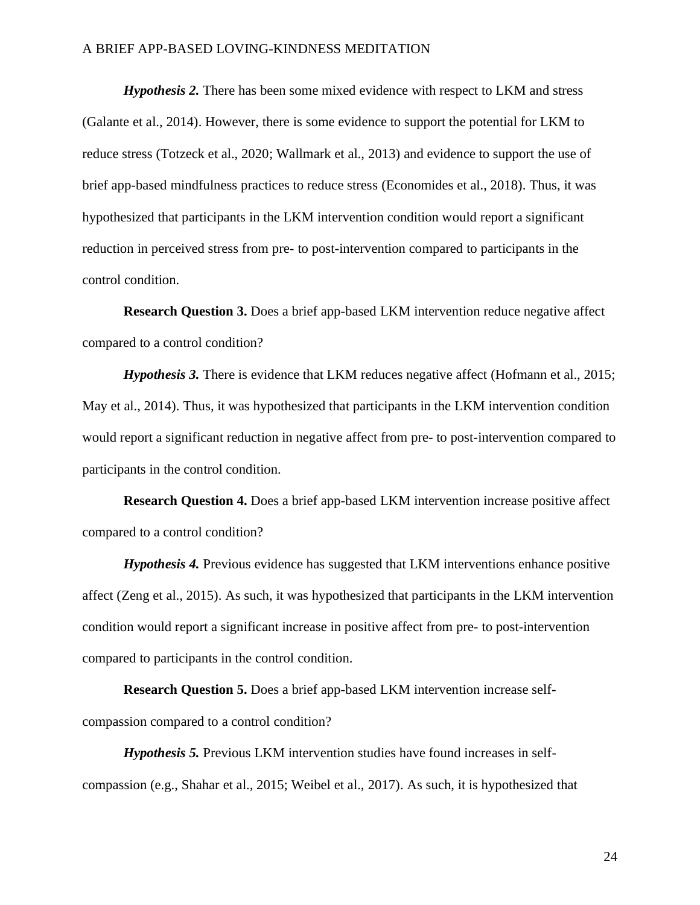*Hypothesis 2.* There has been some mixed evidence with respect to LKM and stress (Galante et al., 2014). However, there is some evidence to support the potential for LKM to reduce stress (Totzeck et al., 2020; Wallmark et al., 2013) and evidence to support the use of brief app-based mindfulness practices to reduce stress (Economides et al., 2018). Thus, it was hypothesized that participants in the LKM intervention condition would report a significant reduction in perceived stress from pre- to post-intervention compared to participants in the control condition.

**Research Question 3.** Does a brief app-based LKM intervention reduce negative affect compared to a control condition?

*Hypothesis 3.* There is evidence that LKM reduces negative affect (Hofmann et al., 2015; May et al., 2014). Thus, it was hypothesized that participants in the LKM intervention condition would report a significant reduction in negative affect from pre- to post-intervention compared to participants in the control condition.

**Research Question 4.** Does a brief app-based LKM intervention increase positive affect compared to a control condition?

*Hypothesis 4.* Previous evidence has suggested that LKM interventions enhance positive affect (Zeng et al., 2015). As such, it was hypothesized that participants in the LKM intervention condition would report a significant increase in positive affect from pre- to post-intervention compared to participants in the control condition.

**Research Question 5.** Does a brief app-based LKM intervention increase selfcompassion compared to a control condition?

*Hypothesis 5.* Previous LKM intervention studies have found increases in selfcompassion (e.g., Shahar et al., 2015; Weibel et al., 2017). As such, it is hypothesized that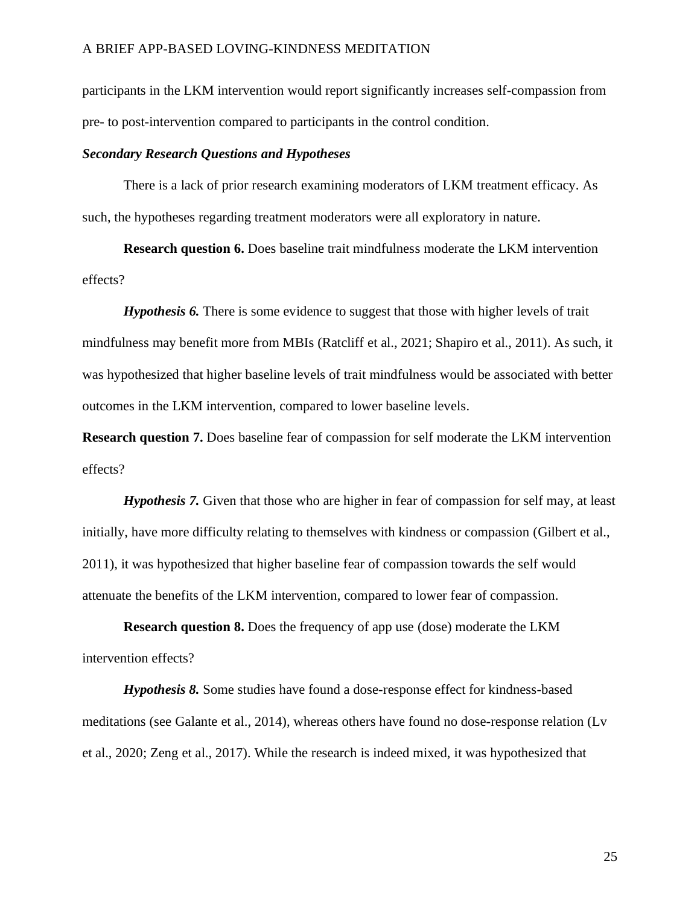participants in the LKM intervention would report significantly increases self-compassion from pre- to post-intervention compared to participants in the control condition.

### *Secondary Research Questions and Hypotheses*

There is a lack of prior research examining moderators of LKM treatment efficacy. As such, the hypotheses regarding treatment moderators were all exploratory in nature.

**Research question 6.** Does baseline trait mindfulness moderate the LKM intervention effects?

*Hypothesis 6.* There is some evidence to suggest that those with higher levels of trait mindfulness may benefit more from MBIs (Ratcliff et al., 2021; Shapiro et al., 2011). As such, it was hypothesized that higher baseline levels of trait mindfulness would be associated with better outcomes in the LKM intervention, compared to lower baseline levels.

**Research question 7.** Does baseline fear of compassion for self moderate the LKM intervention effects?

*Hypothesis 7.* Given that those who are higher in fear of compassion for self may, at least initially, have more difficulty relating to themselves with kindness or compassion (Gilbert et al., 2011), it was hypothesized that higher baseline fear of compassion towards the self would attenuate the benefits of the LKM intervention, compared to lower fear of compassion.

**Research question 8.** Does the frequency of app use (dose) moderate the LKM intervention effects?

*Hypothesis 8.* Some studies have found a dose-response effect for kindness-based meditations (see Galante et al., 2014), whereas others have found no dose-response relation (Lv et al., 2020; Zeng et al., 2017). While the research is indeed mixed, it was hypothesized that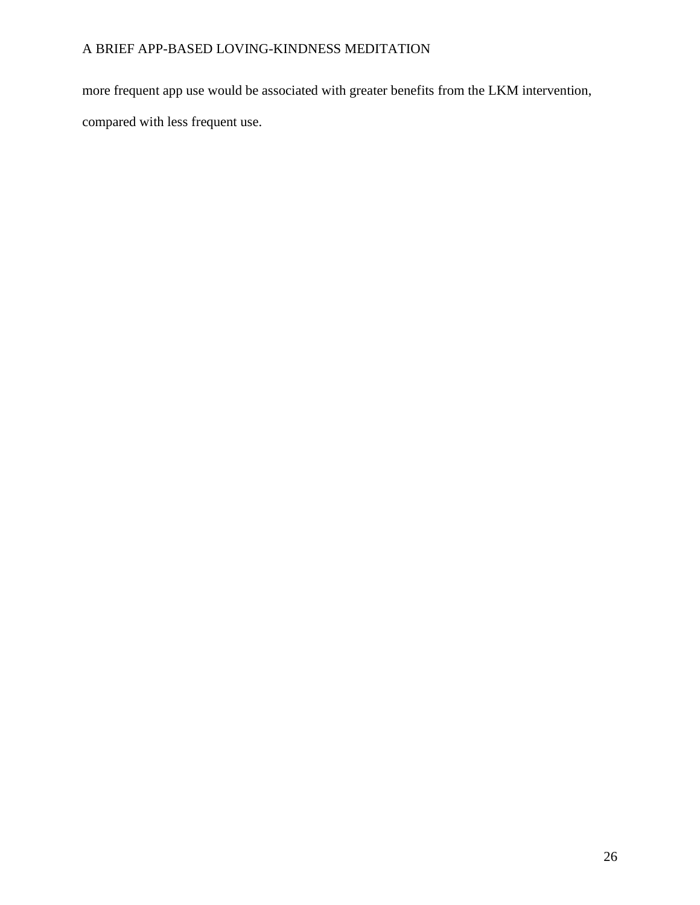more frequent app use would be associated with greater benefits from the LKM intervention, compared with less frequent use.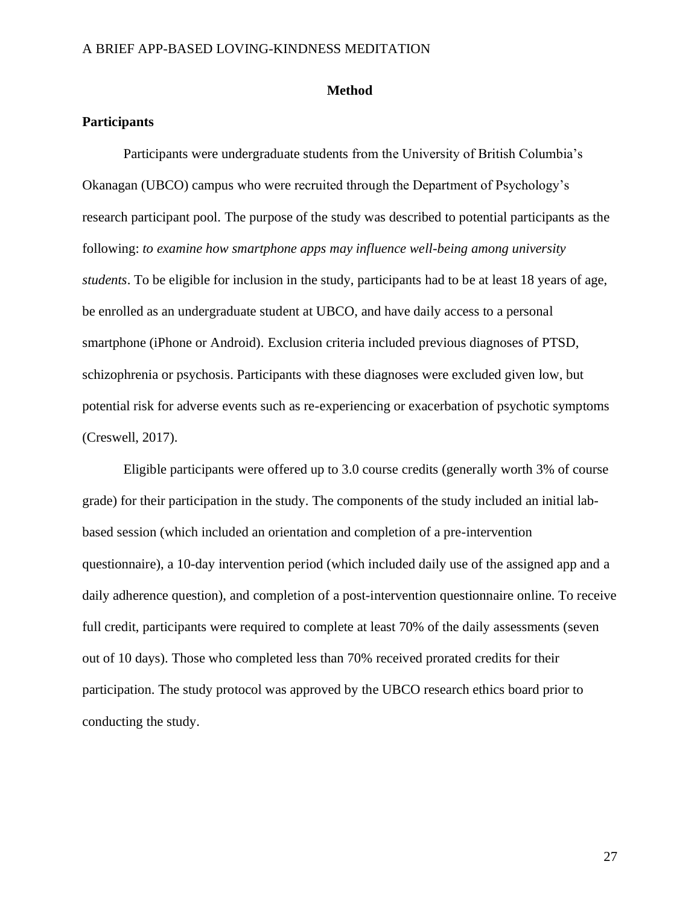### **Method**

### **Participants**

Participants were undergraduate students from the University of British Columbia's Okanagan (UBCO) campus who were recruited through the Department of Psychology's research participant pool. The purpose of the study was described to potential participants as the following: *to examine how smartphone apps may influence well-being among university students*. To be eligible for inclusion in the study, participants had to be at least 18 years of age, be enrolled as an undergraduate student at UBCO, and have daily access to a personal smartphone (iPhone or Android). Exclusion criteria included previous diagnoses of PTSD, schizophrenia or psychosis. Participants with these diagnoses were excluded given low, but potential risk for adverse events such as re-experiencing or exacerbation of psychotic symptoms (Creswell, 2017).

Eligible participants were offered up to 3.0 course credits (generally worth 3% of course grade) for their participation in the study. The components of the study included an initial labbased session (which included an orientation and completion of a pre-intervention questionnaire), a 10-day intervention period (which included daily use of the assigned app and a daily adherence question), and completion of a post-intervention questionnaire online. To receive full credit, participants were required to complete at least 70% of the daily assessments (seven out of 10 days). Those who completed less than 70% received prorated credits for their participation. The study protocol was approved by the UBCO research ethics board prior to conducting the study.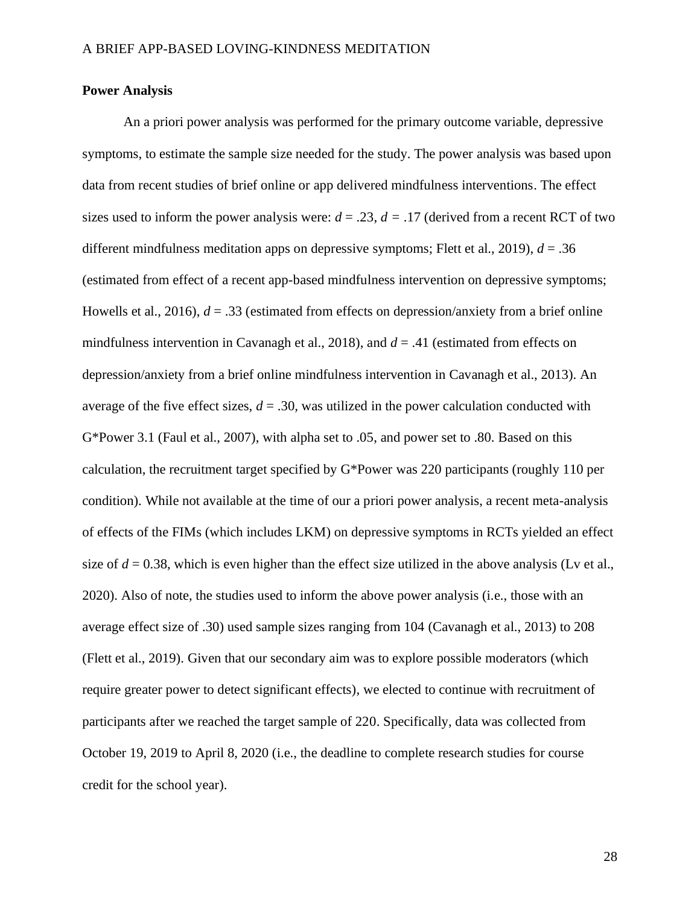### **Power Analysis**

An a priori power analysis was performed for the primary outcome variable, depressive symptoms, to estimate the sample size needed for the study. The power analysis was based upon data from recent studies of brief online or app delivered mindfulness interventions. The effect sizes used to inform the power analysis were:  $d = .23$ ,  $d = .17$  (derived from a recent RCT of two different mindfulness meditation apps on depressive symptoms; Flett et al., 2019),  $d = 0.36$ (estimated from effect of a recent app-based mindfulness intervention on depressive symptoms; Howells et al., 2016),  $d = 0.33$  (estimated from effects on depression/anxiety from a brief online mindfulness intervention in Cavanagh et al., 2018), and *d* = .41 (estimated from effects on depression/anxiety from a brief online mindfulness intervention in Cavanagh et al., 2013). An average of the five effect sizes,  $d = 0.30$ , was utilized in the power calculation conducted with G\*Power 3.1 (Faul et al., 2007), with alpha set to .05, and power set to .80. Based on this calculation, the recruitment target specified by G\*Power was 220 participants (roughly 110 per condition). While not available at the time of our a priori power analysis, a recent meta-analysis of effects of the FIMs (which includes LKM) on depressive symptoms in RCTs yielded an effect size of  $d = 0.38$ , which is even higher than the effect size utilized in the above analysis (Lv et al., 2020). Also of note, the studies used to inform the above power analysis (i.e., those with an average effect size of .30) used sample sizes ranging from 104 (Cavanagh et al., 2013) to 208 (Flett et al., 2019). Given that our secondary aim was to explore possible moderators (which require greater power to detect significant effects), we elected to continue with recruitment of participants after we reached the target sample of 220. Specifically, data was collected from October 19, 2019 to April 8, 2020 (i.e., the deadline to complete research studies for course credit for the school year).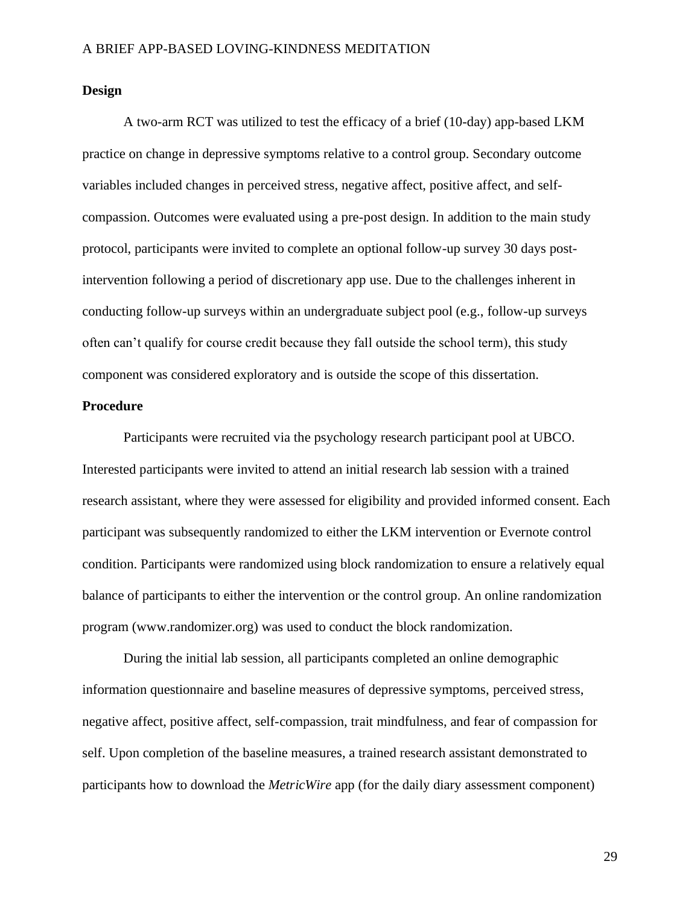### **Design**

A two-arm RCT was utilized to test the efficacy of a brief (10-day) app-based LKM practice on change in depressive symptoms relative to a control group. Secondary outcome variables included changes in perceived stress, negative affect, positive affect, and selfcompassion. Outcomes were evaluated using a pre-post design. In addition to the main study protocol, participants were invited to complete an optional follow-up survey 30 days postintervention following a period of discretionary app use. Due to the challenges inherent in conducting follow-up surveys within an undergraduate subject pool (e.g., follow-up surveys often can't qualify for course credit because they fall outside the school term), this study component was considered exploratory and is outside the scope of this dissertation.

### **Procedure**

Participants were recruited via the psychology research participant pool at UBCO. Interested participants were invited to attend an initial research lab session with a trained research assistant, where they were assessed for eligibility and provided informed consent. Each participant was subsequently randomized to either the LKM intervention or Evernote control condition. Participants were randomized using block randomization to ensure a relatively equal balance of participants to either the intervention or the control group. An online randomization program (www.randomizer.org) was used to conduct the block randomization.

During the initial lab session, all participants completed an online demographic information questionnaire and baseline measures of depressive symptoms, perceived stress, negative affect, positive affect, self-compassion, trait mindfulness, and fear of compassion for self. Upon completion of the baseline measures, a trained research assistant demonstrated to participants how to download the *MetricWire* app (for the daily diary assessment component)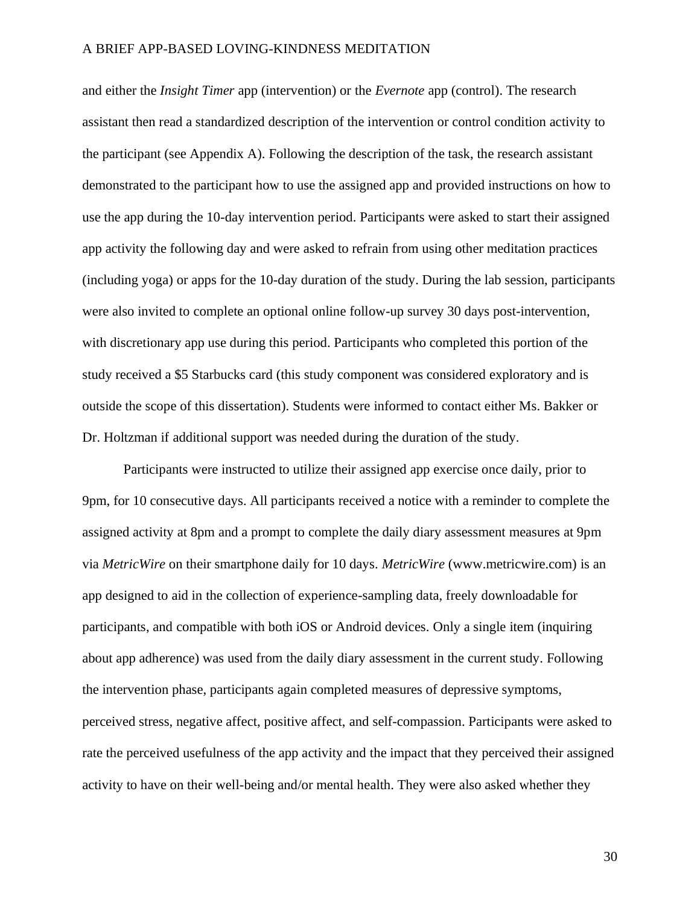and either the *Insight Timer* app (intervention) or the *Evernote* app (control). The research assistant then read a standardized description of the intervention or control condition activity to the participant (see Appendix A). Following the description of the task, the research assistant demonstrated to the participant how to use the assigned app and provided instructions on how to use the app during the 10-day intervention period. Participants were asked to start their assigned app activity the following day and were asked to refrain from using other meditation practices (including yoga) or apps for the 10-day duration of the study. During the lab session, participants were also invited to complete an optional online follow-up survey 30 days post-intervention, with discretionary app use during this period. Participants who completed this portion of the study received a \$5 Starbucks card (this study component was considered exploratory and is outside the scope of this dissertation). Students were informed to contact either Ms. Bakker or Dr. Holtzman if additional support was needed during the duration of the study.

Participants were instructed to utilize their assigned app exercise once daily, prior to 9pm, for 10 consecutive days. All participants received a notice with a reminder to complete the assigned activity at 8pm and a prompt to complete the daily diary assessment measures at 9pm via *MetricWire* on their smartphone daily for 10 days. *MetricWire* (www.metricwire.com) is an app designed to aid in the collection of experience-sampling data, freely downloadable for participants, and compatible with both iOS or Android devices. Only a single item (inquiring about app adherence) was used from the daily diary assessment in the current study. Following the intervention phase, participants again completed measures of depressive symptoms, perceived stress, negative affect, positive affect, and self-compassion. Participants were asked to rate the perceived usefulness of the app activity and the impact that they perceived their assigned activity to have on their well-being and/or mental health. They were also asked whether they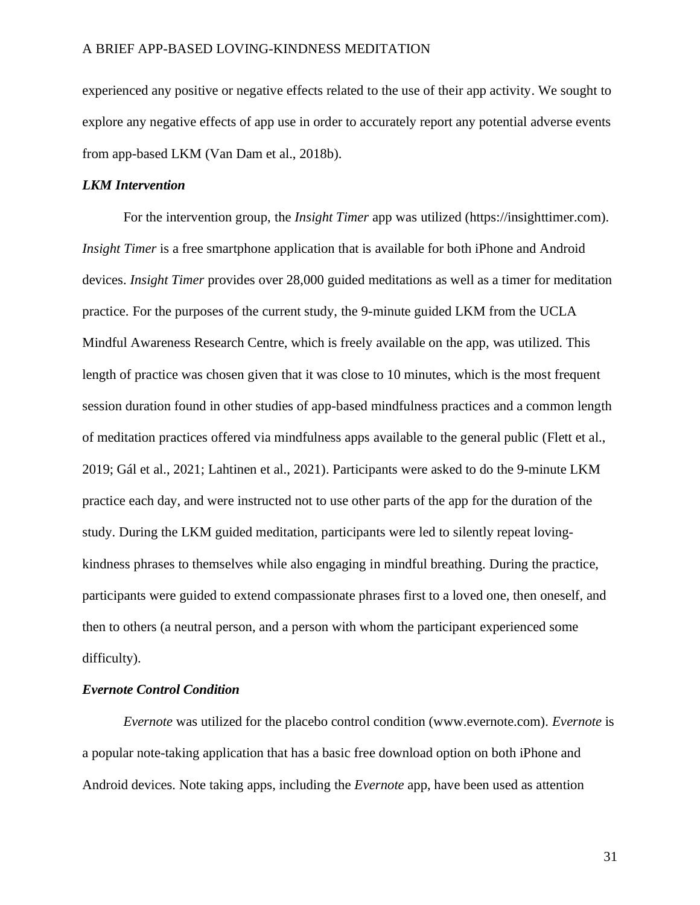experienced any positive or negative effects related to the use of their app activity. We sought to explore any negative effects of app use in order to accurately report any potential adverse events from app-based LKM (Van Dam et al., 2018b).

### *LKM Intervention*

For the intervention group, the *Insight Timer* app was utilized (https://insighttimer.com). *Insight Timer* is a free smartphone application that is available for both iPhone and Android devices. *Insight Timer* provides over 28,000 guided meditations as well as a timer for meditation practice. For the purposes of the current study, the 9-minute guided LKM from the UCLA Mindful Awareness Research Centre, which is freely available on the app, was utilized. This length of practice was chosen given that it was close to 10 minutes, which is the most frequent session duration found in other studies of app-based mindfulness practices and a common length of meditation practices offered via mindfulness apps available to the general public (Flett et al., 2019; Gál et al., 2021; Lahtinen et al., 2021). Participants were asked to do the 9-minute LKM practice each day, and were instructed not to use other parts of the app for the duration of the study. During the LKM guided meditation, participants were led to silently repeat lovingkindness phrases to themselves while also engaging in mindful breathing. During the practice, participants were guided to extend compassionate phrases first to a loved one, then oneself, and then to others (a neutral person, and a person with whom the participant experienced some difficulty).

### *Evernote Control Condition*

*Evernote* was utilized for the placebo control condition (www.evernote.com). *Evernote* is a popular note-taking application that has a basic free download option on both iPhone and Android devices. Note taking apps, including the *Evernote* app, have been used as attention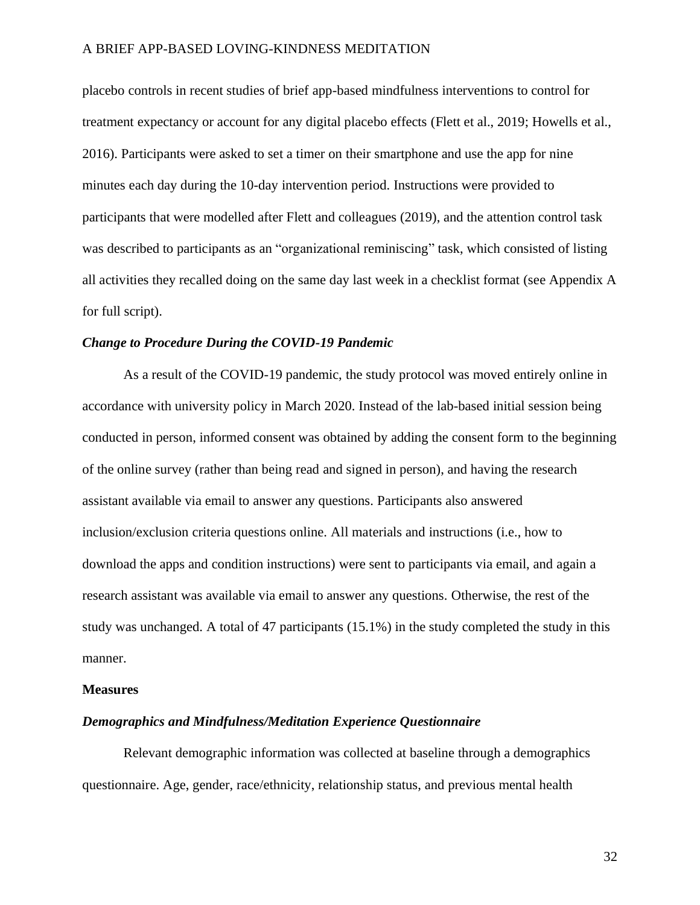placebo controls in recent studies of brief app-based mindfulness interventions to control for treatment expectancy or account for any digital placebo effects (Flett et al., 2019; Howells et al., 2016). Participants were asked to set a timer on their smartphone and use the app for nine minutes each day during the 10-day intervention period. Instructions were provided to participants that were modelled after Flett and colleagues (2019), and the attention control task was described to participants as an "organizational reminiscing" task, which consisted of listing all activities they recalled doing on the same day last week in a checklist format (see Appendix A for full script).

### *Change to Procedure During the COVID-19 Pandemic*

As a result of the COVID-19 pandemic, the study protocol was moved entirely online in accordance with university policy in March 2020. Instead of the lab-based initial session being conducted in person, informed consent was obtained by adding the consent form to the beginning of the online survey (rather than being read and signed in person), and having the research assistant available via email to answer any questions. Participants also answered inclusion/exclusion criteria questions online. All materials and instructions (i.e., how to download the apps and condition instructions) were sent to participants via email, and again a research assistant was available via email to answer any questions. Otherwise, the rest of the study was unchanged. A total of 47 participants (15.1%) in the study completed the study in this manner.

#### **Measures**

#### *Demographics and Mindfulness/Meditation Experience Questionnaire*

Relevant demographic information was collected at baseline through a demographics questionnaire. Age, gender, race/ethnicity, relationship status, and previous mental health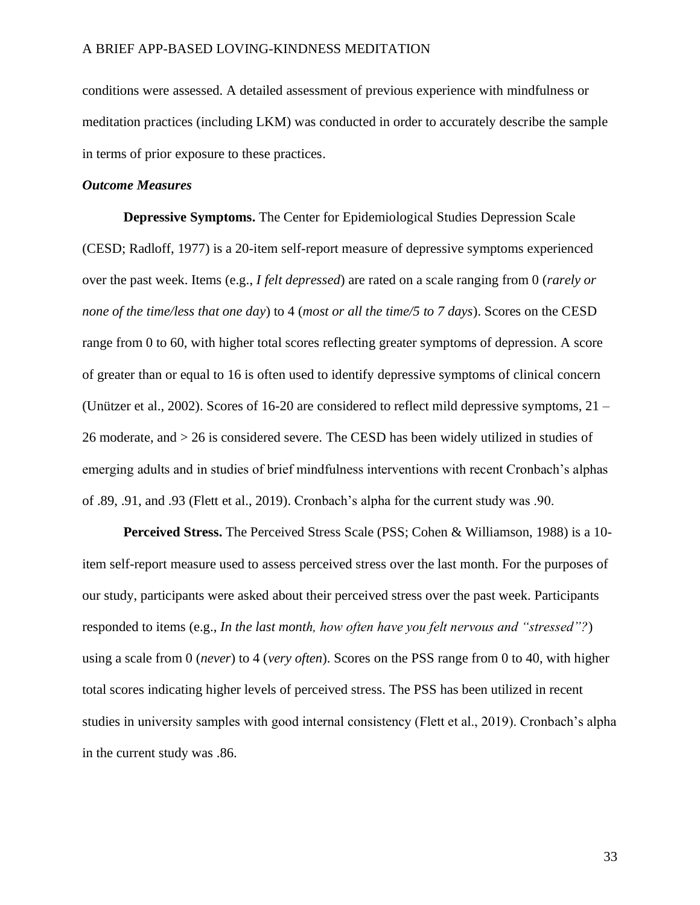conditions were assessed. A detailed assessment of previous experience with mindfulness or meditation practices (including LKM) was conducted in order to accurately describe the sample in terms of prior exposure to these practices.

### *Outcome Measures*

**Depressive Symptoms.** The Center for Epidemiological Studies Depression Scale (CESD; Radloff, 1977) is a 20-item self-report measure of depressive symptoms experienced over the past week. Items (e.g., *I felt depressed*) are rated on a scale ranging from 0 (*rarely or none of the time/less that one day*) to 4 (*most or all the time/5 to 7 days*). Scores on the CESD range from 0 to 60, with higher total scores reflecting greater symptoms of depression. A score of greater than or equal to 16 is often used to identify depressive symptoms of clinical concern (Unützer et al., 2002). Scores of 16-20 are considered to reflect mild depressive symptoms, 21 – 26 moderate, and > 26 is considered severe. The CESD has been widely utilized in studies of emerging adults and in studies of brief mindfulness interventions with recent Cronbach's alphas of .89, .91, and .93 (Flett et al., 2019). Cronbach's alpha for the current study was .90.

**Perceived Stress.** The Perceived Stress Scale (PSS; Cohen & Williamson, 1988) is a 10 item self-report measure used to assess perceived stress over the last month. For the purposes of our study, participants were asked about their perceived stress over the past week. Participants responded to items (e.g., *In the last month, how often have you felt nervous and "stressed"?*) using a scale from 0 (*never*) to 4 (*very often*). Scores on the PSS range from 0 to 40, with higher total scores indicating higher levels of perceived stress. The PSS has been utilized in recent studies in university samples with good internal consistency (Flett et al., 2019). Cronbach's alpha in the current study was .86.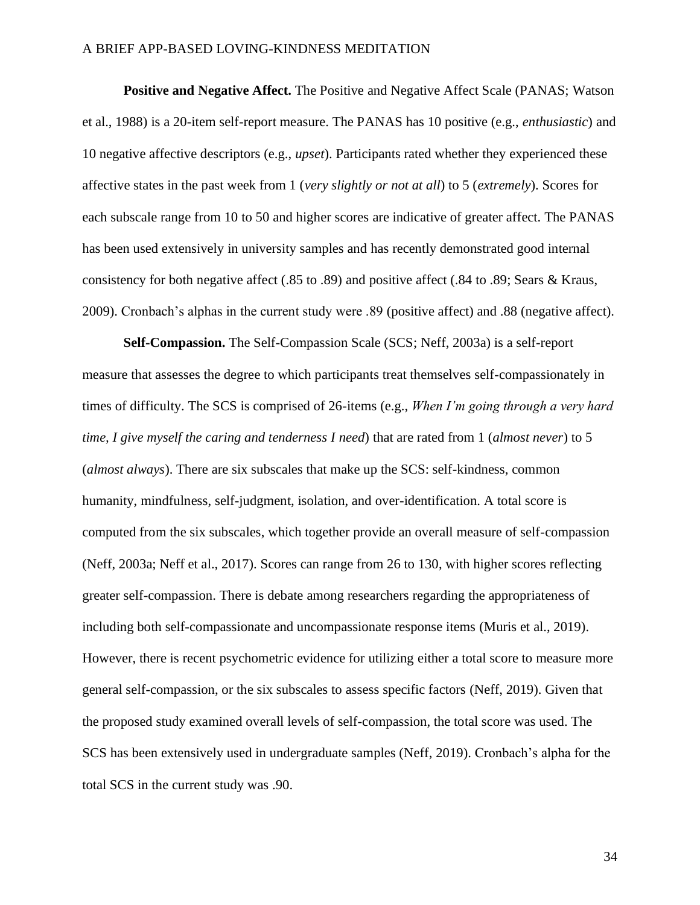**Positive and Negative Affect.** The Positive and Negative Affect Scale (PANAS; Watson et al., 1988) is a 20-item self-report measure. The PANAS has 10 positive (e.g., *enthusiastic*) and 10 negative affective descriptors (e.g., *upset*). Participants rated whether they experienced these affective states in the past week from 1 (*very slightly or not at all*) to 5 (*extremely*). Scores for each subscale range from 10 to 50 and higher scores are indicative of greater affect. The PANAS has been used extensively in university samples and has recently demonstrated good internal consistency for both negative affect (.85 to .89) and positive affect (.84 to .89; Sears & Kraus, 2009). Cronbach's alphas in the current study were .89 (positive affect) and .88 (negative affect).

**Self-Compassion.** The Self-Compassion Scale (SCS; Neff, 2003a) is a self-report measure that assesses the degree to which participants treat themselves self-compassionately in times of difficulty. The SCS is comprised of 26-items (e.g., *When I'm going through a very hard time, I give myself the caring and tenderness I need*) that are rated from 1 (*almost never*) to 5 (*almost always*). There are six subscales that make up the SCS: self-kindness, common humanity, mindfulness, self-judgment, isolation, and over-identification. A total score is computed from the six subscales, which together provide an overall measure of self-compassion (Neff, 2003a; Neff et al., 2017). Scores can range from 26 to 130, with higher scores reflecting greater self-compassion. There is debate among researchers regarding the appropriateness of including both self-compassionate and uncompassionate response items (Muris et al., 2019). However, there is recent psychometric evidence for utilizing either a total score to measure more general self-compassion, or the six subscales to assess specific factors (Neff, 2019). Given that the proposed study examined overall levels of self-compassion, the total score was used. The SCS has been extensively used in undergraduate samples (Neff, 2019). Cronbach's alpha for the total SCS in the current study was .90.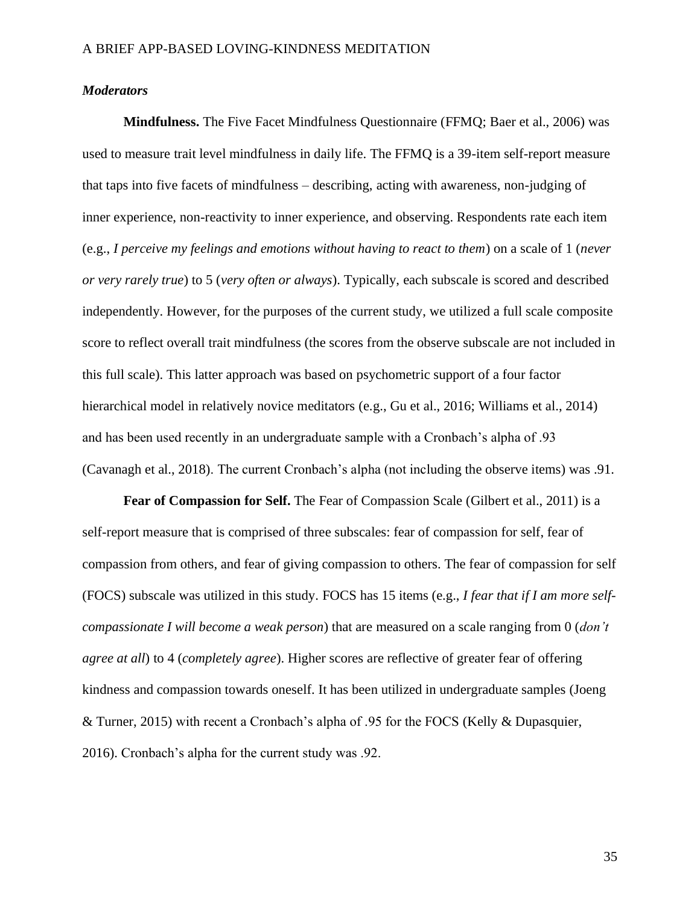### *Moderators*

**Mindfulness.** The Five Facet Mindfulness Questionnaire (FFMQ; Baer et al., 2006) was used to measure trait level mindfulness in daily life. The FFMQ is a 39-item self-report measure that taps into five facets of mindfulness – describing, acting with awareness, non-judging of inner experience, non-reactivity to inner experience, and observing. Respondents rate each item (e.g., *I perceive my feelings and emotions without having to react to them*) on a scale of 1 (*never or very rarely true*) to 5 (*very often or always*). Typically, each subscale is scored and described independently. However, for the purposes of the current study, we utilized a full scale composite score to reflect overall trait mindfulness (the scores from the observe subscale are not included in this full scale). This latter approach was based on psychometric support of a four factor hierarchical model in relatively novice meditators (e.g., Gu et al., 2016; Williams et al., 2014) and has been used recently in an undergraduate sample with a Cronbach's alpha of .93 (Cavanagh et al., 2018). The current Cronbach's alpha (not including the observe items) was .91.

**Fear of Compassion for Self.** The Fear of Compassion Scale (Gilbert et al., 2011) is a self-report measure that is comprised of three subscales: fear of compassion for self, fear of compassion from others, and fear of giving compassion to others. The fear of compassion for self (FOCS) subscale was utilized in this study. FOCS has 15 items (e.g., *I fear that if I am more selfcompassionate I will become a weak person*) that are measured on a scale ranging from 0 (*don't agree at all*) to 4 (*completely agree*). Higher scores are reflective of greater fear of offering kindness and compassion towards oneself. It has been utilized in undergraduate samples (Joeng & Turner, 2015) with recent a Cronbach's alpha of .95 for the FOCS (Kelly & Dupasquier, 2016). Cronbach's alpha for the current study was .92.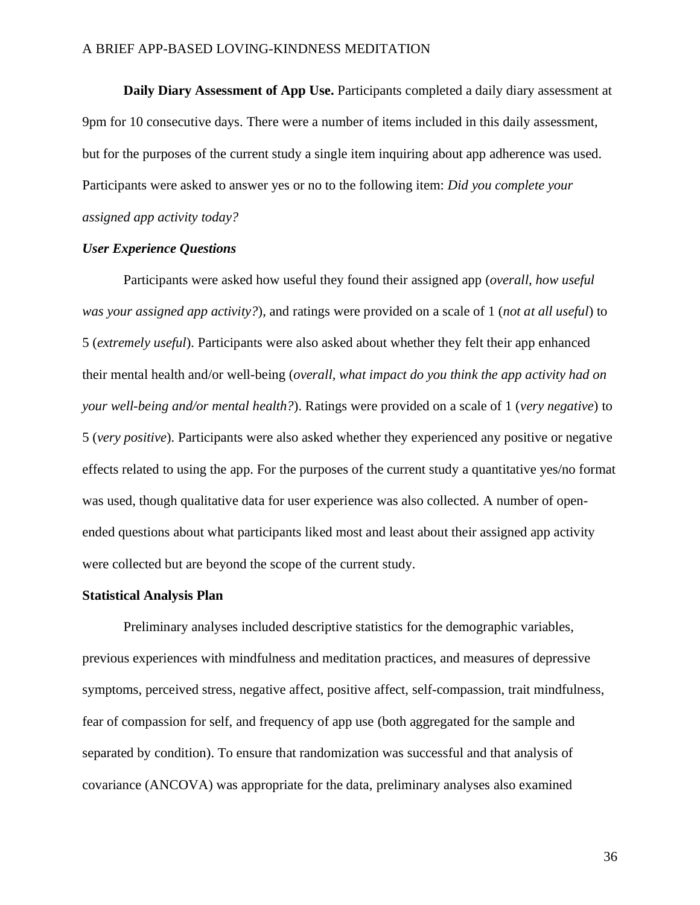**Daily Diary Assessment of App Use.** Participants completed a daily diary assessment at 9pm for 10 consecutive days. There were a number of items included in this daily assessment, but for the purposes of the current study a single item inquiring about app adherence was used. Participants were asked to answer yes or no to the following item: *Did you complete your assigned app activity today?*

### *User Experience Questions*

Participants were asked how useful they found their assigned app (*overall, how useful was your assigned app activity?*), and ratings were provided on a scale of 1 (*not at all useful*) to 5 (*extremely useful*). Participants were also asked about whether they felt their app enhanced their mental health and/or well-being (*overall, what impact do you think the app activity had on your well-being and/or mental health?*). Ratings were provided on a scale of 1 (*very negative*) to 5 (*very positive*). Participants were also asked whether they experienced any positive or negative effects related to using the app. For the purposes of the current study a quantitative yes/no format was used, though qualitative data for user experience was also collected. A number of openended questions about what participants liked most and least about their assigned app activity were collected but are beyond the scope of the current study.

#### **Statistical Analysis Plan**

Preliminary analyses included descriptive statistics for the demographic variables, previous experiences with mindfulness and meditation practices, and measures of depressive symptoms, perceived stress, negative affect, positive affect, self-compassion, trait mindfulness, fear of compassion for self, and frequency of app use (both aggregated for the sample and separated by condition). To ensure that randomization was successful and that analysis of covariance (ANCOVA) was appropriate for the data, preliminary analyses also examined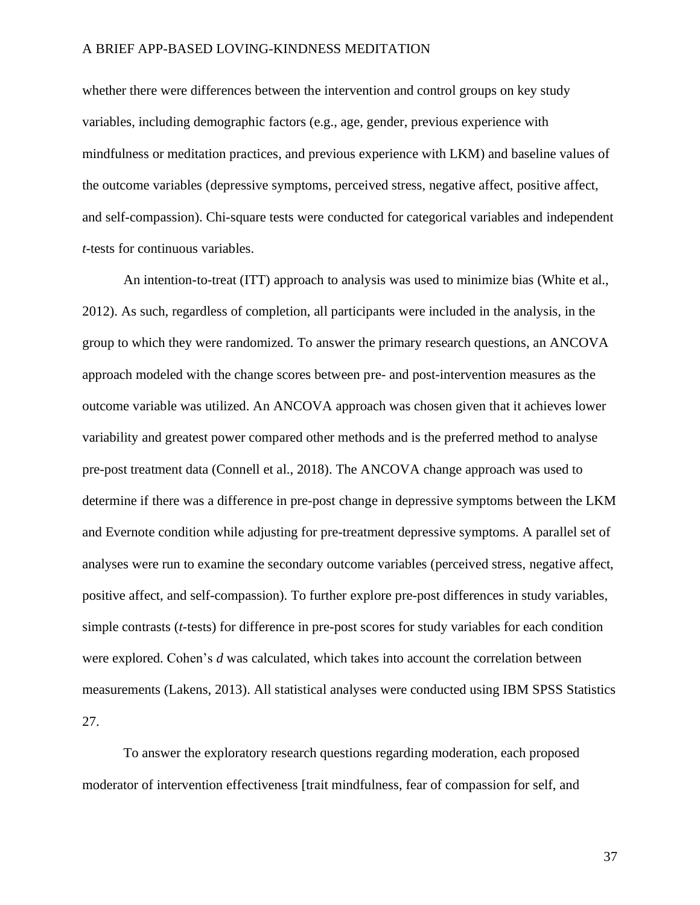whether there were differences between the intervention and control groups on key study variables, including demographic factors (e.g., age, gender, previous experience with mindfulness or meditation practices, and previous experience with LKM) and baseline values of the outcome variables (depressive symptoms, perceived stress, negative affect, positive affect, and self-compassion). Chi-square tests were conducted for categorical variables and independent *t*-tests for continuous variables.

An intention-to-treat (ITT) approach to analysis was used to minimize bias (White et al., 2012). As such, regardless of completion, all participants were included in the analysis, in the group to which they were randomized. To answer the primary research questions, an ANCOVA approach modeled with the change scores between pre- and post-intervention measures as the outcome variable was utilized. An ANCOVA approach was chosen given that it achieves lower variability and greatest power compared other methods and is the preferred method to analyse pre-post treatment data (Connell et al., 2018). The ANCOVA change approach was used to determine if there was a difference in pre-post change in depressive symptoms between the LKM and Evernote condition while adjusting for pre-treatment depressive symptoms. A parallel set of analyses were run to examine the secondary outcome variables (perceived stress, negative affect, positive affect, and self-compassion). To further explore pre-post differences in study variables, simple contrasts (*t*-tests) for difference in pre-post scores for study variables for each condition were explored. Cohen's *d* was calculated, which takes into account the correlation between measurements (Lakens, 2013). All statistical analyses were conducted using IBM SPSS Statistics 27.

To answer the exploratory research questions regarding moderation, each proposed moderator of intervention effectiveness [trait mindfulness, fear of compassion for self, and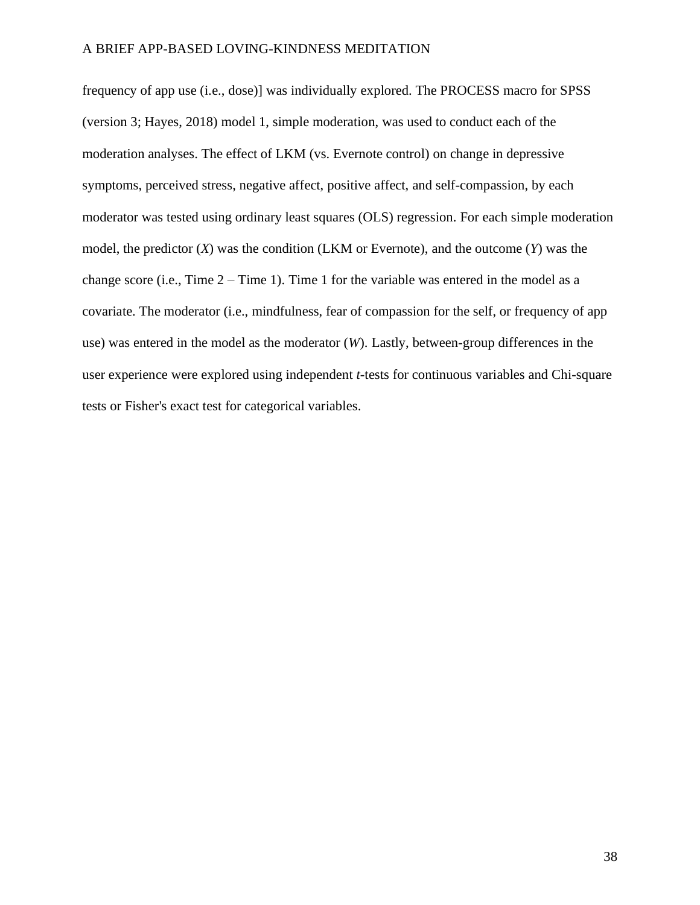frequency of app use (i.e., dose)] was individually explored. The PROCESS macro for SPSS (version 3; Hayes, 2018) model 1, simple moderation, was used to conduct each of the moderation analyses. The effect of LKM (vs. Evernote control) on change in depressive symptoms, perceived stress, negative affect, positive affect, and self-compassion, by each moderator was tested using ordinary least squares (OLS) regression. For each simple moderation model, the predictor (*X*) was the condition (LKM or Evernote), and the outcome (*Y*) was the change score (i.e., Time  $2 -$  Time 1). Time 1 for the variable was entered in the model as a covariate. The moderator (i.e., mindfulness, fear of compassion for the self, or frequency of app use) was entered in the model as the moderator (*W*). Lastly, between-group differences in the user experience were explored using independent *t*-tests for continuous variables and Chi-square tests or Fisher's exact test for categorical variables.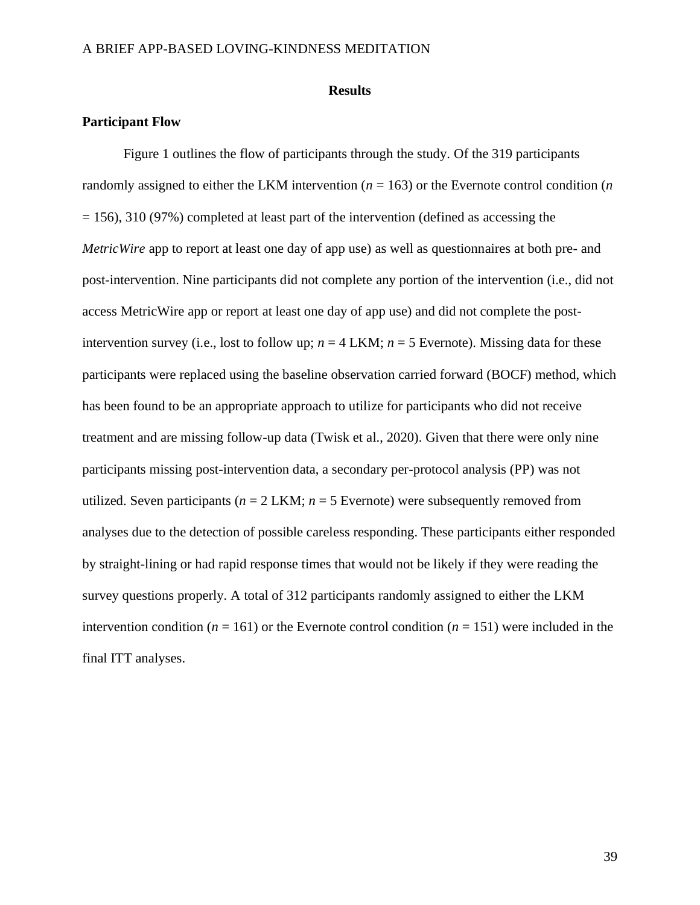### **Results**

## **Participant Flow**

Figure 1 outlines the flow of participants through the study. Of the 319 participants randomly assigned to either the LKM intervention ( $n = 163$ ) or the Evernote control condition ( $n$ )  $= 156$ ), 310 (97%) completed at least part of the intervention (defined as accessing the *MetricWire* app to report at least one day of app use) as well as questionnaires at both pre- and post-intervention. Nine participants did not complete any portion of the intervention (i.e., did not access MetricWire app or report at least one day of app use) and did not complete the postintervention survey (i.e., lost to follow up;  $n = 4$  LKM;  $n = 5$  Evernote). Missing data for these participants were replaced using the baseline observation carried forward (BOCF) method, which has been found to be an appropriate approach to utilize for participants who did not receive treatment and are missing follow-up data (Twisk et al., 2020). Given that there were only nine participants missing post-intervention data, a secondary per-protocol analysis (PP) was not utilized. Seven participants ( $n = 2$  LKM;  $n = 5$  Evernote) were subsequently removed from analyses due to the detection of possible careless responding. These participants either responded by straight-lining or had rapid response times that would not be likely if they were reading the survey questions properly. A total of 312 participants randomly assigned to either the LKM intervention condition ( $n = 161$ ) or the Evernote control condition ( $n = 151$ ) were included in the final ITT analyses.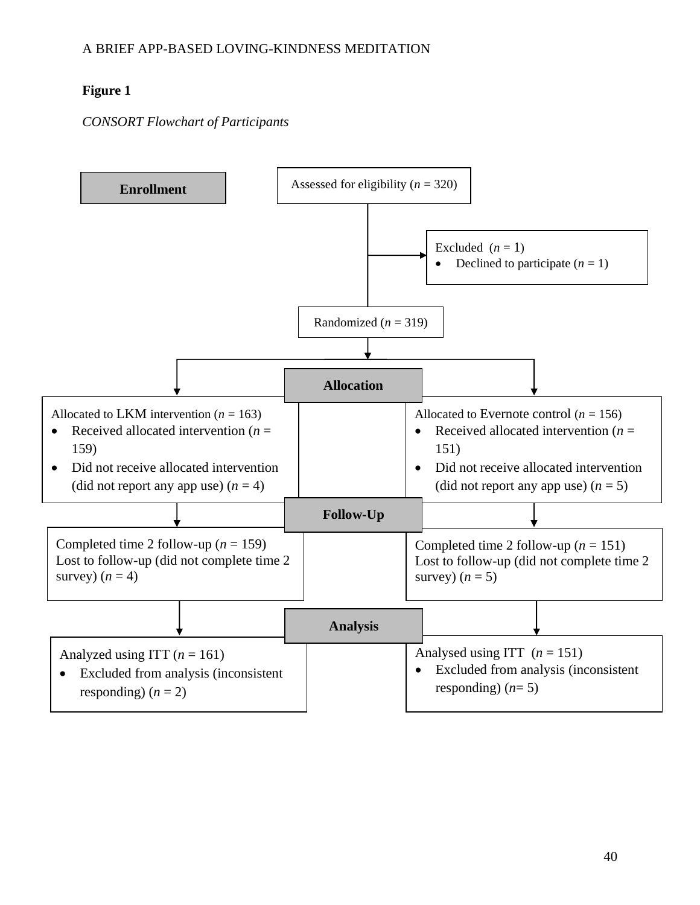# **Figure 1**

# *CONSORT Flowchart of Participants*

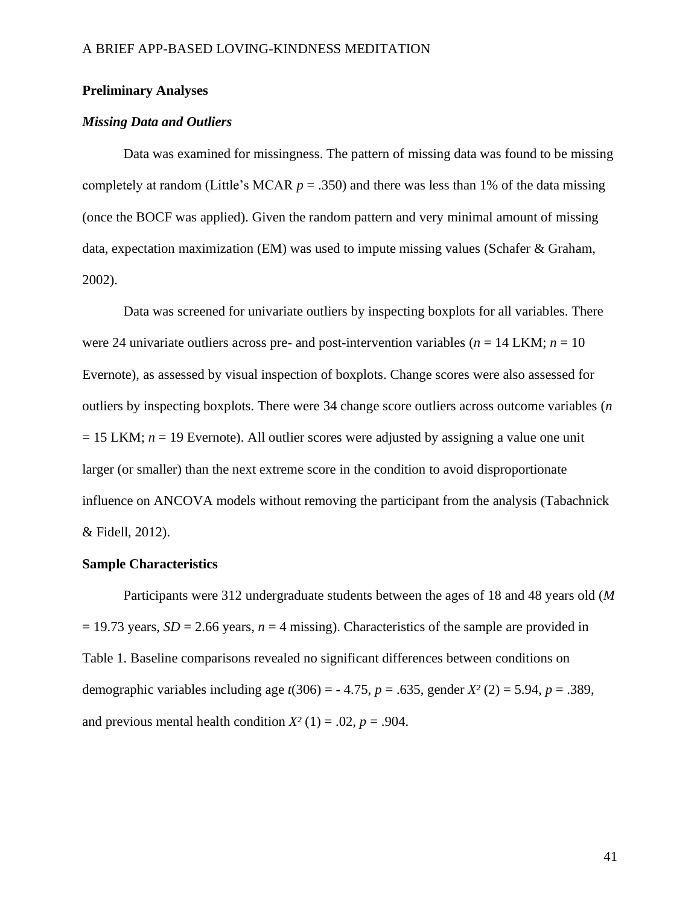### **Preliminary Analyses**

### *Missing Data and Outliers*

Data was examined for missingness. The pattern of missing data was found to be missing completely at random (Little's MCAR  $p = .350$ ) and there was less than 1% of the data missing (once the BOCF was applied). Given the random pattern and very minimal amount of missing data, expectation maximization (EM) was used to impute missing values (Schafer & Graham, 2002).

Data was screened for univariate outliers by inspecting boxplots for all variables. There were 24 univariate outliers across pre- and post-intervention variables ( $n = 14$  LKM;  $n = 10$ ) Evernote), as assessed by visual inspection of boxplots. Change scores were also assessed for outliers by inspecting boxplots. There were 34 change score outliers across outcome variables (*n*  $= 15$  LKM;  $n = 19$  Evernote). All outlier scores were adjusted by assigning a value one unit larger (or smaller) than the next extreme score in the condition to avoid disproportionate influence on ANCOVA models without removing the participant from the analysis (Tabachnick & Fidell, 2012).

### **Sample Characteristics**

Participants were 312 undergraduate students between the ages of 18 and 48 years old (*M*  $= 19.73$  years, *SD* = 2.66 years,  $n = 4$  missing). Characteristics of the sample are provided in Table 1. Baseline comparisons revealed no significant differences between conditions on demographic variables including age *t*(306) = - 4.75, *p* = .635, gender *X²* (2) = 5.94, *p* = .389, and previous mental health condition  $X^2(1) = .02$ ,  $p = .904$ .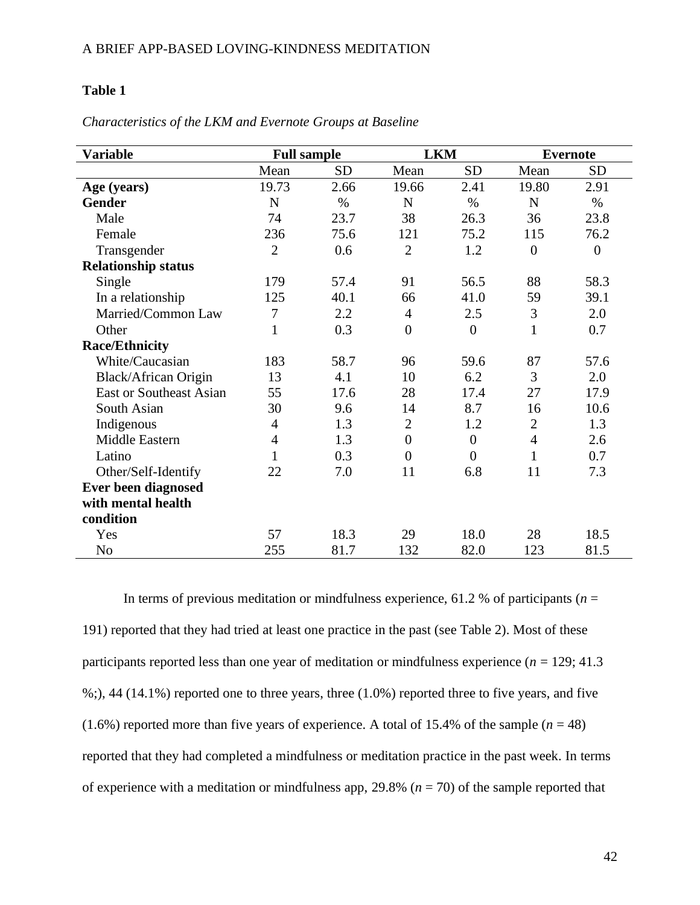## **Table 1**

| <b>Variable</b>                | <b>Full sample</b> |           | <b>LKM</b>       |                | <b>Evernote</b> |                |
|--------------------------------|--------------------|-----------|------------------|----------------|-----------------|----------------|
|                                | Mean               | <b>SD</b> | Mean             | <b>SD</b>      | Mean            | <b>SD</b>      |
| Age (years)                    | 19.73              | 2.66      | 19.66            | 2.41           | 19.80           | 2.91           |
| <b>Gender</b>                  | N                  | $\%$      | N                | $\%$           | N               | $\%$           |
| Male                           | 74                 | 23.7      | 38               | 26.3           | 36              | 23.8           |
| Female                         | 236                | 75.6      | 121              | 75.2           | 115             | 76.2           |
| Transgender                    | $\overline{2}$     | 0.6       | $\overline{2}$   | 1.2            | $\overline{0}$  | $\overline{0}$ |
| <b>Relationship status</b>     |                    |           |                  |                |                 |                |
| Single                         | 179                | 57.4      | 91               | 56.5           | 88              | 58.3           |
| In a relationship              | 125                | 40.1      | 66               | 41.0           | 59              | 39.1           |
| Married/Common Law             | $\boldsymbol{7}$   | 2.2       | $\overline{4}$   | 2.5            | 3               | 2.0            |
| Other                          | $\mathbf{1}$       | 0.3       | $\boldsymbol{0}$ | $\overline{0}$ | 1               | 0.7            |
| <b>Race/Ethnicity</b>          |                    |           |                  |                |                 |                |
| White/Caucasian                | 183                | 58.7      | 96               | 59.6           | 87              | 57.6           |
| Black/African Origin           | 13                 | 4.1       | 10               | 6.2            | 3               | 2.0            |
| <b>East or Southeast Asian</b> | 55                 | 17.6      | 28               | 17.4           | 27              | 17.9           |
| South Asian                    | 30                 | 9.6       | 14               | 8.7            | 16              | 10.6           |
| Indigenous                     | 4                  | 1.3       | $\overline{2}$   | 1.2            | $\overline{2}$  | 1.3            |
| Middle Eastern                 | $\overline{4}$     | 1.3       | $\boldsymbol{0}$ | $\overline{0}$ | $\overline{4}$  | 2.6            |
| Latino                         | $\mathbf{1}$       | 0.3       | $\overline{0}$   | $\overline{0}$ | $\mathbf{1}$    | 0.7            |
| Other/Self-Identify            | 22                 | 7.0       | 11               | 6.8            | 11              | 7.3            |
| <b>Ever been diagnosed</b>     |                    |           |                  |                |                 |                |
| with mental health             |                    |           |                  |                |                 |                |
| condition                      |                    |           |                  |                |                 |                |
| Yes                            | 57                 | 18.3      | 29               | 18.0           | 28              | 18.5           |
| N <sub>0</sub>                 | 255                | 81.7      | 132              | 82.0           | 123             | 81.5           |

*Characteristics of the LKM and Evernote Groups at Baseline*

In terms of previous meditation or mindfulness experience, 61.2 % of participants ( $n =$ 191) reported that they had tried at least one practice in the past (see Table 2). Most of these participants reported less than one year of meditation or mindfulness experience ( $n = 129; 41.3$ ) %;), 44 (14.1%) reported one to three years, three (1.0%) reported three to five years, and five  $(1.6\%)$  reported more than five years of experience. A total of 15.4% of the sample  $(n = 48)$ reported that they had completed a mindfulness or meditation practice in the past week. In terms of experience with a meditation or mindfulness app, 29.8% (*n* = 70) of the sample reported that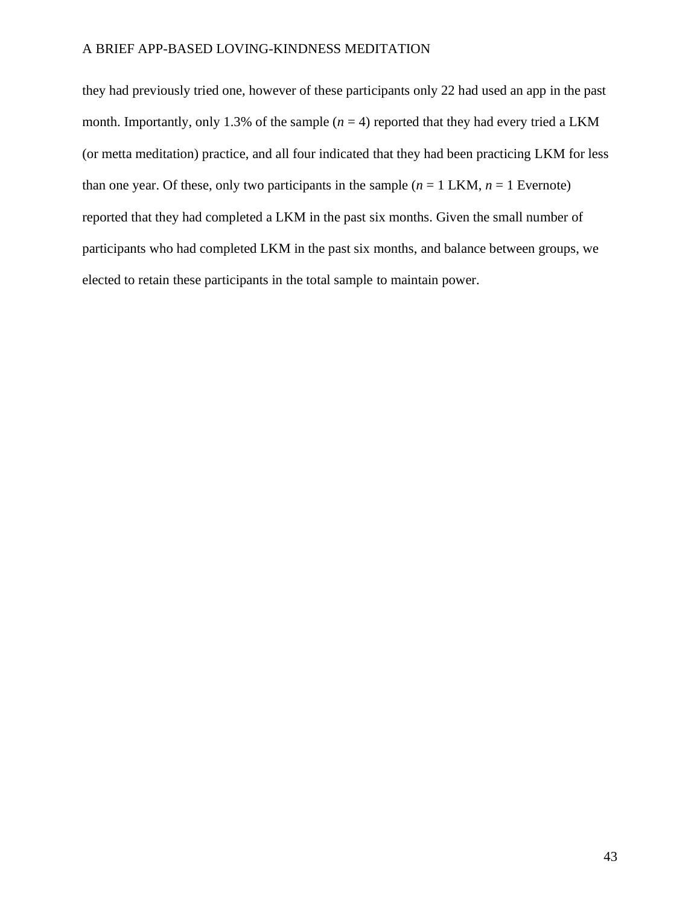they had previously tried one, however of these participants only 22 had used an app in the past month. Importantly, only 1.3% of the sample  $(n = 4)$  reported that they had every tried a LKM (or metta meditation) practice, and all four indicated that they had been practicing LKM for less than one year. Of these, only two participants in the sample  $(n = 1$  LKM,  $n = 1$  Evernote) reported that they had completed a LKM in the past six months. Given the small number of participants who had completed LKM in the past six months, and balance between groups, we elected to retain these participants in the total sample to maintain power.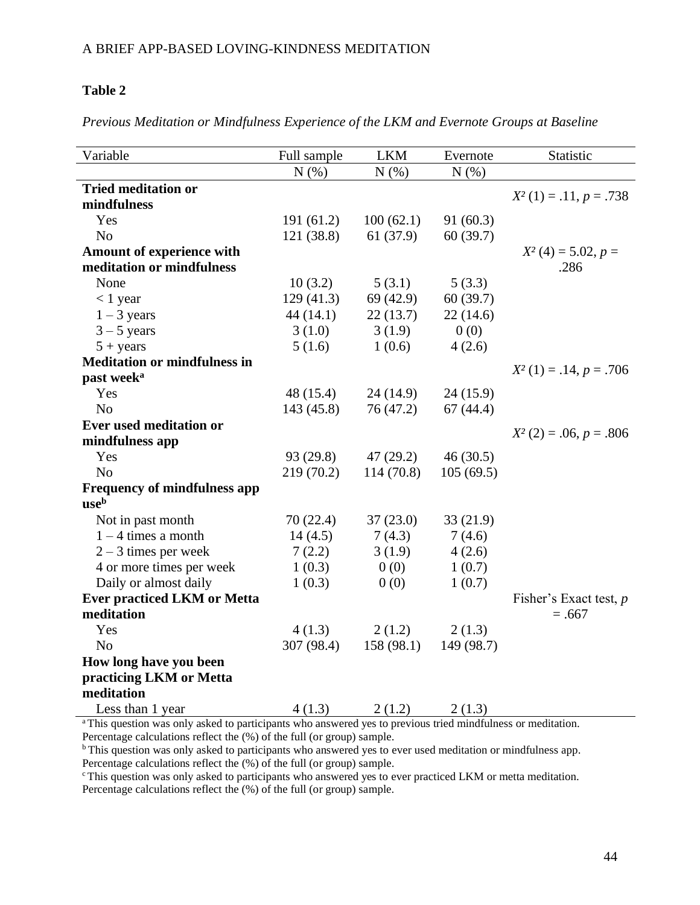## **Table 2**

*Previous Meditation or Mindfulness Experience of the LKM and Evernote Groups at Baseline*

| Variable                            | Full sample | <b>LKM</b> | Evernote              | Statistic                |
|-------------------------------------|-------------|------------|-----------------------|--------------------------|
|                                     | N(%)        | N(% )      | N(%)                  |                          |
| <b>Tried meditation or</b>          |             |            |                       |                          |
| mindfulness                         |             |            |                       | $X^2(1) = .11, p = .738$ |
| Yes                                 | 191(61.2)   | 100(62.1)  | 91(60.3)              |                          |
| N <sub>o</sub>                      | 121 (38.8)  | 61 (37.9)  | 60(39.7)              |                          |
| Amount of experience with           |             |            |                       | $X^2(4) = 5.02, p =$     |
| meditation or mindfulness           |             |            |                       | .286                     |
| None                                | 10(3.2)     | 5(3.1)     | 5(3.3)                |                          |
| $< 1$ year                          | 129(41.3)   | 69 (42.9)  | 60(39.7)              |                          |
| $1 - 3$ years                       | 44(14.1)    | 22(13.7)   | 22(14.6)              |                          |
| $3 - 5$ years                       | 3(1.0)      | 3(1.9)     | 0(0)                  |                          |
| $5 + years$                         | 5(1.6)      | 1(0.6)     | 4(2.6)                |                          |
| <b>Meditation or mindfulness in</b> |             |            |                       | $X^2(1) = .14, p = .706$ |
| past week <sup>a</sup>              |             |            |                       |                          |
| Yes                                 | 48 (15.4)   | 24(14.9)   | 24(15.9)              |                          |
| N <sub>0</sub>                      | 143(45.8)   | 76 (47.2)  | 67(44.4)              |                          |
| Ever used meditation or             |             |            |                       | $X^2(2) = .06, p = .806$ |
| mindfulness app                     |             |            |                       |                          |
| Yes                                 | 93 (29.8)   | 47(29.2)   | 46(30.5)              |                          |
| N <sub>o</sub>                      | 219(70.2)   | 114 (70.8) | 105(69.5)             |                          |
| <b>Frequency of mindfulness app</b> |             |            |                       |                          |
| useb                                |             |            |                       |                          |
| Not in past month                   | 70(22.4)    | 37(23.0)   | 33(21.9)              |                          |
| $1 - 4$ times a month               | 14(4.5)     | 7(4.3)     | 7(4.6)                |                          |
| $2 - 3$ times per week              | 7(2.2)      | 3(1.9)     | 4(2.6)                |                          |
| 4 or more times per week            | 1(0.3)      | 0(0)       | 1(0.7)                |                          |
| Daily or almost daily               | 1(0.3)      | 0(0)       | 1(0.7)                |                          |
| <b>Ever practiced LKM or Metta</b>  |             |            |                       | Fisher's Exact test, $p$ |
| meditation                          |             |            |                       | $=.667$                  |
| Yes                                 | 4(1.3)      | 2(1.2)     | 2(1.3)                |                          |
| N <sub>o</sub>                      | 307 (98.4)  | 158(98.1)  | 149 (98.7)            |                          |
| How long have you been              |             |            |                       |                          |
| practicing LKM or Metta             |             |            |                       |                          |
| meditation                          |             |            |                       |                          |
| Less than 1 year                    | 4(1.3)      | 2(1.2)     | $\frac{2(1.3)}{1+15}$ |                          |

This question was only asked to participants who answered yes to previous tried mindfulness or meditation. Percentage calculations reflect the (%) of the full (or group) sample.

b This question was only asked to participants who answered yes to ever used meditation or mindfulness app. Percentage calculations reflect the (%) of the full (or group) sample.

<sup>c</sup> This question was only asked to participants who answered yes to ever practiced LKM or metta meditation.

Percentage calculations reflect the (%) of the full (or group) sample.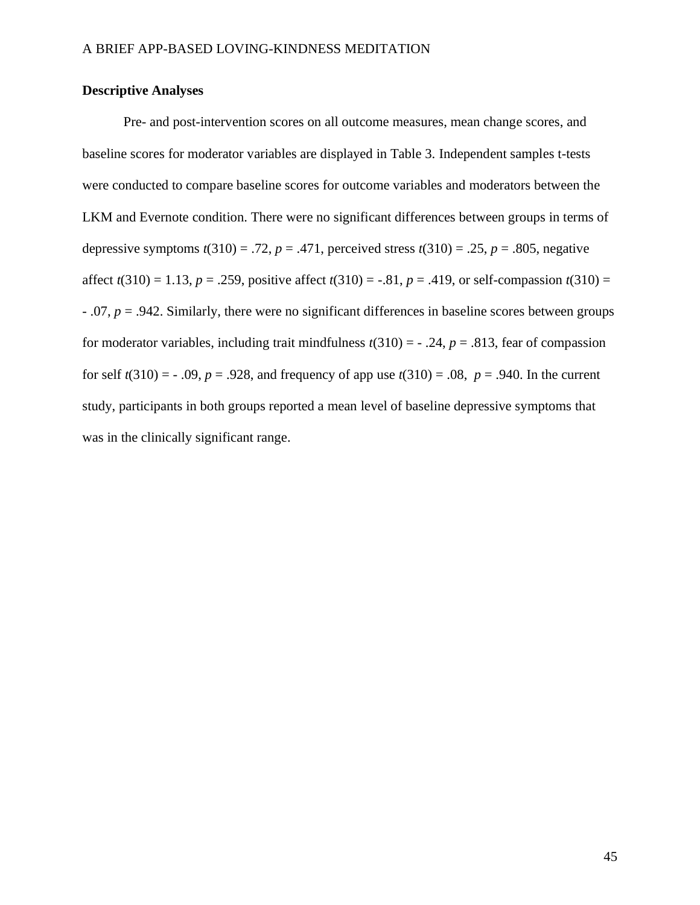## **Descriptive Analyses**

Pre- and post-intervention scores on all outcome measures, mean change scores, and baseline scores for moderator variables are displayed in Table 3. Independent samples t-tests were conducted to compare baseline scores for outcome variables and moderators between the LKM and Evernote condition. There were no significant differences between groups in terms of depressive symptoms  $t(310) = .72$ ,  $p = .471$ , perceived stress  $t(310) = .25$ ,  $p = .805$ , negative affect  $t(310) = 1.13$ ,  $p = .259$ , positive affect  $t(310) = -.81$ ,  $p = .419$ , or self-compassion  $t(310) =$ - .07, *p* = .942. Similarly, there were no significant differences in baseline scores between groups for moderator variables, including trait mindfulness  $t(310) = -0.24$ ,  $p = 0.813$ , fear of compassion for self  $t(310) = -0.09$ ,  $p = 0.928$ , and frequency of app use  $t(310) = 0.08$ ,  $p = 0.940$ . In the current study, participants in both groups reported a mean level of baseline depressive symptoms that was in the clinically significant range.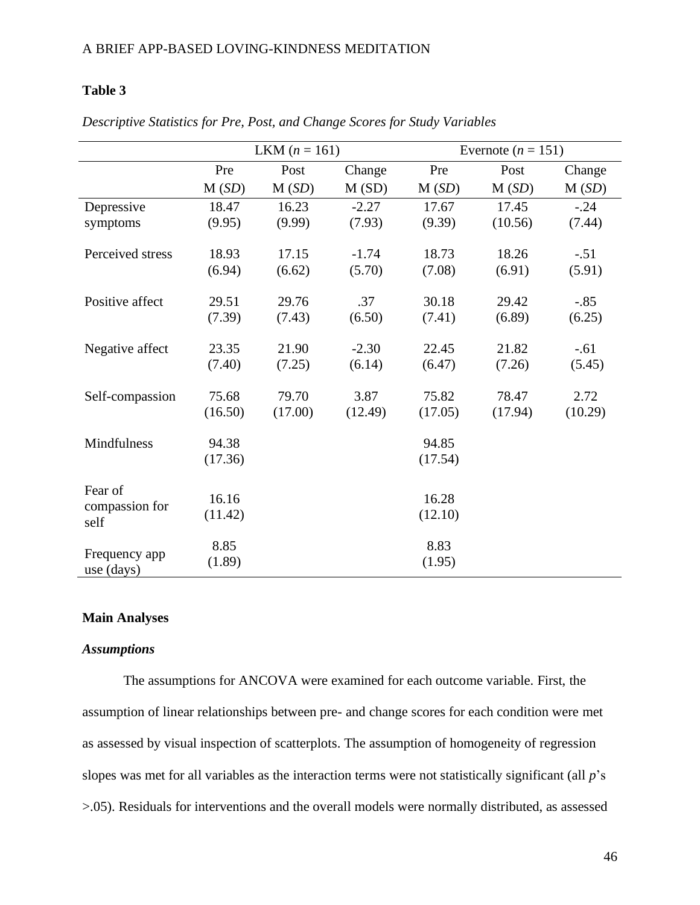## **Table 3**

|                             |         | <b>LKM</b> $(n = 161)$ |         |         | Evernote $(n = 151)$ |         |  |  |
|-----------------------------|---------|------------------------|---------|---------|----------------------|---------|--|--|
|                             | Pre     | Post                   | Change  | Pre     | Post                 | Change  |  |  |
|                             | M(SD)   | M(SD)                  | M(SD)   | M(SD)   | M(SD)                | M(SD)   |  |  |
| Depressive                  | 18.47   | 16.23                  | $-2.27$ | 17.67   | 17.45                | $-.24$  |  |  |
| symptoms                    | (9.95)  | (9.99)                 | (7.93)  | (9.39)  | (10.56)              | (7.44)  |  |  |
| Perceived stress            | 18.93   | 17.15                  | $-1.74$ | 18.73   | 18.26                | $-.51$  |  |  |
|                             | (6.94)  | (6.62)                 | (5.70)  | (7.08)  | (6.91)               | (5.91)  |  |  |
|                             |         |                        |         |         |                      |         |  |  |
| Positive affect             | 29.51   | 29.76                  | .37     | 30.18   | 29.42                | $-.85$  |  |  |
|                             | (7.39)  | (7.43)                 | (6.50)  | (7.41)  | (6.89)               | (6.25)  |  |  |
| Negative affect             | 23.35   | 21.90                  | $-2.30$ | 22.45   | 21.82                | $-.61$  |  |  |
|                             | (7.40)  | (7.25)                 | (6.14)  | (6.47)  | (7.26)               | (5.45)  |  |  |
| Self-compassion             | 75.68   | 79.70                  | 3.87    | 75.82   | 78.47                | 2.72    |  |  |
|                             | (16.50) | (17.00)                | (12.49) | (17.05) | (17.94)              | (10.29) |  |  |
|                             |         |                        |         |         |                      |         |  |  |
| Mindfulness                 | 94.38   |                        |         | 94.85   |                      |         |  |  |
|                             | (17.36) |                        |         | (17.54) |                      |         |  |  |
| Fear of                     |         |                        |         |         |                      |         |  |  |
| compassion for              | 16.16   |                        |         | 16.28   |                      |         |  |  |
| self                        | (11.42) |                        |         | (12.10) |                      |         |  |  |
|                             | 8.85    |                        |         | 8.83    |                      |         |  |  |
| Frequency app<br>use (days) | (1.89)  |                        |         | (1.95)  |                      |         |  |  |

*Descriptive Statistics for Pre, Post, and Change Scores for Study Variables*

## **Main Analyses**

### *Assumptions*

The assumptions for ANCOVA were examined for each outcome variable. First, the assumption of linear relationships between pre- and change scores for each condition were met as assessed by visual inspection of scatterplots. The assumption of homogeneity of regression slopes was met for all variables as the interaction terms were not statistically significant (all *p*'s >.05). Residuals for interventions and the overall models were normally distributed, as assessed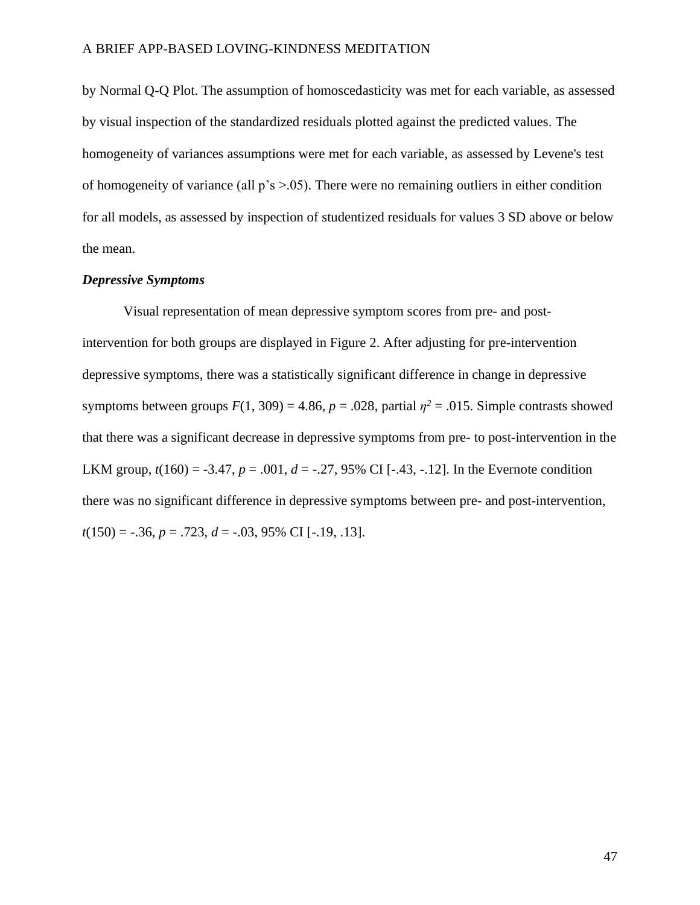by Normal Q-Q Plot. The assumption of homoscedasticity was met for each variable, as assessed by visual inspection of the standardized residuals plotted against the predicted values. The homogeneity of variances assumptions were met for each variable, as assessed by Levene's test of homogeneity of variance (all p's >.05). There were no remaining outliers in either condition for all models, as assessed by inspection of studentized residuals for values 3 SD above or below the mean.

### *Depressive Symptoms*

Visual representation of mean depressive symptom scores from pre- and postintervention for both groups are displayed in Figure 2. After adjusting for pre-intervention depressive symptoms, there was a statistically significant difference in change in depressive symptoms between groups  $F(1, 309) = 4.86$ ,  $p = .028$ , partial  $\eta^2 = .015$ . Simple contrasts showed that there was a significant decrease in depressive symptoms from pre- to post-intervention in the LKM group,  $t(160) = -3.47$ ,  $p = .001$ ,  $d = -.27, 95\%$  CI [-.43, -.12]. In the Evernote condition there was no significant difference in depressive symptoms between pre- and post-intervention, *t*(150) = -.36, *p* = .723, *d* = -.03, 95% CI [-.19, .13].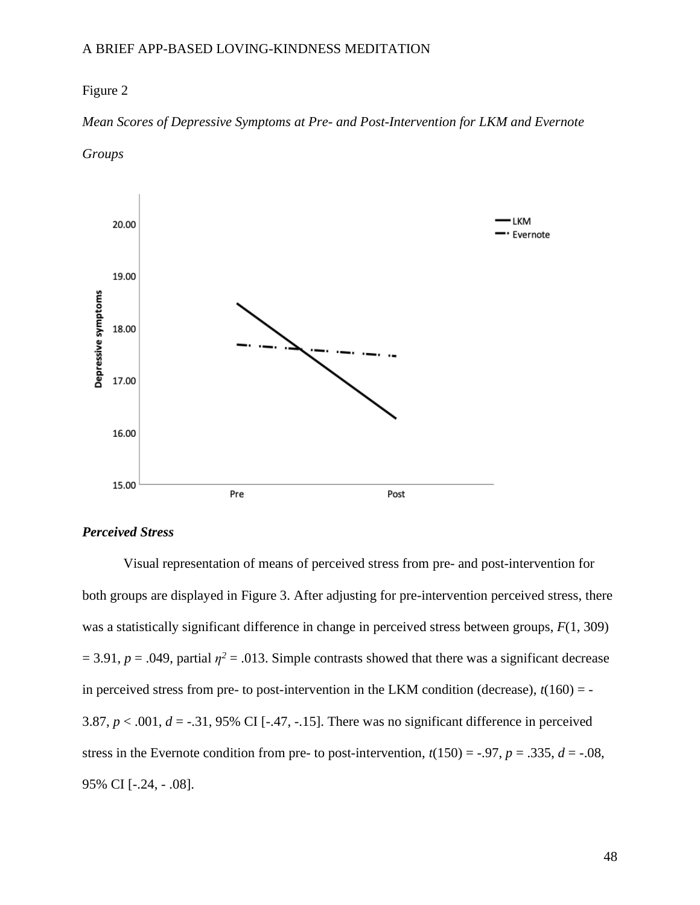## Figure 2

## *Mean Scores of Depressive Symptoms at Pre- and Post-Intervention for LKM and Evernote*





### *Perceived Stress*

Visual representation of means of perceived stress from pre- and post-intervention for both groups are displayed in Figure 3. After adjusting for pre-intervention perceived stress, there was a statistically significant difference in change in perceived stress between groups, *F*(1, 309)  $= 3.91, p = .049$ , partial  $\eta^2 = .013$ . Simple contrasts showed that there was a significant decrease in perceived stress from pre- to post-intervention in the LKM condition (decrease),  $t(160) = -$ 3.87,  $p < .001$ ,  $d = -.31$ , 95% CI [-.47, -.15]. There was no significant difference in perceived stress in the Evernote condition from pre- to post-intervention,  $t(150) = -.97$ ,  $p = .335$ ,  $d = -.08$ , 95% CI [-.24, - .08].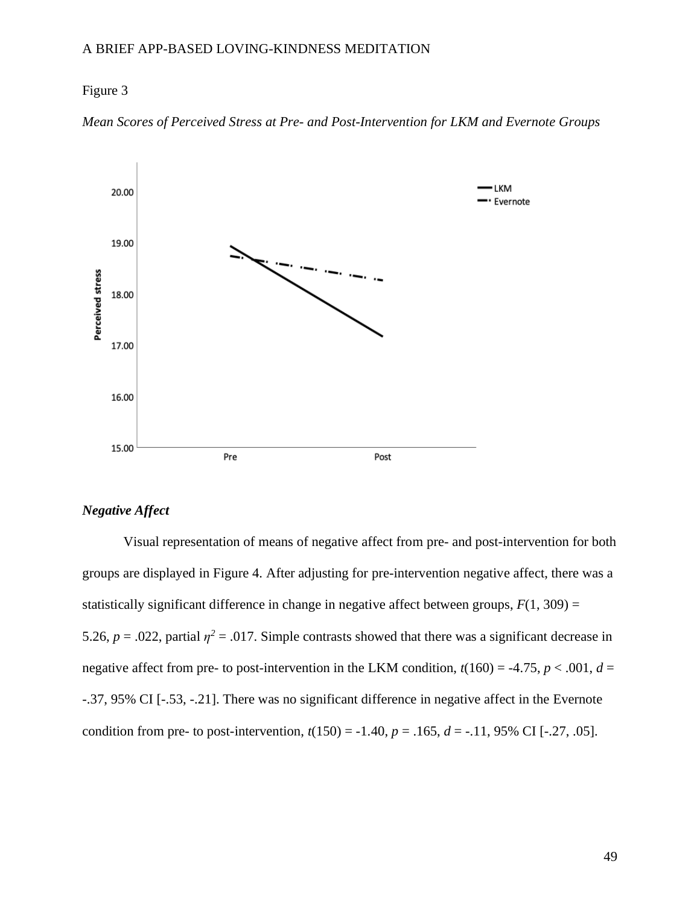## Figure 3





## *Negative Affect*

Visual representation of means of negative affect from pre- and post-intervention for both groups are displayed in Figure 4. After adjusting for pre-intervention negative affect, there was a statistically significant difference in change in negative affect between groups,  $F(1, 309) =$ 5.26,  $p = 0.022$ , partial  $\eta^2 = 0.017$ . Simple contrasts showed that there was a significant decrease in negative affect from pre- to post-intervention in the LKM condition,  $t(160) = -4.75$ ,  $p < .001$ ,  $d =$ -.37, 95% CI [-.53, -.21]. There was no significant difference in negative affect in the Evernote condition from pre- to post-intervention,  $t(150) = -1.40$ ,  $p = .165$ ,  $d = -.11$ , 95% CI [-.27, .05].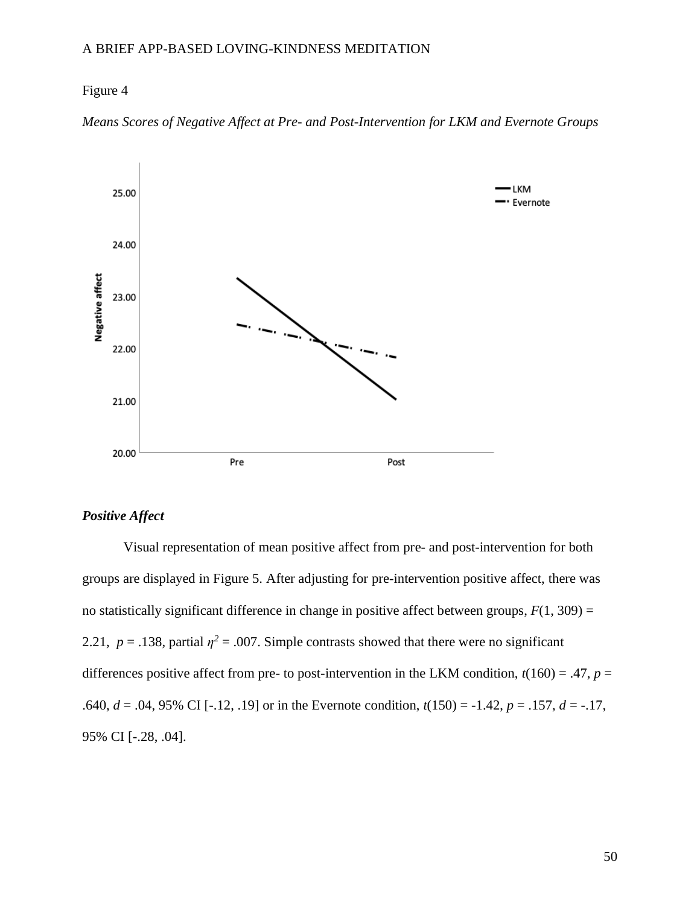## Figure 4





## *Positive Affect*

Visual representation of mean positive affect from pre- and post-intervention for both groups are displayed in Figure 5. After adjusting for pre-intervention positive affect, there was no statistically significant difference in change in positive affect between groups,  $F(1, 309) =$ 2.21,  $p = 0.138$ , partial  $\eta^2 = 0.007$ . Simple contrasts showed that there were no significant differences positive affect from pre- to post-intervention in the LKM condition,  $t(160) = .47$ ,  $p =$ .640,  $d = .04, 95\%$  CI [-.12, .19] or in the Evernote condition,  $t(150) = -1.42$ ,  $p = .157$ ,  $d = -.17$ , 95% CI [-.28, .04].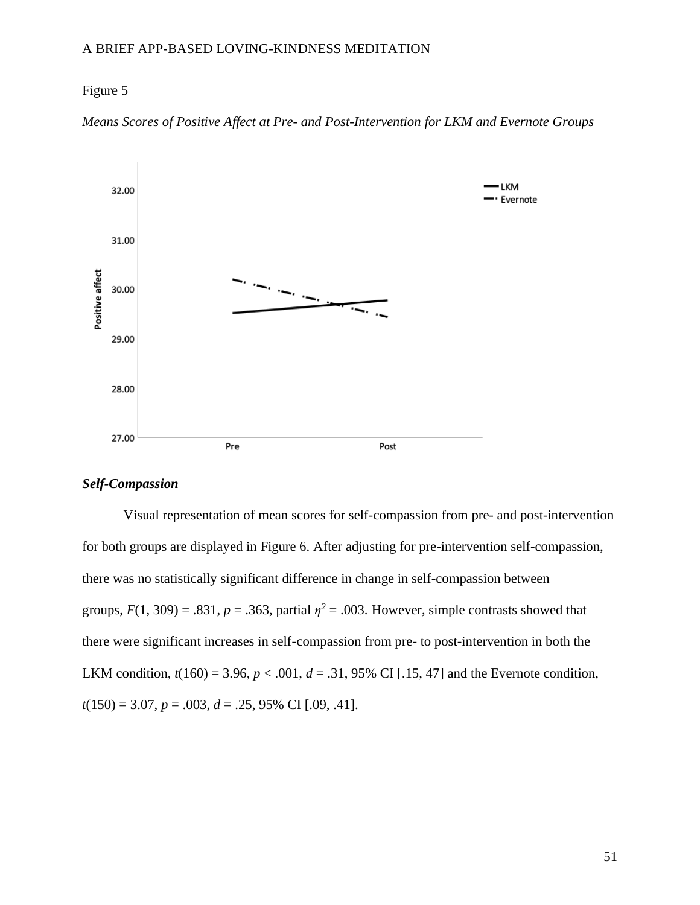## Figure 5





## *Self-Compassion*

Visual representation of mean scores for self-compassion from pre- and post-intervention for both groups are displayed in Figure 6. After adjusting for pre-intervention self-compassion, there was no statistically significant difference in change in self-compassion between groups,  $F(1, 309) = .831$ ,  $p = .363$ , partial  $\eta^2 = .003$ . However, simple contrasts showed that there were significant increases in self-compassion from pre- to post-intervention in both the LKM condition,  $t(160) = 3.96$ ,  $p < .001$ ,  $d = .31$ , 95% CI [.15, 47] and the Evernote condition, *t*(150) = 3.07, *p* = .003, *d* = .25, 95% CI [.09, .41].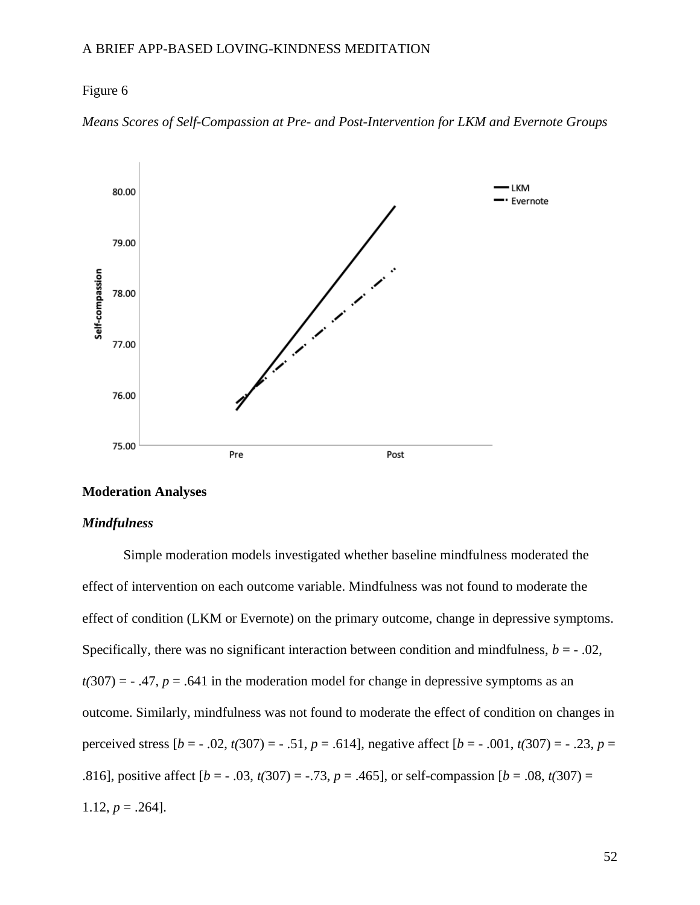## Figure 6



*Means Scores of Self-Compassion at Pre- and Post-Intervention for LKM and Evernote Groups*

## **Moderation Analyses**

## *Mindfulness*

Simple moderation models investigated whether baseline mindfulness moderated the effect of intervention on each outcome variable. Mindfulness was not found to moderate the effect of condition (LKM or Evernote) on the primary outcome, change in depressive symptoms. Specifically, there was no significant interaction between condition and mindfulness,  $b = -0.02$ ,  $t(307) = -0.47$ ,  $p = 0.641$  in the moderation model for change in depressive symptoms as an outcome. Similarly, mindfulness was not found to moderate the effect of condition on changes in perceived stress  $[b = -0.02, t(307) = -0.51, p = 0.614]$ , negative affect  $[b = -0.001, t(307) = -0.23, p = 0.614]$ .816], positive affect  $[b = -0.03, t(307) = -0.73, p = 0.465]$ , or self-compassion  $[b = 0.08, t(307) = 0.73, p = 0.465]$ 1.12,  $p = .264$ ].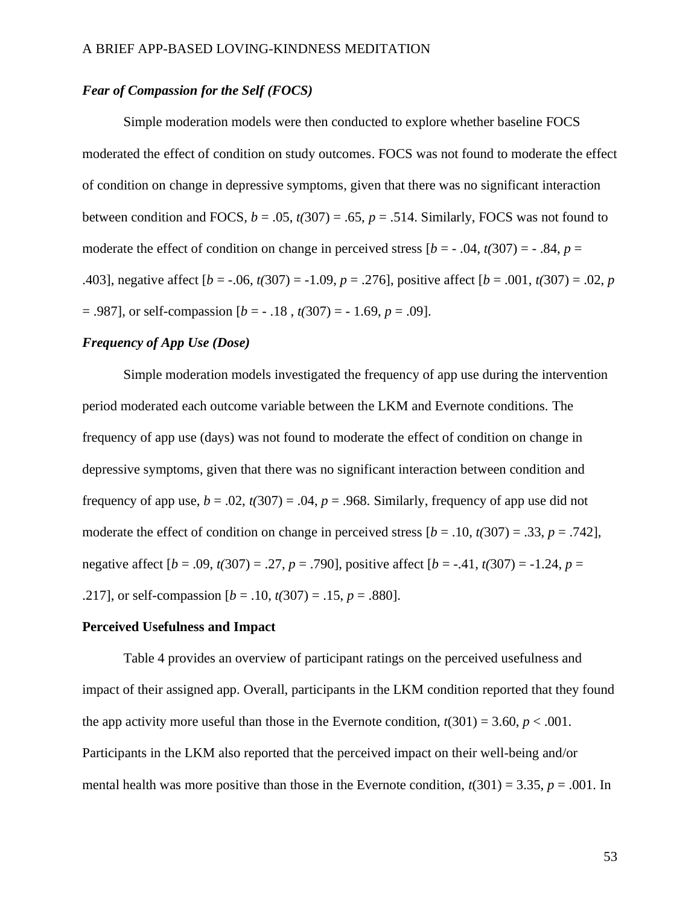## *Fear of Compassion for the Self (FOCS)*

Simple moderation models were then conducted to explore whether baseline FOCS moderated the effect of condition on study outcomes. FOCS was not found to moderate the effect of condition on change in depressive symptoms, given that there was no significant interaction between condition and FOCS,  $b = .05$ ,  $t(307) = .65$ ,  $p = .514$ . Similarly, FOCS was not found to moderate the effect of condition on change in perceived stress  $[b = -0.04, t(307) = -0.84, p =$ .403], negative affect  $[b = -.06, t(307) = -1.09, p = .276]$ , positive affect  $[b = .001, t(307) = .02, p$ = .987], or self-compassion [*b* = - .18 , *t(*307) = - 1.69, *p* = .09].

### *Frequency of App Use (Dose)*

Simple moderation models investigated the frequency of app use during the intervention period moderated each outcome variable between the LKM and Evernote conditions. The frequency of app use (days) was not found to moderate the effect of condition on change in depressive symptoms, given that there was no significant interaction between condition and frequency of app use,  $b = .02$ ,  $t(307) = .04$ ,  $p = .968$ . Similarly, frequency of app use did not moderate the effect of condition on change in perceived stress  $[b = .10, t(307) = .33, p = .742]$ , negative affect [*b* = .09, *t(*307) = .27, *p* = .790], positive affect [*b* = -.41, *t(*307) = -1.24, *p* = .217], or self-compassion  $[b = .10, t(307) = .15, p = .880]$ .

#### **Perceived Usefulness and Impact**

Table 4 provides an overview of participant ratings on the perceived usefulness and impact of their assigned app. Overall, participants in the LKM condition reported that they found the app activity more useful than those in the Evernote condition,  $t(301) = 3.60$ ,  $p < .001$ . Participants in the LKM also reported that the perceived impact on their well-being and/or mental health was more positive than those in the Evernote condition,  $t(301) = 3.35$ ,  $p = .001$ . In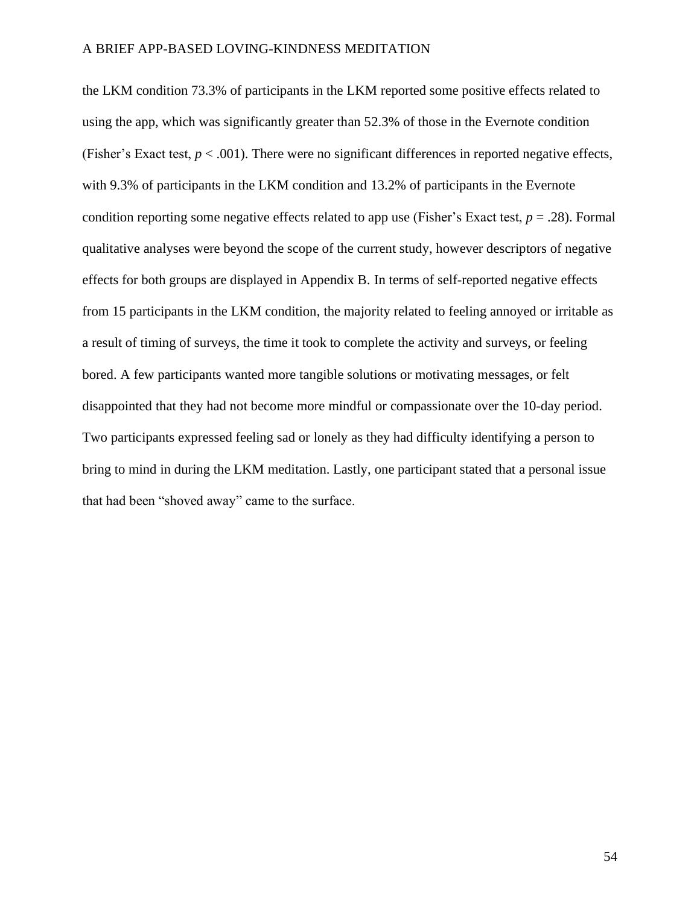the LKM condition 73.3% of participants in the LKM reported some positive effects related to using the app, which was significantly greater than 52.3% of those in the Evernote condition (Fisher's Exact test,  $p < .001$ ). There were no significant differences in reported negative effects, with 9.3% of participants in the LKM condition and 13.2% of participants in the Evernote condition reporting some negative effects related to app use (Fisher's Exact test, *p* = .28). Formal qualitative analyses were beyond the scope of the current study, however descriptors of negative effects for both groups are displayed in Appendix B. In terms of self-reported negative effects from 15 participants in the LKM condition, the majority related to feeling annoyed or irritable as a result of timing of surveys, the time it took to complete the activity and surveys, or feeling bored. A few participants wanted more tangible solutions or motivating messages, or felt disappointed that they had not become more mindful or compassionate over the 10-day period. Two participants expressed feeling sad or lonely as they had difficulty identifying a person to bring to mind in during the LKM meditation. Lastly, one participant stated that a personal issue that had been "shoved away" came to the surface.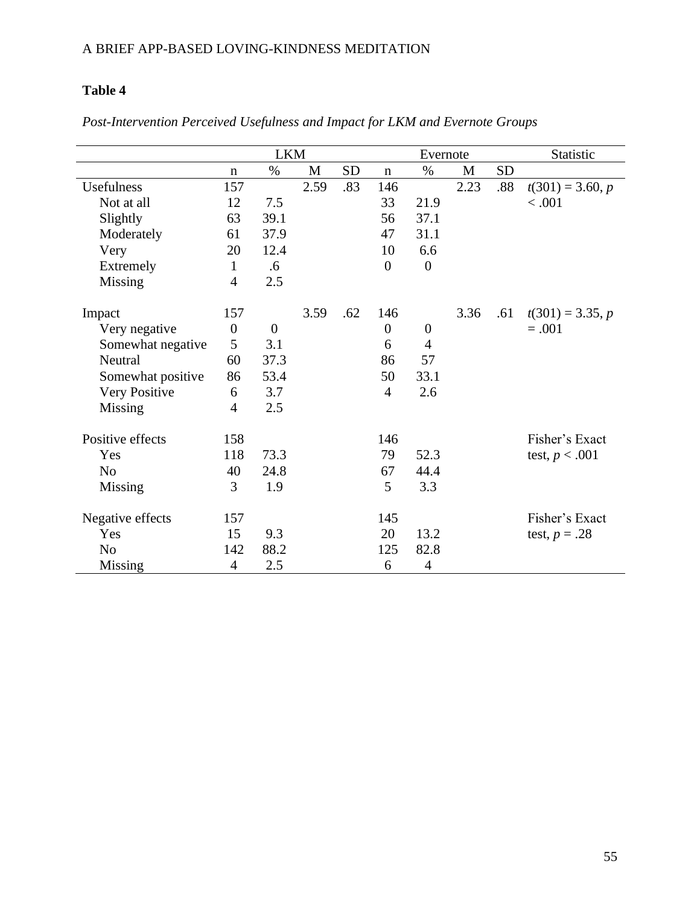# **Table 4**

|                   | <b>LKM</b>       |                  |      |           | Evernote         |                |      | Statistic |                    |
|-------------------|------------------|------------------|------|-----------|------------------|----------------|------|-----------|--------------------|
|                   | $\mathbf n$      | $\%$             | M    | <b>SD</b> | $\mathbf n$      | $\%$           | M    | <b>SD</b> |                    |
| Usefulness        | 157              |                  | 2.59 | .83       | 146              |                | 2.23 | .88       | $t(301) = 3.60, p$ |
| Not at all        | 12               | 7.5              |      |           | 33               | 21.9           |      |           | < .001             |
| Slightly          | 63               | 39.1             |      |           | 56               | 37.1           |      |           |                    |
| Moderately        | 61               | 37.9             |      |           | 47               | 31.1           |      |           |                    |
| Very              | 20               | 12.4             |      |           | 10               | 6.6            |      |           |                    |
| Extremely         | $\mathbf{1}$     | .6               |      |           | $\theta$         | $\mathbf{0}$   |      |           |                    |
| Missing           | $\overline{4}$   | 2.5              |      |           |                  |                |      |           |                    |
| Impact            | 157              |                  | 3.59 | .62       | 146              |                | 3.36 | .61       | $t(301) = 3.35, p$ |
| Very negative     | $\boldsymbol{0}$ | $\boldsymbol{0}$ |      |           | $\boldsymbol{0}$ | $\mathbf{0}$   |      |           | $=.001$            |
| Somewhat negative | 5                | 3.1              |      |           | 6                | $\overline{4}$ |      |           |                    |
| Neutral           | 60               | 37.3             |      |           | 86               | 57             |      |           |                    |
| Somewhat positive | 86               | 53.4             |      |           | 50               | 33.1           |      |           |                    |
| Very Positive     | 6                | 3.7              |      |           | $\overline{4}$   | 2.6            |      |           |                    |
| <b>Missing</b>    | 4                | 2.5              |      |           |                  |                |      |           |                    |
| Positive effects  | 158              |                  |      |           | 146              |                |      |           | Fisher's Exact     |
| Yes               | 118              | 73.3             |      |           | 79               | 52.3           |      |           | test, $p < .001$   |
| N <sub>o</sub>    | 40               | 24.8             |      |           | 67               | 44.4           |      |           |                    |
| <b>Missing</b>    | 3                | 1.9              |      |           | 5                | 3.3            |      |           |                    |
| Negative effects  | 157              |                  |      |           | 145              |                |      |           | Fisher's Exact     |
| Yes               | 15               | 9.3              |      |           | 20               | 13.2           |      |           | test, $p = .28$    |
| N <sub>o</sub>    | 142              | 88.2             |      |           | 125              | 82.8           |      |           |                    |
| Missing           | $\overline{4}$   | 2.5              |      |           | 6                | $\overline{4}$ |      |           |                    |

# *Post-Intervention Perceived Usefulness and Impact for LKM and Evernote Groups*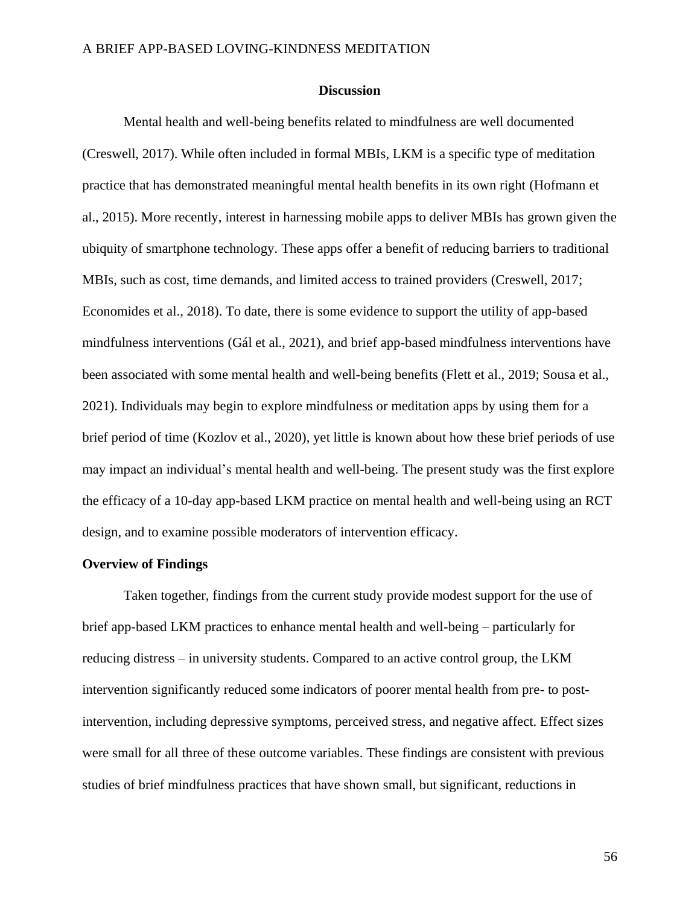### **Discussion**

Mental health and well-being benefits related to mindfulness are well documented (Creswell, 2017). While often included in formal MBIs, LKM is a specific type of meditation practice that has demonstrated meaningful mental health benefits in its own right (Hofmann et al., 2015). More recently, interest in harnessing mobile apps to deliver MBIs has grown given the ubiquity of smartphone technology. These apps offer a benefit of reducing barriers to traditional MBIs, such as cost, time demands, and limited access to trained providers (Creswell, 2017; Economides et al., 2018). To date, there is some evidence to support the utility of app-based mindfulness interventions (Gál et al., 2021), and brief app-based mindfulness interventions have been associated with some mental health and well-being benefits (Flett et al., 2019; Sousa et al., 2021). Individuals may begin to explore mindfulness or meditation apps by using them for a brief period of time (Kozlov et al., 2020), yet little is known about how these brief periods of use may impact an individual's mental health and well-being. The present study was the first explore the efficacy of a 10-day app-based LKM practice on mental health and well-being using an RCT design, and to examine possible moderators of intervention efficacy.

### **Overview of Findings**

Taken together, findings from the current study provide modest support for the use of brief app-based LKM practices to enhance mental health and well-being – particularly for reducing distress – in university students. Compared to an active control group, the LKM intervention significantly reduced some indicators of poorer mental health from pre- to postintervention, including depressive symptoms, perceived stress, and negative affect. Effect sizes were small for all three of these outcome variables. These findings are consistent with previous studies of brief mindfulness practices that have shown small, but significant, reductions in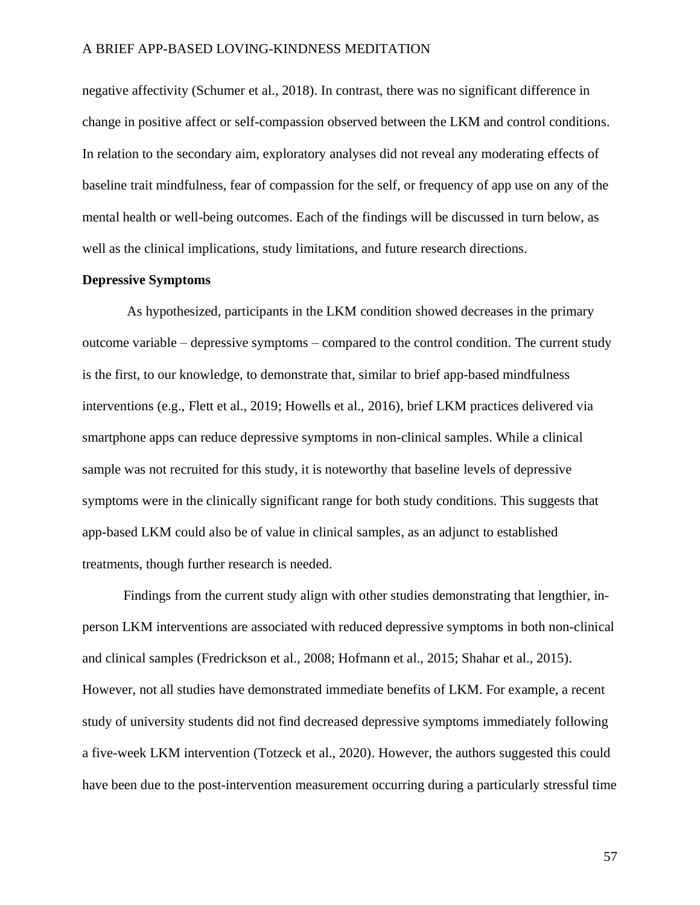negative affectivity (Schumer et al., 2018). In contrast, there was no significant difference in change in positive affect or self-compassion observed between the LKM and control conditions. In relation to the secondary aim, exploratory analyses did not reveal any moderating effects of baseline trait mindfulness, fear of compassion for the self, or frequency of app use on any of the mental health or well-being outcomes. Each of the findings will be discussed in turn below, as well as the clinical implications, study limitations, and future research directions.

# **Depressive Symptoms**

As hypothesized, participants in the LKM condition showed decreases in the primary outcome variable – depressive symptoms – compared to the control condition. The current study is the first, to our knowledge, to demonstrate that, similar to brief app-based mindfulness interventions (e.g., Flett et al., 2019; Howells et al., 2016), brief LKM practices delivered via smartphone apps can reduce depressive symptoms in non-clinical samples. While a clinical sample was not recruited for this study, it is noteworthy that baseline levels of depressive symptoms were in the clinically significant range for both study conditions. This suggests that app-based LKM could also be of value in clinical samples, as an adjunct to established treatments, though further research is needed.

Findings from the current study align with other studies demonstrating that lengthier, inperson LKM interventions are associated with reduced depressive symptoms in both non-clinical and clinical samples (Fredrickson et al., 2008; Hofmann et al., 2015; Shahar et al., 2015). However, not all studies have demonstrated immediate benefits of LKM. For example, a recent study of university students did not find decreased depressive symptoms immediately following a five-week LKM intervention (Totzeck et al., 2020). However, the authors suggested this could have been due to the post-intervention measurement occurring during a particularly stressful time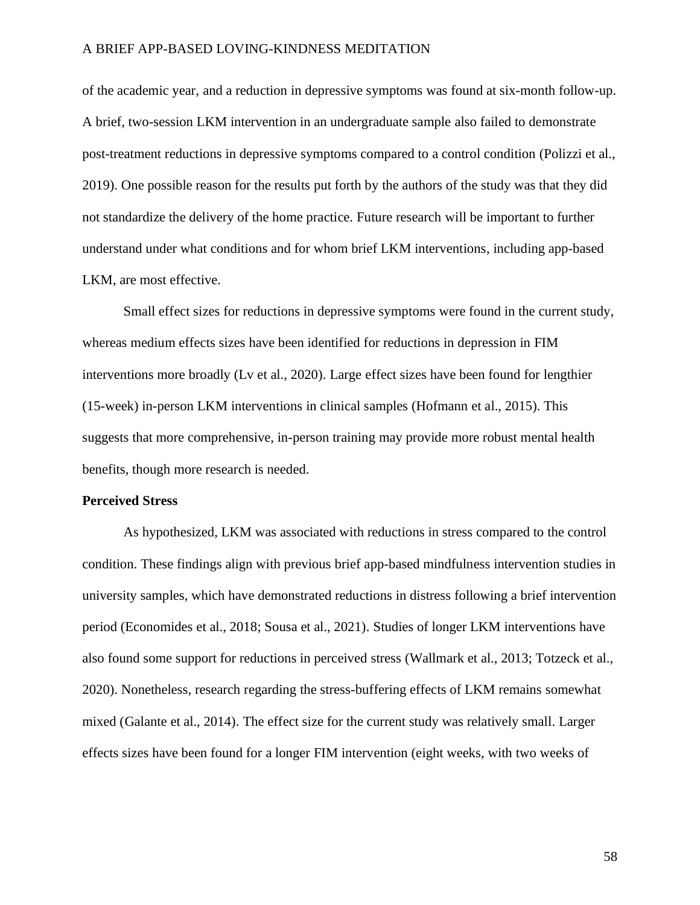of the academic year, and a reduction in depressive symptoms was found at six-month follow-up. A brief, two-session LKM intervention in an undergraduate sample also failed to demonstrate post-treatment reductions in depressive symptoms compared to a control condition (Polizzi et al., 2019). One possible reason for the results put forth by the authors of the study was that they did not standardize the delivery of the home practice. Future research will be important to further understand under what conditions and for whom brief LKM interventions, including app-based LKM, are most effective.

Small effect sizes for reductions in depressive symptoms were found in the current study, whereas medium effects sizes have been identified for reductions in depression in FIM interventions more broadly (Lv et al., 2020). Large effect sizes have been found for lengthier (15-week) in-person LKM interventions in clinical samples (Hofmann et al., 2015). This suggests that more comprehensive, in-person training may provide more robust mental health benefits, though more research is needed.

### **Perceived Stress**

As hypothesized, LKM was associated with reductions in stress compared to the control condition. These findings align with previous brief app-based mindfulness intervention studies in university samples, which have demonstrated reductions in distress following a brief intervention period (Economides et al., 2018; Sousa et al., 2021). Studies of longer LKM interventions have also found some support for reductions in perceived stress (Wallmark et al., 2013; Totzeck et al., 2020). Nonetheless, research regarding the stress-buffering effects of LKM remains somewhat mixed (Galante et al., 2014). The effect size for the current study was relatively small. Larger effects sizes have been found for a longer FIM intervention (eight weeks, with two weeks of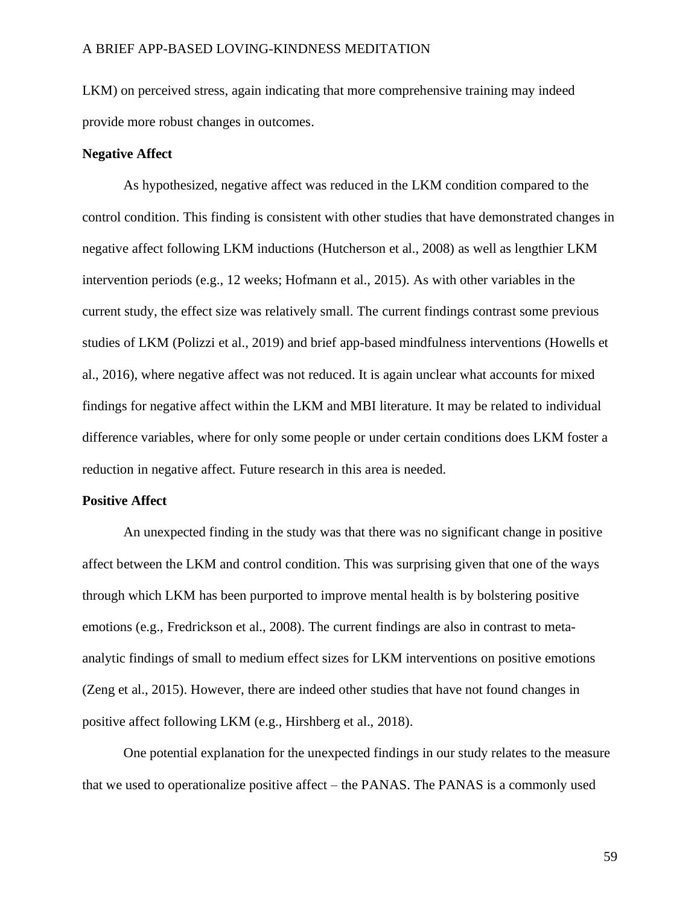LKM) on perceived stress, again indicating that more comprehensive training may indeed provide more robust changes in outcomes.

## **Negative Affect**

As hypothesized, negative affect was reduced in the LKM condition compared to the control condition. This finding is consistent with other studies that have demonstrated changes in negative affect following LKM inductions (Hutcherson et al., 2008) as well as lengthier LKM intervention periods (e.g., 12 weeks; Hofmann et al., 2015). As with other variables in the current study, the effect size was relatively small. The current findings contrast some previous studies of LKM (Polizzi et al., 2019) and brief app-based mindfulness interventions (Howells et al., 2016), where negative affect was not reduced. It is again unclear what accounts for mixed findings for negative affect within the LKM and MBI literature. It may be related to individual difference variables, where for only some people or under certain conditions does LKM foster a reduction in negative affect. Future research in this area is needed.

#### **Positive Affect**

An unexpected finding in the study was that there was no significant change in positive affect between the LKM and control condition. This was surprising given that one of the ways through which LKM has been purported to improve mental health is by bolstering positive emotions (e.g., Fredrickson et al., 2008). The current findings are also in contrast to metaanalytic findings of small to medium effect sizes for LKM interventions on positive emotions (Zeng et al., 2015). However, there are indeed other studies that have not found changes in positive affect following LKM (e.g., Hirshberg et al., 2018).

One potential explanation for the unexpected findings in our study relates to the measure that we used to operationalize positive affect – the PANAS. The PANAS is a commonly used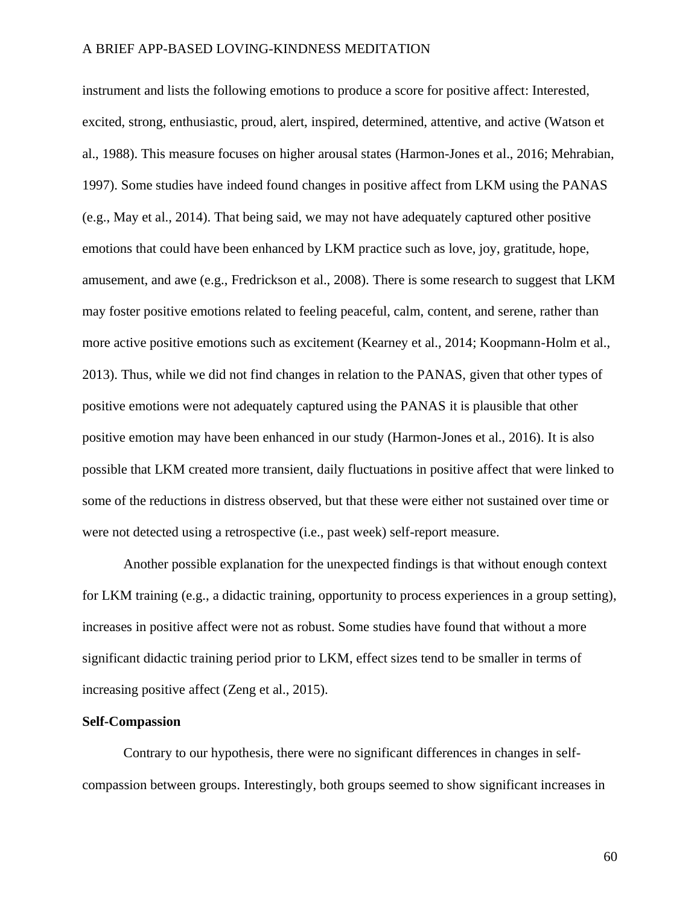instrument and lists the following emotions to produce a score for positive affect: Interested, excited, strong, enthusiastic, proud, alert, inspired, determined, attentive, and active (Watson et al., 1988). This measure focuses on higher arousal states (Harmon-Jones et al., 2016; Mehrabian, 1997). Some studies have indeed found changes in positive affect from LKM using the PANAS (e.g., May et al., 2014). That being said, we may not have adequately captured other positive emotions that could have been enhanced by LKM practice such as love, joy, gratitude, hope, amusement, and awe (e.g., Fredrickson et al., 2008). There is some research to suggest that LKM may foster positive emotions related to feeling peaceful, calm, content, and serene, rather than more active positive emotions such as excitement (Kearney et al., 2014; Koopmann-Holm et al., 2013). Thus, while we did not find changes in relation to the PANAS, given that other types of positive emotions were not adequately captured using the PANAS it is plausible that other positive emotion may have been enhanced in our study (Harmon-Jones et al., 2016). It is also possible that LKM created more transient, daily fluctuations in positive affect that were linked to some of the reductions in distress observed, but that these were either not sustained over time or were not detected using a retrospective (i.e., past week) self-report measure.

Another possible explanation for the unexpected findings is that without enough context for LKM training (e.g., a didactic training, opportunity to process experiences in a group setting), increases in positive affect were not as robust. Some studies have found that without a more significant didactic training period prior to LKM, effect sizes tend to be smaller in terms of increasing positive affect (Zeng et al., 2015).

# **Self-Compassion**

Contrary to our hypothesis, there were no significant differences in changes in selfcompassion between groups. Interestingly, both groups seemed to show significant increases in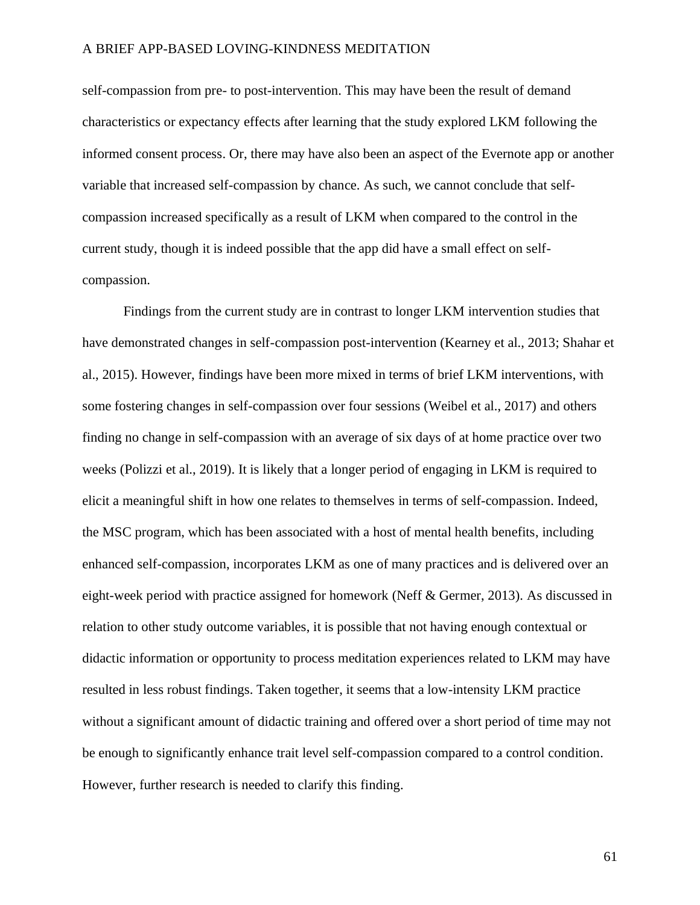self-compassion from pre- to post-intervention. This may have been the result of demand characteristics or expectancy effects after learning that the study explored LKM following the informed consent process. Or, there may have also been an aspect of the Evernote app or another variable that increased self-compassion by chance. As such, we cannot conclude that selfcompassion increased specifically as a result of LKM when compared to the control in the current study, though it is indeed possible that the app did have a small effect on selfcompassion.

Findings from the current study are in contrast to longer LKM intervention studies that have demonstrated changes in self-compassion post-intervention (Kearney et al., 2013; Shahar et al., 2015). However, findings have been more mixed in terms of brief LKM interventions, with some fostering changes in self-compassion over four sessions (Weibel et al., 2017) and others finding no change in self-compassion with an average of six days of at home practice over two weeks (Polizzi et al., 2019). It is likely that a longer period of engaging in LKM is required to elicit a meaningful shift in how one relates to themselves in terms of self-compassion. Indeed, the MSC program, which has been associated with a host of mental health benefits, including enhanced self-compassion, incorporates LKM as one of many practices and is delivered over an eight-week period with practice assigned for homework (Neff & Germer, 2013). As discussed in relation to other study outcome variables, it is possible that not having enough contextual or didactic information or opportunity to process meditation experiences related to LKM may have resulted in less robust findings. Taken together, it seems that a low-intensity LKM practice without a significant amount of didactic training and offered over a short period of time may not be enough to significantly enhance trait level self-compassion compared to a control condition. However, further research is needed to clarify this finding.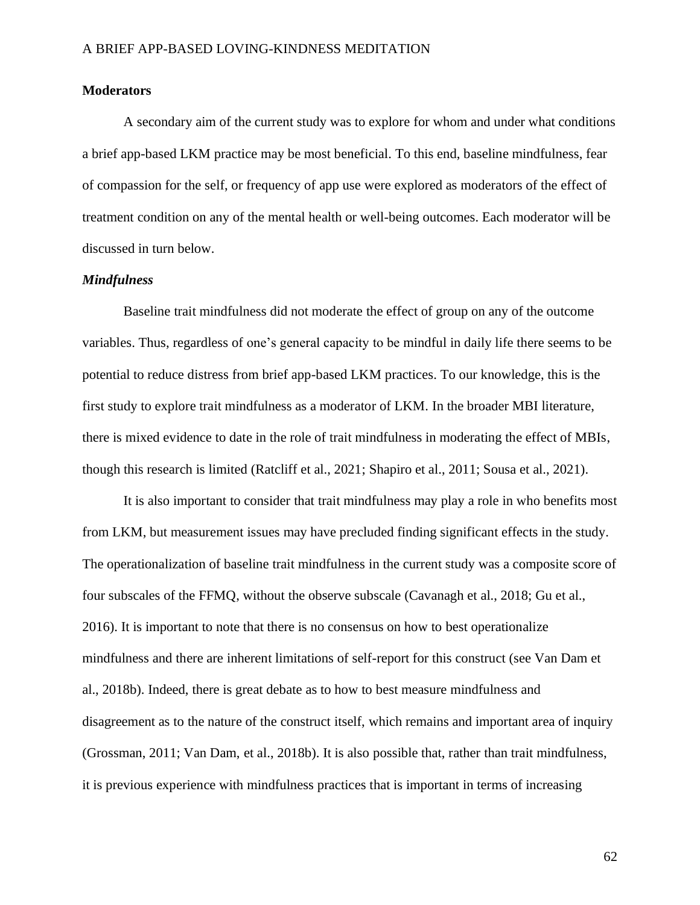# **Moderators**

A secondary aim of the current study was to explore for whom and under what conditions a brief app-based LKM practice may be most beneficial. To this end, baseline mindfulness, fear of compassion for the self, or frequency of app use were explored as moderators of the effect of treatment condition on any of the mental health or well-being outcomes. Each moderator will be discussed in turn below.

# *Mindfulness*

Baseline trait mindfulness did not moderate the effect of group on any of the outcome variables. Thus, regardless of one's general capacity to be mindful in daily life there seems to be potential to reduce distress from brief app-based LKM practices. To our knowledge, this is the first study to explore trait mindfulness as a moderator of LKM. In the broader MBI literature, there is mixed evidence to date in the role of trait mindfulness in moderating the effect of MBIs, though this research is limited (Ratcliff et al., 2021; Shapiro et al., 2011; Sousa et al., 2021).

It is also important to consider that trait mindfulness may play a role in who benefits most from LKM, but measurement issues may have precluded finding significant effects in the study. The operationalization of baseline trait mindfulness in the current study was a composite score of four subscales of the FFMQ, without the observe subscale (Cavanagh et al., 2018; Gu et al., 2016). It is important to note that there is no consensus on how to best operationalize mindfulness and there are inherent limitations of self-report for this construct (see Van Dam et al., 2018b). Indeed, there is great debate as to how to best measure mindfulness and disagreement as to the nature of the construct itself, which remains and important area of inquiry (Grossman, 2011; Van Dam, et al., 2018b). It is also possible that, rather than trait mindfulness, it is previous experience with mindfulness practices that is important in terms of increasing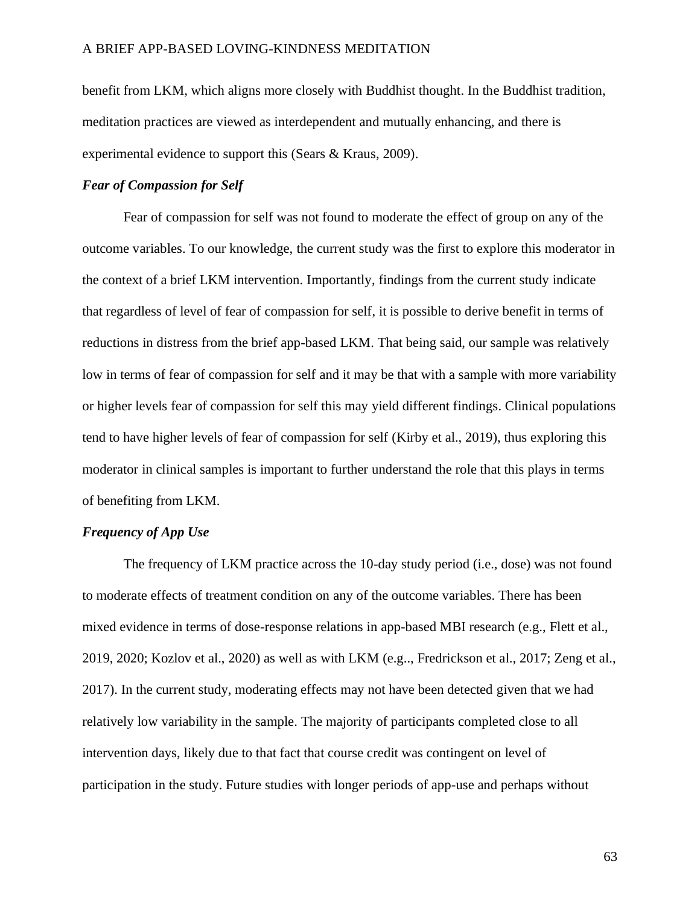benefit from LKM, which aligns more closely with Buddhist thought. In the Buddhist tradition, meditation practices are viewed as interdependent and mutually enhancing, and there is experimental evidence to support this (Sears & Kraus, 2009).

# *Fear of Compassion for Self*

Fear of compassion for self was not found to moderate the effect of group on any of the outcome variables. To our knowledge, the current study was the first to explore this moderator in the context of a brief LKM intervention. Importantly, findings from the current study indicate that regardless of level of fear of compassion for self, it is possible to derive benefit in terms of reductions in distress from the brief app-based LKM. That being said, our sample was relatively low in terms of fear of compassion for self and it may be that with a sample with more variability or higher levels fear of compassion for self this may yield different findings. Clinical populations tend to have higher levels of fear of compassion for self (Kirby et al., 2019), thus exploring this moderator in clinical samples is important to further understand the role that this plays in terms of benefiting from LKM.

# *Frequency of App Use*

The frequency of LKM practice across the 10-day study period (i.e., dose) was not found to moderate effects of treatment condition on any of the outcome variables. There has been mixed evidence in terms of dose-response relations in app-based MBI research (e.g., Flett et al., 2019, 2020; Kozlov et al., 2020) as well as with LKM (e.g.., Fredrickson et al., 2017; Zeng et al., 2017). In the current study, moderating effects may not have been detected given that we had relatively low variability in the sample. The majority of participants completed close to all intervention days, likely due to that fact that course credit was contingent on level of participation in the study. Future studies with longer periods of app-use and perhaps without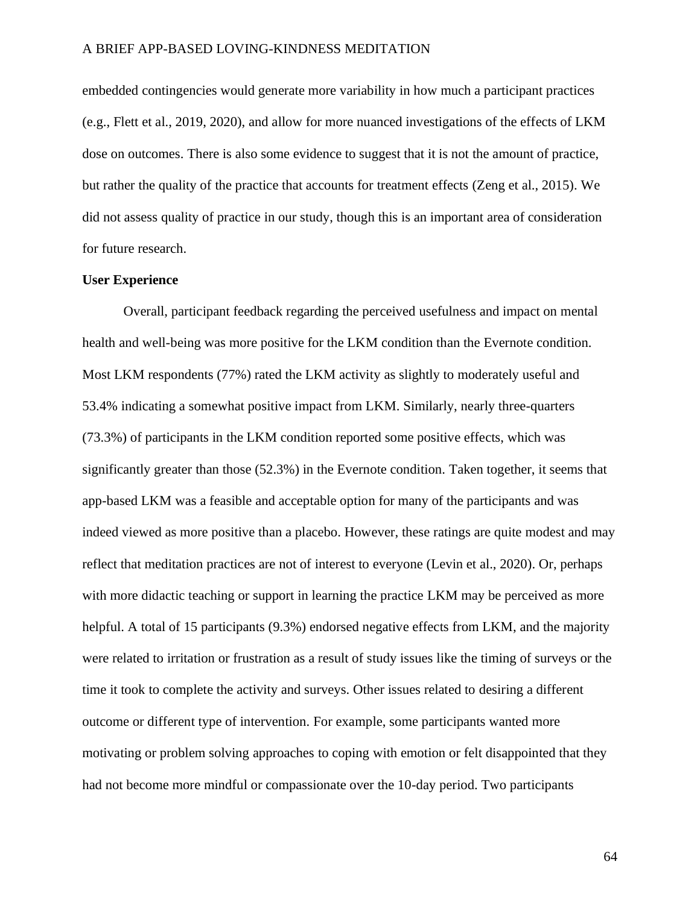embedded contingencies would generate more variability in how much a participant practices (e.g., Flett et al., 2019, 2020), and allow for more nuanced investigations of the effects of LKM dose on outcomes. There is also some evidence to suggest that it is not the amount of practice, but rather the quality of the practice that accounts for treatment effects (Zeng et al., 2015). We did not assess quality of practice in our study, though this is an important area of consideration for future research.

### **User Experience**

Overall, participant feedback regarding the perceived usefulness and impact on mental health and well-being was more positive for the LKM condition than the Evernote condition. Most LKM respondents (77%) rated the LKM activity as slightly to moderately useful and 53.4% indicating a somewhat positive impact from LKM. Similarly, nearly three-quarters (73.3%) of participants in the LKM condition reported some positive effects, which was significantly greater than those (52.3%) in the Evernote condition. Taken together, it seems that app-based LKM was a feasible and acceptable option for many of the participants and was indeed viewed as more positive than a placebo. However, these ratings are quite modest and may reflect that meditation practices are not of interest to everyone (Levin et al., 2020). Or, perhaps with more didactic teaching or support in learning the practice LKM may be perceived as more helpful. A total of 15 participants (9.3%) endorsed negative effects from LKM, and the majority were related to irritation or frustration as a result of study issues like the timing of surveys or the time it took to complete the activity and surveys. Other issues related to desiring a different outcome or different type of intervention. For example, some participants wanted more motivating or problem solving approaches to coping with emotion or felt disappointed that they had not become more mindful or compassionate over the 10-day period. Two participants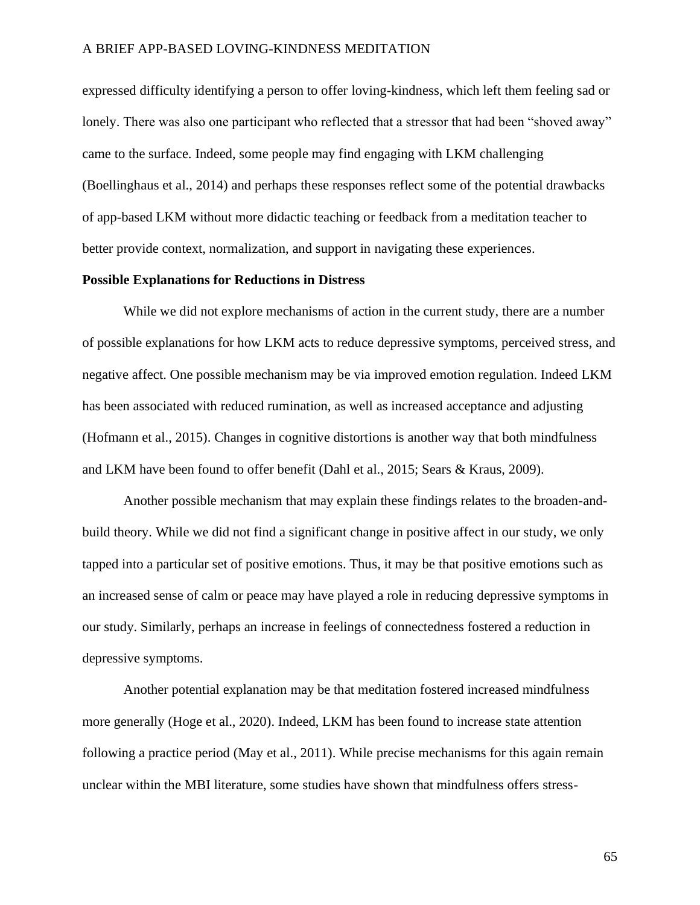expressed difficulty identifying a person to offer loving-kindness, which left them feeling sad or lonely. There was also one participant who reflected that a stressor that had been "shoved away" came to the surface. Indeed, some people may find engaging with LKM challenging (Boellinghaus et al., 2014) and perhaps these responses reflect some of the potential drawbacks of app-based LKM without more didactic teaching or feedback from a meditation teacher to better provide context, normalization, and support in navigating these experiences.

#### **Possible Explanations for Reductions in Distress**

While we did not explore mechanisms of action in the current study, there are a number of possible explanations for how LKM acts to reduce depressive symptoms, perceived stress, and negative affect. One possible mechanism may be via improved emotion regulation. Indeed LKM has been associated with reduced rumination, as well as increased acceptance and adjusting (Hofmann et al., 2015). Changes in cognitive distortions is another way that both mindfulness and LKM have been found to offer benefit (Dahl et al., 2015; Sears & Kraus, 2009).

Another possible mechanism that may explain these findings relates to the broaden-andbuild theory. While we did not find a significant change in positive affect in our study, we only tapped into a particular set of positive emotions. Thus, it may be that positive emotions such as an increased sense of calm or peace may have played a role in reducing depressive symptoms in our study. Similarly, perhaps an increase in feelings of connectedness fostered a reduction in depressive symptoms.

Another potential explanation may be that meditation fostered increased mindfulness more generally (Hoge et al., 2020). Indeed, LKM has been found to increase state attention following a practice period (May et al., 2011). While precise mechanisms for this again remain unclear within the MBI literature, some studies have shown that mindfulness offers stress-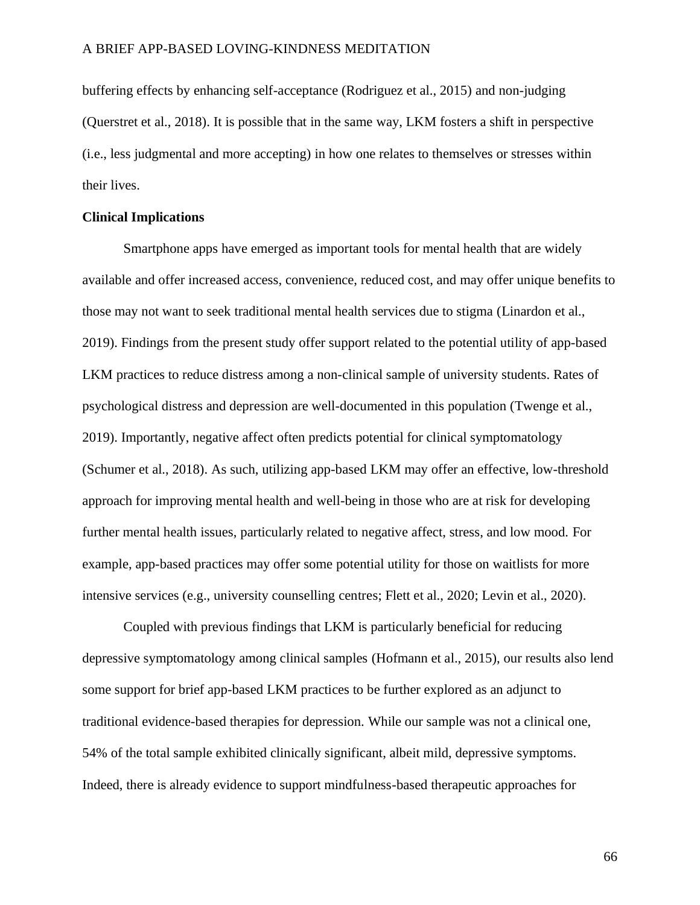buffering effects by enhancing self-acceptance (Rodriguez et al., 2015) and non-judging (Querstret et al., 2018). It is possible that in the same way, LKM fosters a shift in perspective (i.e., less judgmental and more accepting) in how one relates to themselves or stresses within their lives.

## **Clinical Implications**

Smartphone apps have emerged as important tools for mental health that are widely available and offer increased access, convenience, reduced cost, and may offer unique benefits to those may not want to seek traditional mental health services due to stigma (Linardon et al., 2019). Findings from the present study offer support related to the potential utility of app-based LKM practices to reduce distress among a non-clinical sample of university students. Rates of psychological distress and depression are well-documented in this population (Twenge et al., 2019). Importantly, negative affect often predicts potential for clinical symptomatology (Schumer et al., 2018). As such, utilizing app-based LKM may offer an effective, low-threshold approach for improving mental health and well-being in those who are at risk for developing further mental health issues, particularly related to negative affect, stress, and low mood. For example, app-based practices may offer some potential utility for those on waitlists for more intensive services (e.g., university counselling centres; Flett et al., 2020; Levin et al., 2020).

Coupled with previous findings that LKM is particularly beneficial for reducing depressive symptomatology among clinical samples (Hofmann et al., 2015), our results also lend some support for brief app-based LKM practices to be further explored as an adjunct to traditional evidence-based therapies for depression. While our sample was not a clinical one, 54% of the total sample exhibited clinically significant, albeit mild, depressive symptoms. Indeed, there is already evidence to support mindfulness-based therapeutic approaches for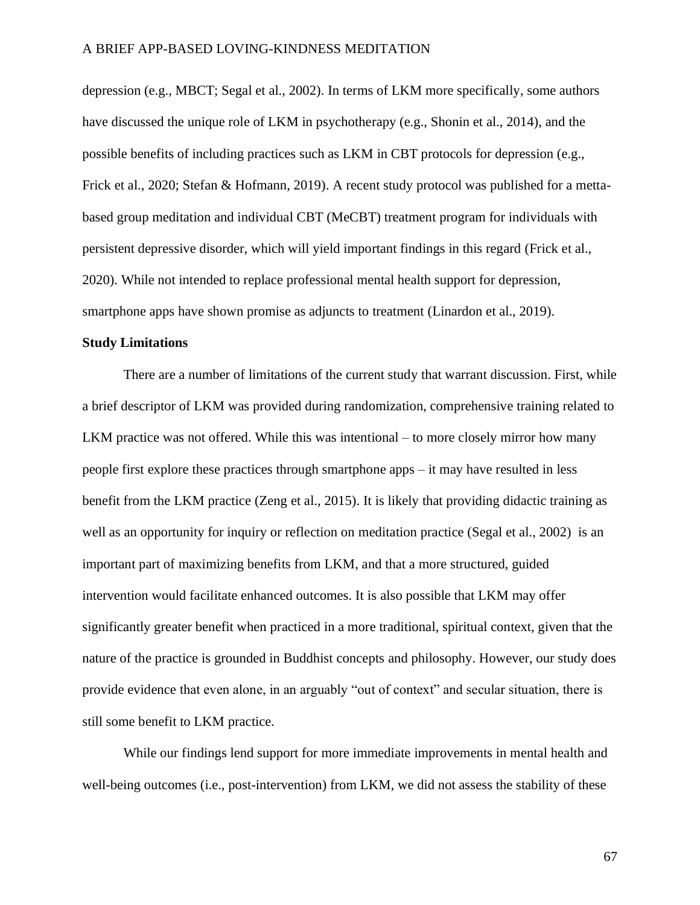depression (e.g., MBCT; Segal et al., 2002). In terms of LKM more specifically, some authors have discussed the unique role of LKM in psychotherapy (e.g., Shonin et al., 2014), and the possible benefits of including practices such as LKM in CBT protocols for depression (e.g., Frick et al., 2020; Stefan & Hofmann, 2019). A recent study protocol was published for a mettabased group meditation and individual CBT (MeCBT) treatment program for individuals with persistent depressive disorder, which will yield important findings in this regard (Frick et al., 2020). While not intended to replace professional mental health support for depression, smartphone apps have shown promise as adjuncts to treatment (Linardon et al., 2019).

# **Study Limitations**

There are a number of limitations of the current study that warrant discussion. First, while a brief descriptor of LKM was provided during randomization, comprehensive training related to LKM practice was not offered. While this was intentional – to more closely mirror how many people first explore these practices through smartphone apps – it may have resulted in less benefit from the LKM practice (Zeng et al., 2015). It is likely that providing didactic training as well as an opportunity for inquiry or reflection on meditation practice (Segal et al., 2002) is an important part of maximizing benefits from LKM, and that a more structured, guided intervention would facilitate enhanced outcomes. It is also possible that LKM may offer significantly greater benefit when practiced in a more traditional, spiritual context, given that the nature of the practice is grounded in Buddhist concepts and philosophy. However, our study does provide evidence that even alone, in an arguably "out of context" and secular situation, there is still some benefit to LKM practice.

While our findings lend support for more immediate improvements in mental health and well-being outcomes (i.e., post-intervention) from LKM, we did not assess the stability of these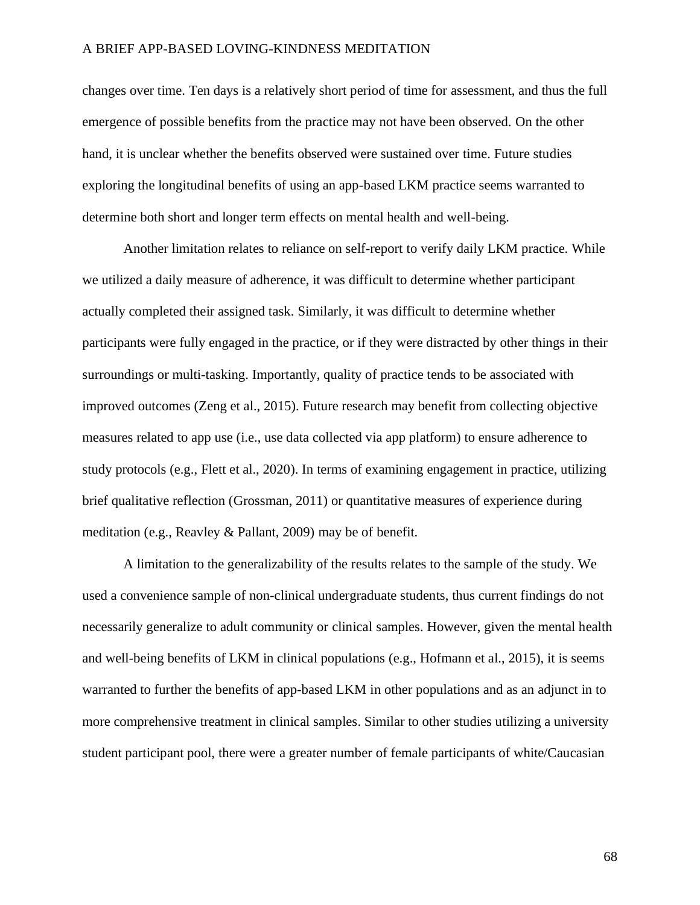changes over time. Ten days is a relatively short period of time for assessment, and thus the full emergence of possible benefits from the practice may not have been observed. On the other hand, it is unclear whether the benefits observed were sustained over time. Future studies exploring the longitudinal benefits of using an app-based LKM practice seems warranted to determine both short and longer term effects on mental health and well-being.

Another limitation relates to reliance on self-report to verify daily LKM practice. While we utilized a daily measure of adherence, it was difficult to determine whether participant actually completed their assigned task. Similarly, it was difficult to determine whether participants were fully engaged in the practice, or if they were distracted by other things in their surroundings or multi-tasking. Importantly, quality of practice tends to be associated with improved outcomes (Zeng et al., 2015). Future research may benefit from collecting objective measures related to app use (i.e., use data collected via app platform) to ensure adherence to study protocols (e.g., Flett et al., 2020). In terms of examining engagement in practice, utilizing brief qualitative reflection (Grossman, 2011) or quantitative measures of experience during meditation (e.g., Reavley & Pallant, 2009) may be of benefit.

A limitation to the generalizability of the results relates to the sample of the study. We used a convenience sample of non-clinical undergraduate students, thus current findings do not necessarily generalize to adult community or clinical samples. However, given the mental health and well-being benefits of LKM in clinical populations (e.g., Hofmann et al., 2015), it is seems warranted to further the benefits of app-based LKM in other populations and as an adjunct in to more comprehensive treatment in clinical samples. Similar to other studies utilizing a university student participant pool, there were a greater number of female participants of white/Caucasian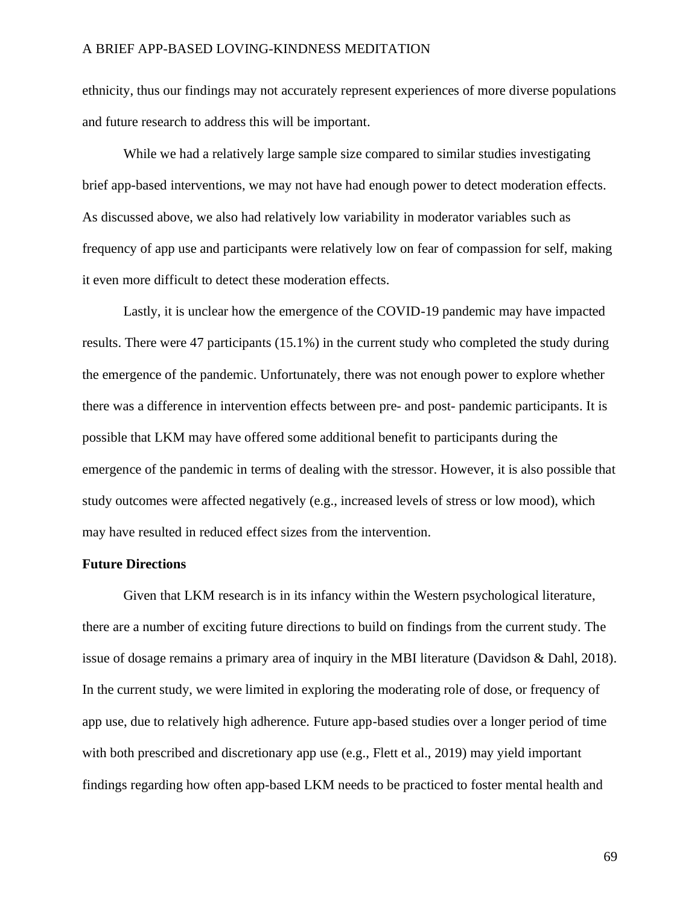ethnicity, thus our findings may not accurately represent experiences of more diverse populations and future research to address this will be important.

While we had a relatively large sample size compared to similar studies investigating brief app-based interventions, we may not have had enough power to detect moderation effects. As discussed above, we also had relatively low variability in moderator variables such as frequency of app use and participants were relatively low on fear of compassion for self, making it even more difficult to detect these moderation effects.

Lastly, it is unclear how the emergence of the COVID-19 pandemic may have impacted results. There were 47 participants (15.1%) in the current study who completed the study during the emergence of the pandemic. Unfortunately, there was not enough power to explore whether there was a difference in intervention effects between pre- and post- pandemic participants. It is possible that LKM may have offered some additional benefit to participants during the emergence of the pandemic in terms of dealing with the stressor. However, it is also possible that study outcomes were affected negatively (e.g., increased levels of stress or low mood), which may have resulted in reduced effect sizes from the intervention.

### **Future Directions**

Given that LKM research is in its infancy within the Western psychological literature, there are a number of exciting future directions to build on findings from the current study. The issue of dosage remains a primary area of inquiry in the MBI literature (Davidson & Dahl, 2018). In the current study, we were limited in exploring the moderating role of dose, or frequency of app use, due to relatively high adherence. Future app-based studies over a longer period of time with both prescribed and discretionary app use (e.g., Flett et al., 2019) may yield important findings regarding how often app-based LKM needs to be practiced to foster mental health and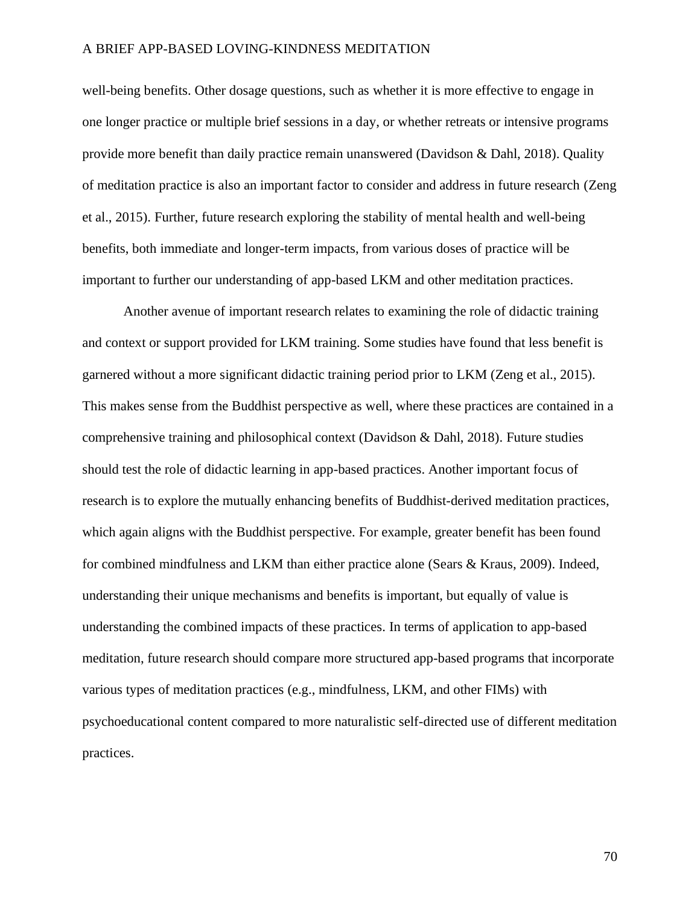well-being benefits. Other dosage questions, such as whether it is more effective to engage in one longer practice or multiple brief sessions in a day, or whether retreats or intensive programs provide more benefit than daily practice remain unanswered (Davidson & Dahl, 2018). Quality of meditation practice is also an important factor to consider and address in future research (Zeng et al., 2015). Further, future research exploring the stability of mental health and well-being benefits, both immediate and longer-term impacts, from various doses of practice will be important to further our understanding of app-based LKM and other meditation practices.

Another avenue of important research relates to examining the role of didactic training and context or support provided for LKM training. Some studies have found that less benefit is garnered without a more significant didactic training period prior to LKM (Zeng et al., 2015). This makes sense from the Buddhist perspective as well, where these practices are contained in a comprehensive training and philosophical context (Davidson & Dahl, 2018). Future studies should test the role of didactic learning in app-based practices. Another important focus of research is to explore the mutually enhancing benefits of Buddhist-derived meditation practices, which again aligns with the Buddhist perspective. For example, greater benefit has been found for combined mindfulness and LKM than either practice alone (Sears & Kraus, 2009). Indeed, understanding their unique mechanisms and benefits is important, but equally of value is understanding the combined impacts of these practices. In terms of application to app-based meditation, future research should compare more structured app-based programs that incorporate various types of meditation practices (e.g., mindfulness, LKM, and other FIMs) with psychoeducational content compared to more naturalistic self-directed use of different meditation practices.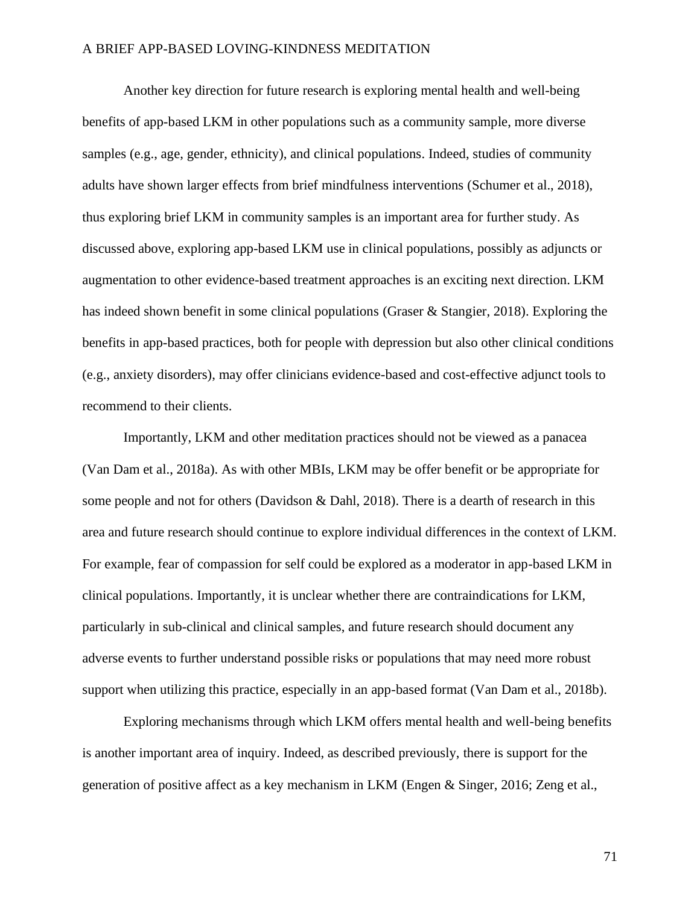Another key direction for future research is exploring mental health and well-being benefits of app-based LKM in other populations such as a community sample, more diverse samples (e.g., age, gender, ethnicity), and clinical populations. Indeed, studies of community adults have shown larger effects from brief mindfulness interventions (Schumer et al., 2018), thus exploring brief LKM in community samples is an important area for further study. As discussed above, exploring app-based LKM use in clinical populations, possibly as adjuncts or augmentation to other evidence-based treatment approaches is an exciting next direction. LKM has indeed shown benefit in some clinical populations (Graser & Stangier, 2018). Exploring the benefits in app-based practices, both for people with depression but also other clinical conditions (e.g., anxiety disorders), may offer clinicians evidence-based and cost-effective adjunct tools to recommend to their clients.

Importantly, LKM and other meditation practices should not be viewed as a panacea (Van Dam et al., 2018a). As with other MBIs, LKM may be offer benefit or be appropriate for some people and not for others (Davidson & Dahl, 2018). There is a dearth of research in this area and future research should continue to explore individual differences in the context of LKM. For example, fear of compassion for self could be explored as a moderator in app-based LKM in clinical populations. Importantly, it is unclear whether there are contraindications for LKM, particularly in sub-clinical and clinical samples, and future research should document any adverse events to further understand possible risks or populations that may need more robust support when utilizing this practice, especially in an app-based format (Van Dam et al., 2018b).

Exploring mechanisms through which LKM offers mental health and well-being benefits is another important area of inquiry. Indeed, as described previously, there is support for the generation of positive affect as a key mechanism in LKM (Engen & Singer, 2016; Zeng et al.,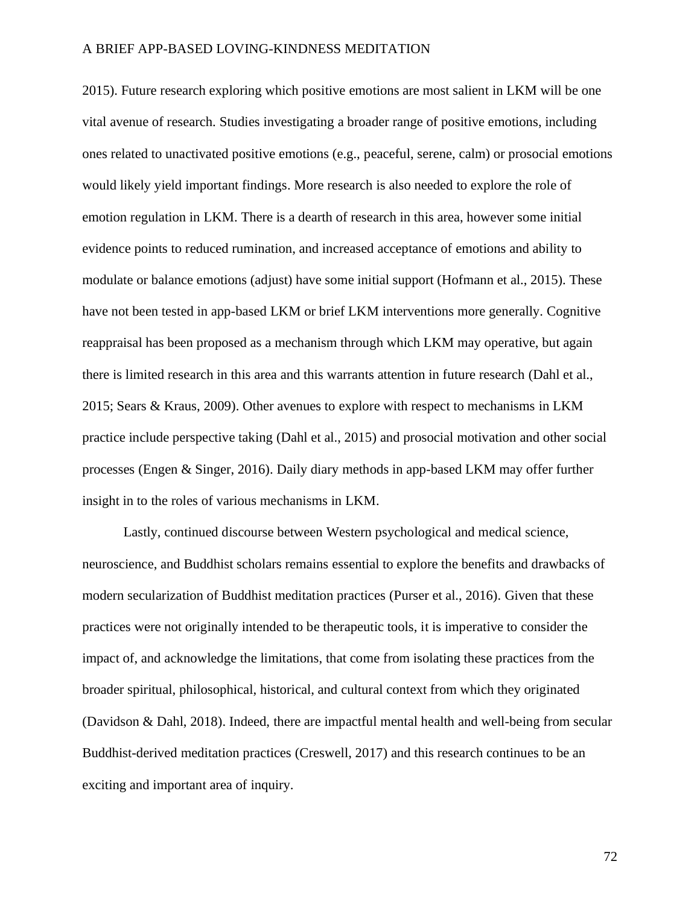2015). Future research exploring which positive emotions are most salient in LKM will be one vital avenue of research. Studies investigating a broader range of positive emotions, including ones related to unactivated positive emotions (e.g., peaceful, serene, calm) or prosocial emotions would likely yield important findings. More research is also needed to explore the role of emotion regulation in LKM. There is a dearth of research in this area, however some initial evidence points to reduced rumination, and increased acceptance of emotions and ability to modulate or balance emotions (adjust) have some initial support (Hofmann et al., 2015). These have not been tested in app-based LKM or brief LKM interventions more generally. Cognitive reappraisal has been proposed as a mechanism through which LKM may operative, but again there is limited research in this area and this warrants attention in future research (Dahl et al., 2015; Sears & Kraus, 2009). Other avenues to explore with respect to mechanisms in LKM practice include perspective taking (Dahl et al., 2015) and prosocial motivation and other social processes (Engen & Singer, 2016). Daily diary methods in app-based LKM may offer further insight in to the roles of various mechanisms in LKM.

Lastly, continued discourse between Western psychological and medical science, neuroscience, and Buddhist scholars remains essential to explore the benefits and drawbacks of modern secularization of Buddhist meditation practices (Purser et al., 2016). Given that these practices were not originally intended to be therapeutic tools, it is imperative to consider the impact of, and acknowledge the limitations, that come from isolating these practices from the broader spiritual, philosophical, historical, and cultural context from which they originated (Davidson & Dahl, 2018). Indeed, there are impactful mental health and well-being from secular Buddhist-derived meditation practices (Creswell, 2017) and this research continues to be an exciting and important area of inquiry.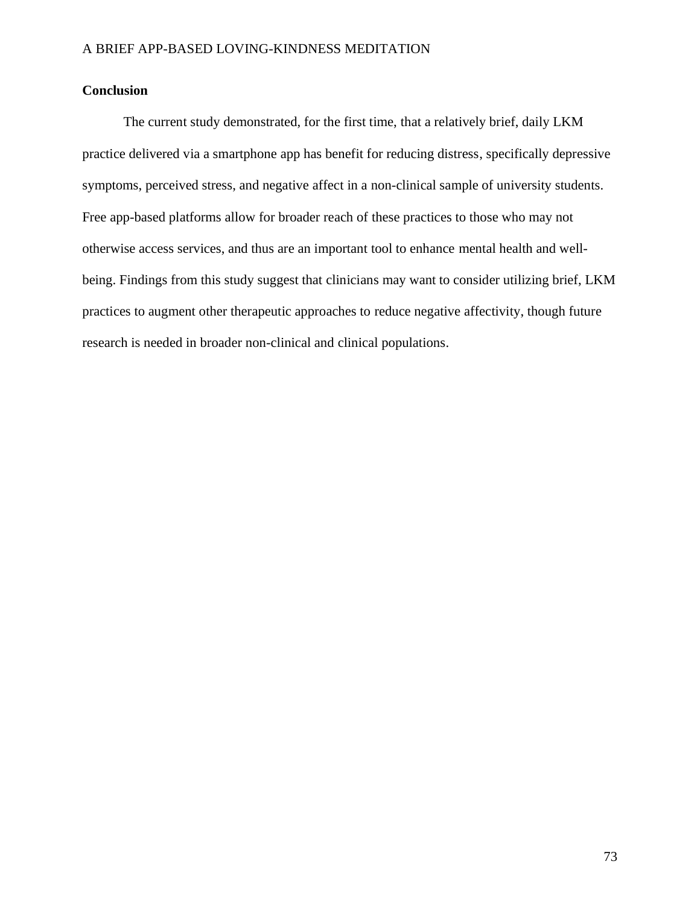# **Conclusion**

The current study demonstrated, for the first time, that a relatively brief, daily LKM practice delivered via a smartphone app has benefit for reducing distress, specifically depressive symptoms, perceived stress, and negative affect in a non-clinical sample of university students. Free app-based platforms allow for broader reach of these practices to those who may not otherwise access services, and thus are an important tool to enhance mental health and wellbeing. Findings from this study suggest that clinicians may want to consider utilizing brief, LKM practices to augment other therapeutic approaches to reduce negative affectivity, though future research is needed in broader non-clinical and clinical populations.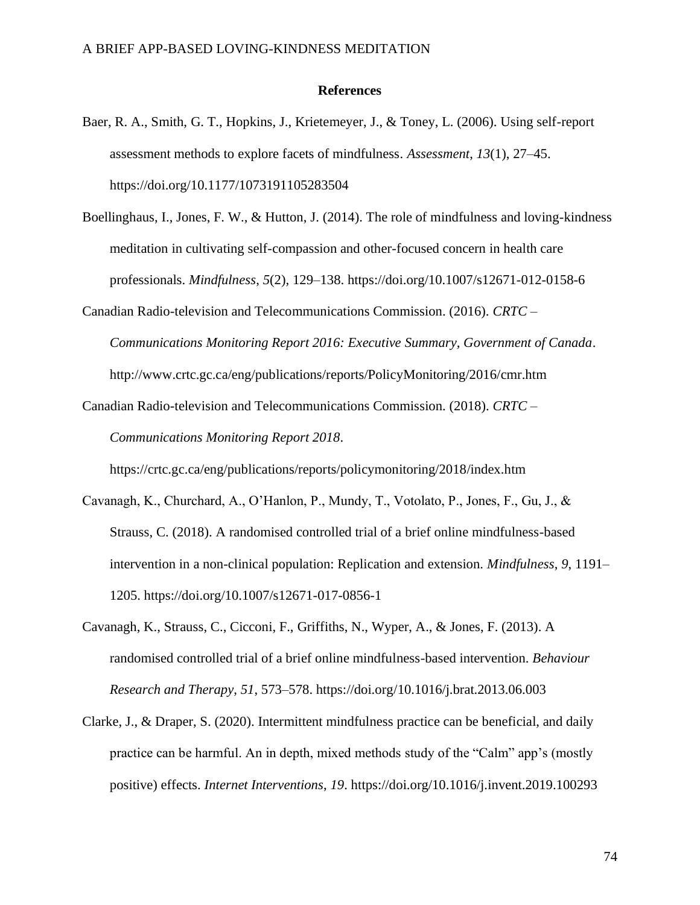### **References**

- Baer, R. A., Smith, G. T., Hopkins, J., Krietemeyer, J., & Toney, L. (2006). Using self-report assessment methods to explore facets of mindfulness. *Assessment*, *13*(1), 27–45. https://doi.org/10.1177/1073191105283504
- Boellinghaus, I., Jones, F. W., & Hutton, J. (2014). The role of mindfulness and loving-kindness meditation in cultivating self-compassion and other-focused concern in health care professionals. *Mindfulness*, *5*(2), 129–138. https://doi.org/10.1007/s12671-012-0158-6
- Canadian Radio-television and Telecommunications Commission. (2016). *CRTC – Communications Monitoring Report 2016: Executive Summary, Government of Canada*. http://www.crtc.gc.ca/eng/publications/reports/PolicyMonitoring/2016/cmr.htm
- Canadian Radio-television and Telecommunications Commission. (2018). *CRTC – Communications Monitoring Report 2018*.

https://crtc.gc.ca/eng/publications/reports/policymonitoring/2018/index.htm

- Cavanagh, K., Churchard, A., O'Hanlon, P., Mundy, T., Votolato, P., Jones, F., Gu, J., & Strauss, C. (2018). A randomised controlled trial of a brief online mindfulness-based intervention in a non-clinical population: Replication and extension. *Mindfulness*, *9*, 1191– 1205. https://doi.org/10.1007/s12671-017-0856-1
- Cavanagh, K., Strauss, C., Cicconi, F., Griffiths, N., Wyper, A., & Jones, F. (2013). A randomised controlled trial of a brief online mindfulness-based intervention. *Behaviour Research and Therapy*, *51*, 573–578. https://doi.org/10.1016/j.brat.2013.06.003
- Clarke, J., & Draper, S. (2020). Intermittent mindfulness practice can be beneficial, and daily practice can be harmful. An in depth, mixed methods study of the "Calm" app's (mostly positive) effects. *Internet Interventions*, *19*. https://doi.org/10.1016/j.invent.2019.100293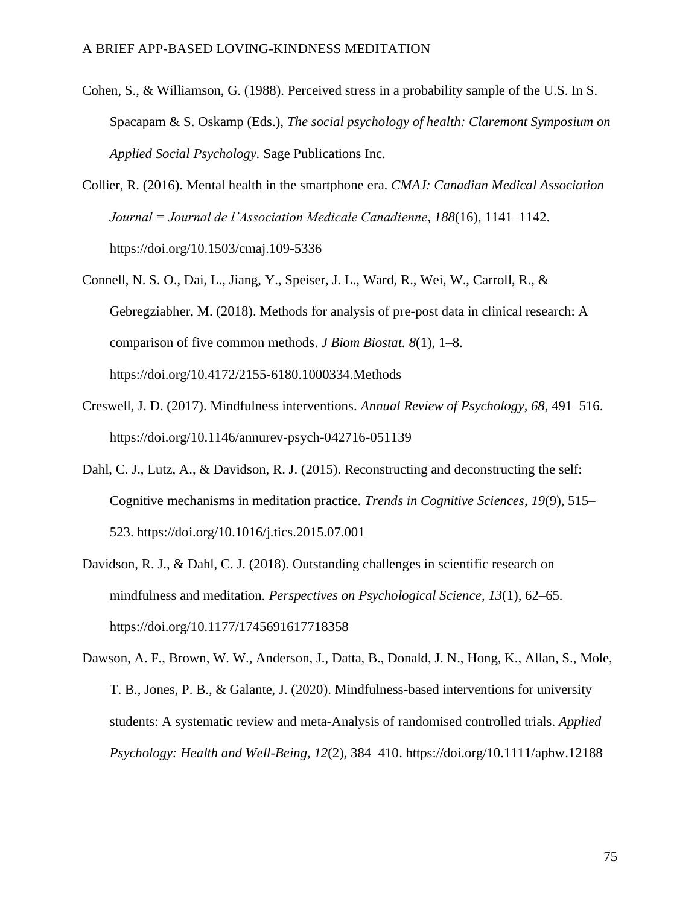- Cohen, S., & Williamson, G. (1988). Perceived stress in a probability sample of the U.S. In S. Spacapam & S. Oskamp (Eds.), *The social psychology of health: Claremont Symposium on Applied Social Psychology.* Sage Publications Inc.
- Collier, R. (2016). Mental health in the smartphone era. *CMAJ: Canadian Medical Association Journal = Journal de l'Association Medicale Canadienne*, *188*(16), 1141–1142. https://doi.org/10.1503/cmaj.109-5336
- Connell, N. S. O., Dai, L., Jiang, Y., Speiser, J. L., Ward, R., Wei, W., Carroll, R., & Gebregziabher, M. (2018). Methods for analysis of pre-post data in clinical research: A comparison of five common methods. *J Biom Biostat. 8*(1), 1–8. https://doi.org/10.4172/2155-6180.1000334.Methods
- Creswell, J. D. (2017). Mindfulness interventions. *Annual Review of Psychology*, *68*, 491–516. https://doi.org/10.1146/annurev-psych-042716-051139
- Dahl, C. J., Lutz, A., & Davidson, R. J. (2015). Reconstructing and deconstructing the self: Cognitive mechanisms in meditation practice. *Trends in Cognitive Sciences*, *19*(9), 515– 523. https://doi.org/10.1016/j.tics.2015.07.001
- Davidson, R. J., & Dahl, C. J. (2018). Outstanding challenges in scientific research on mindfulness and meditation. *Perspectives on Psychological Science*, *13*(1), 62–65. https://doi.org/10.1177/1745691617718358

Dawson, A. F., Brown, W. W., Anderson, J., Datta, B., Donald, J. N., Hong, K., Allan, S., Mole, T. B., Jones, P. B., & Galante, J. (2020). Mindfulness-based interventions for university students: A systematic review and meta-Analysis of randomised controlled trials. *Applied Psychology: Health and Well-Being*, *12*(2), 384–410. https://doi.org/10.1111/aphw.12188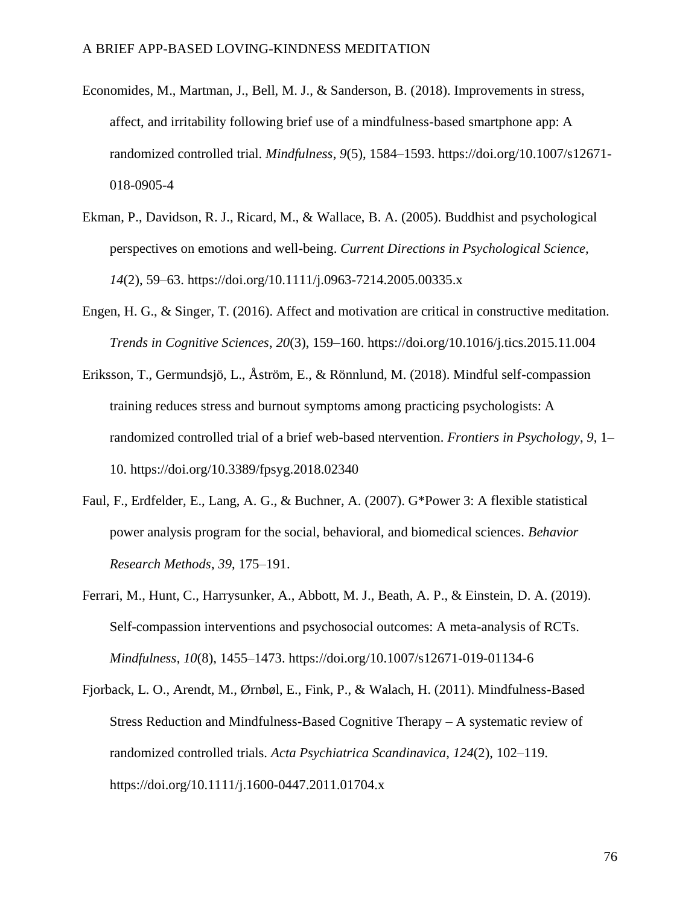- Economides, M., Martman, J., Bell, M. J., & Sanderson, B. (2018). Improvements in stress, affect, and irritability following brief use of a mindfulness-based smartphone app: A randomized controlled trial. *Mindfulness*, *9*(5), 1584–1593. https://doi.org/10.1007/s12671- 018-0905-4
- Ekman, P., Davidson, R. J., Ricard, M., & Wallace, B. A. (2005). Buddhist and psychological perspectives on emotions and well-being. *Current Directions in Psychological Science, 14*(2), 59–63. https://doi.org/10.1111/j.0963-7214.2005.00335.x
- Engen, H. G., & Singer, T. (2016). Affect and motivation are critical in constructive meditation. *Trends in Cognitive Sciences*, *20*(3), 159–160. https://doi.org/10.1016/j.tics.2015.11.004
- Eriksson, T., Germundsjö, L., Åström, E., & Rönnlund, M. (2018). Mindful self-compassion training reduces stress and burnout symptoms among practicing psychologists: A randomized controlled trial of a brief web-based ntervention. *Frontiers in Psychology*, *9*, 1– 10. https://doi.org/10.3389/fpsyg.2018.02340
- Faul, F., Erdfelder, E., Lang, A. G., & Buchner, A. (2007). G\*Power 3: A flexible statistical power analysis program for the social, behavioral, and biomedical sciences. *Behavior Research Methods*, *39*, 175–191.
- Ferrari, M., Hunt, C., Harrysunker, A., Abbott, M. J., Beath, A. P., & Einstein, D. A. (2019). Self-compassion interventions and psychosocial outcomes: A meta-analysis of RCTs. *Mindfulness*, *10*(8), 1455–1473. https://doi.org/10.1007/s12671-019-01134-6
- Fjorback, L. O., Arendt, M., Ørnbøl, E., Fink, P., & Walach, H. (2011). Mindfulness-Based Stress Reduction and Mindfulness-Based Cognitive Therapy – A systematic review of randomized controlled trials. *Acta Psychiatrica Scandinavica*, *124*(2), 102–119. https://doi.org/10.1111/j.1600-0447.2011.01704.x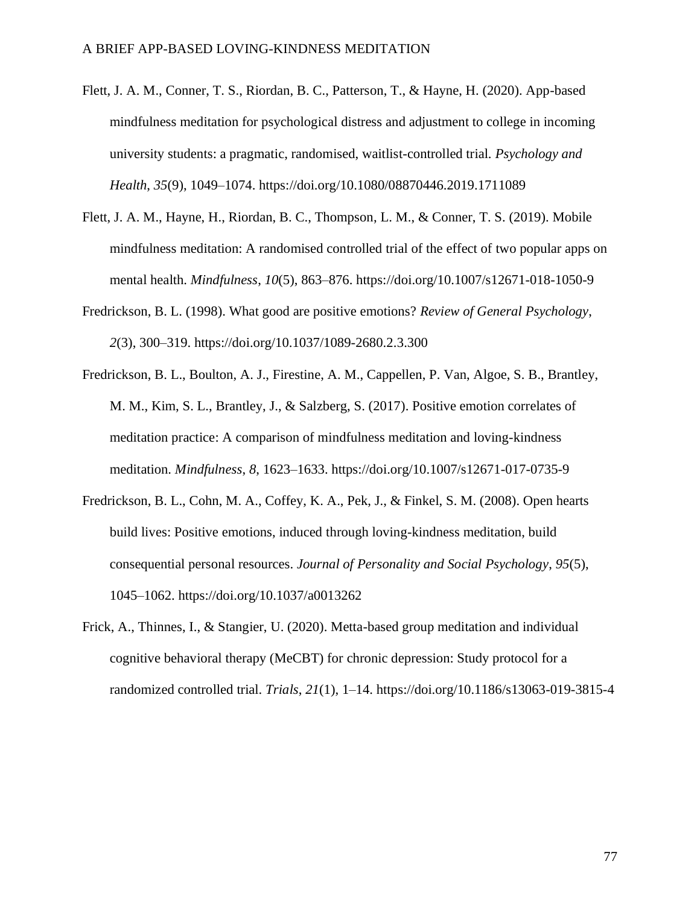- Flett, J. A. M., Conner, T. S., Riordan, B. C., Patterson, T., & Hayne, H. (2020). App-based mindfulness meditation for psychological distress and adjustment to college in incoming university students: a pragmatic, randomised, waitlist-controlled trial. *Psychology and Health*, *35*(9), 1049–1074. https://doi.org/10.1080/08870446.2019.1711089
- Flett, J. A. M., Hayne, H., Riordan, B. C., Thompson, L. M., & Conner, T. S. (2019). Mobile mindfulness meditation: A randomised controlled trial of the effect of two popular apps on mental health. *Mindfulness*, *10*(5), 863–876. https://doi.org/10.1007/s12671-018-1050-9
- Fredrickson, B. L. (1998). What good are positive emotions? *Review of General Psychology*, *2*(3), 300–319. https://doi.org/10.1037/1089-2680.2.3.300
- Fredrickson, B. L., Boulton, A. J., Firestine, A. M., Cappellen, P. Van, Algoe, S. B., Brantley, M. M., Kim, S. L., Brantley, J., & Salzberg, S. (2017). Positive emotion correlates of meditation practice: A comparison of mindfulness meditation and loving-kindness meditation. *Mindfulness*, *8*, 1623–1633. https://doi.org/10.1007/s12671-017-0735-9
- Fredrickson, B. L., Cohn, M. A., Coffey, K. A., Pek, J., & Finkel, S. M. (2008). Open hearts build lives: Positive emotions, induced through loving-kindness meditation, build consequential personal resources. *Journal of Personality and Social Psychology*, *95*(5), 1045–1062. https://doi.org/10.1037/a0013262
- Frick, A., Thinnes, I., & Stangier, U. (2020). Metta-based group meditation and individual cognitive behavioral therapy (MeCBT) for chronic depression: Study protocol for a randomized controlled trial. *Trials*, *21*(1), 1–14. https://doi.org/10.1186/s13063-019-3815-4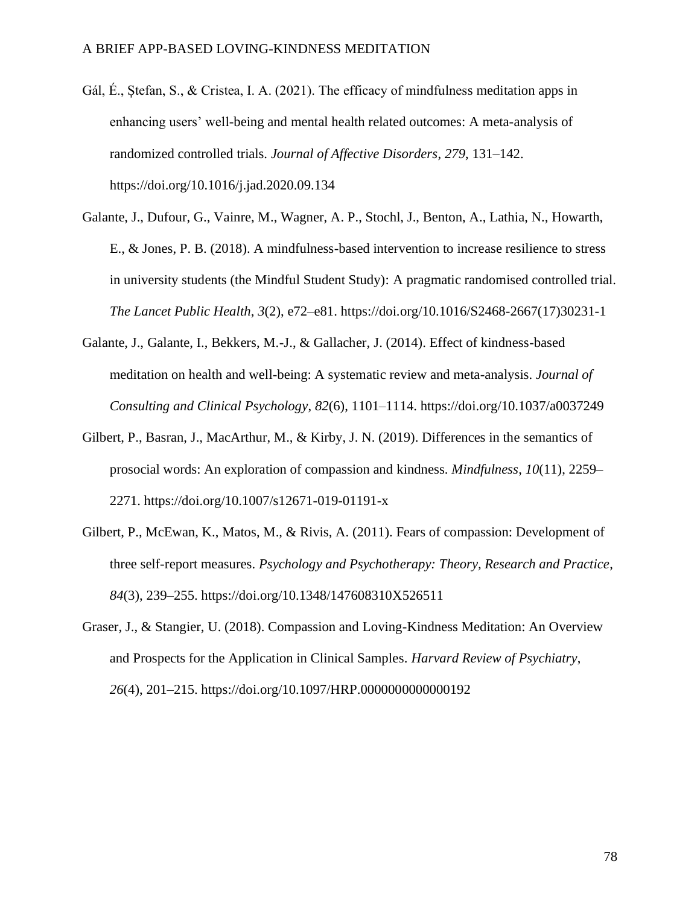- Gál, É., Ștefan, S., & Cristea, I. A. (2021). The efficacy of mindfulness meditation apps in enhancing users' well-being and mental health related outcomes: A meta-analysis of randomized controlled trials. *Journal of Affective Disorders*, *279*, 131–142. https://doi.org/10.1016/j.jad.2020.09.134
- Galante, J., Dufour, G., Vainre, M., Wagner, A. P., Stochl, J., Benton, A., Lathia, N., Howarth, E., & Jones, P. B. (2018). A mindfulness-based intervention to increase resilience to stress in university students (the Mindful Student Study): A pragmatic randomised controlled trial. *The Lancet Public Health*, *3*(2), e72–e81. https://doi.org/10.1016/S2468-2667(17)30231-1
- Galante, J., Galante, I., Bekkers, M.-J., & Gallacher, J. (2014). Effect of kindness-based meditation on health and well-being: A systematic review and meta-analysis. *Journal of Consulting and Clinical Psychology*, *82*(6), 1101–1114. https://doi.org/10.1037/a0037249
- Gilbert, P., Basran, J., MacArthur, M., & Kirby, J. N. (2019). Differences in the semantics of prosocial words: An exploration of compassion and kindness. *Mindfulness*, *10*(11), 2259– 2271. https://doi.org/10.1007/s12671-019-01191-x
- Gilbert, P., McEwan, K., Matos, M., & Rivis, A. (2011). Fears of compassion: Development of three self-report measures. *Psychology and Psychotherapy: Theory, Research and Practice*, *84*(3), 239–255. https://doi.org/10.1348/147608310X526511
- Graser, J., & Stangier, U. (2018). Compassion and Loving-Kindness Meditation: An Overview and Prospects for the Application in Clinical Samples. *Harvard Review of Psychiatry*, *26*(4), 201–215. https://doi.org/10.1097/HRP.0000000000000192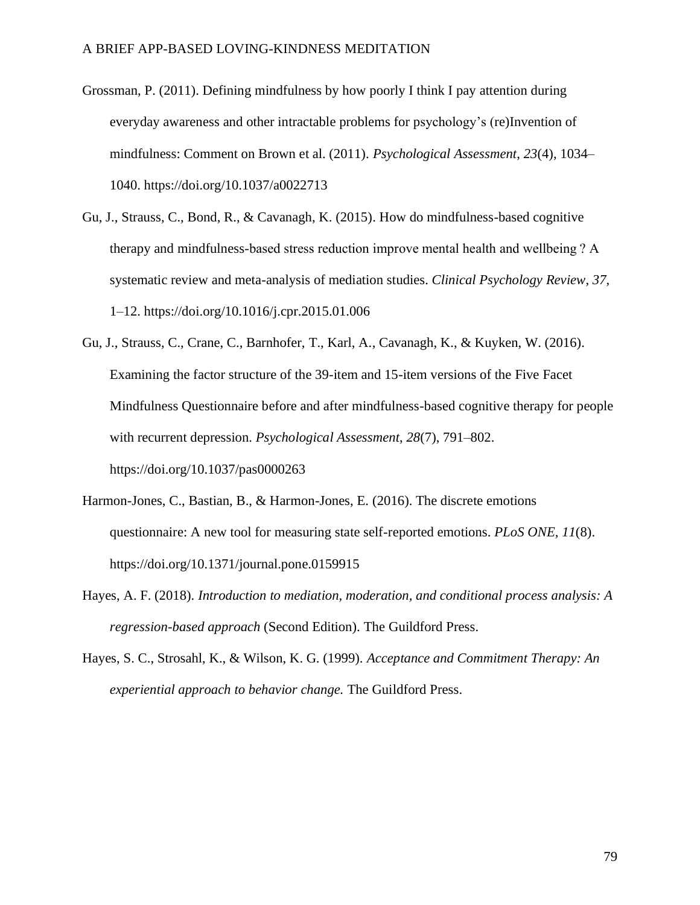- Grossman, P. (2011). Defining mindfulness by how poorly I think I pay attention during everyday awareness and other intractable problems for psychology's (re)Invention of mindfulness: Comment on Brown et al. (2011). *Psychological Assessment*, *23*(4), 1034– 1040. https://doi.org/10.1037/a0022713
- Gu, J., Strauss, C., Bond, R., & Cavanagh, K. (2015). How do mindfulness-based cognitive therapy and mindfulness-based stress reduction improve mental health and wellbeing ? A systematic review and meta-analysis of mediation studies. *Clinical Psychology Review*, *37*, 1–12. https://doi.org/10.1016/j.cpr.2015.01.006
- Gu, J., Strauss, C., Crane, C., Barnhofer, T., Karl, A., Cavanagh, K., & Kuyken, W. (2016). Examining the factor structure of the 39-item and 15-item versions of the Five Facet Mindfulness Questionnaire before and after mindfulness-based cognitive therapy for people with recurrent depression. *Psychological Assessment*, *28*(7), 791–802. https://doi.org/10.1037/pas0000263
- Harmon-Jones, C., Bastian, B., & Harmon-Jones, E. (2016). The discrete emotions questionnaire: A new tool for measuring state self-reported emotions. *PLoS ONE, 11*(8). https://doi.org/10.1371/journal.pone.0159915
- Hayes, A. F. (2018). *Introduction to mediation, moderation, and conditional process analysis: A regression-based approach* (Second Edition). The Guildford Press.
- Hayes, S. C., Strosahl, K., & Wilson, K. G. (1999). *Acceptance and Commitment Therapy: An experiential approach to behavior change.* The Guildford Press.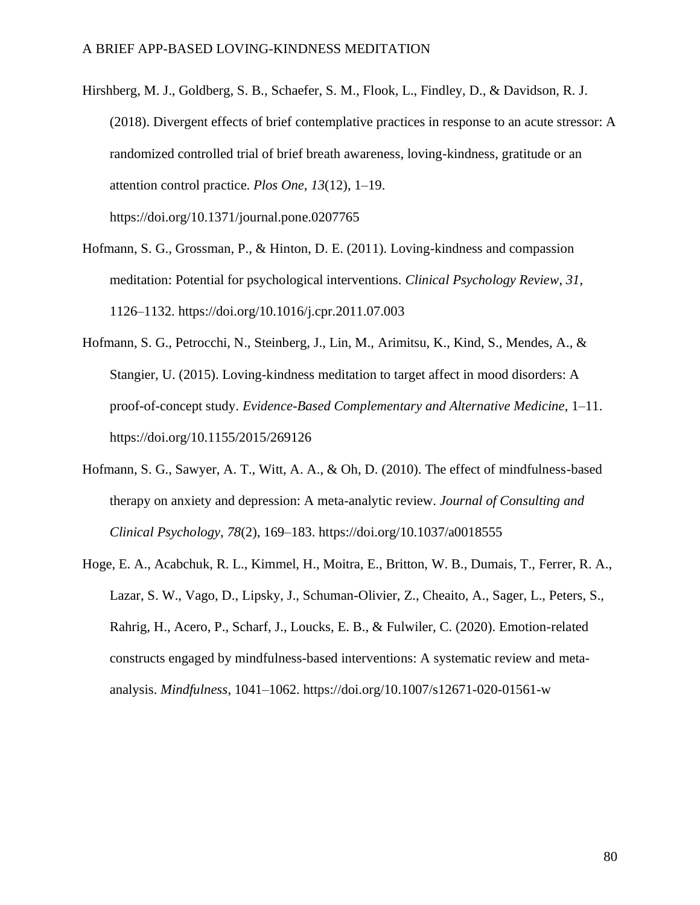- Hirshberg, M. J., Goldberg, S. B., Schaefer, S. M., Flook, L., Findley, D., & Davidson, R. J. (2018). Divergent effects of brief contemplative practices in response to an acute stressor: A randomized controlled trial of brief breath awareness, loving-kindness, gratitude or an attention control practice. *Plos One*, *13*(12), 1–19. https://doi.org/10.1371/journal.pone.0207765
- Hofmann, S. G., Grossman, P., & Hinton, D. E. (2011). Loving-kindness and compassion meditation: Potential for psychological interventions. *Clinical Psychology Review*, *31*, 1126–1132. https://doi.org/10.1016/j.cpr.2011.07.003
- Hofmann, S. G., Petrocchi, N., Steinberg, J., Lin, M., Arimitsu, K., Kind, S., Mendes, A., & Stangier, U. (2015). Loving-kindness meditation to target affect in mood disorders: A proof-of-concept study. *Evidence-Based Complementary and Alternative Medicine*, 1–11. https://doi.org/10.1155/2015/269126
- Hofmann, S. G., Sawyer, A. T., Witt, A. A., & Oh, D. (2010). The effect of mindfulness-based therapy on anxiety and depression: A meta-analytic review. *Journal of Consulting and Clinical Psychology*, *78*(2), 169–183. https://doi.org/10.1037/a0018555
- Hoge, E. A., Acabchuk, R. L., Kimmel, H., Moitra, E., Britton, W. B., Dumais, T., Ferrer, R. A., Lazar, S. W., Vago, D., Lipsky, J., Schuman-Olivier, Z., Cheaito, A., Sager, L., Peters, S., Rahrig, H., Acero, P., Scharf, J., Loucks, E. B., & Fulwiler, C. (2020). Emotion-related constructs engaged by mindfulness-based interventions: A systematic review and metaanalysis. *Mindfulness*, 1041–1062. https://doi.org/10.1007/s12671-020-01561-w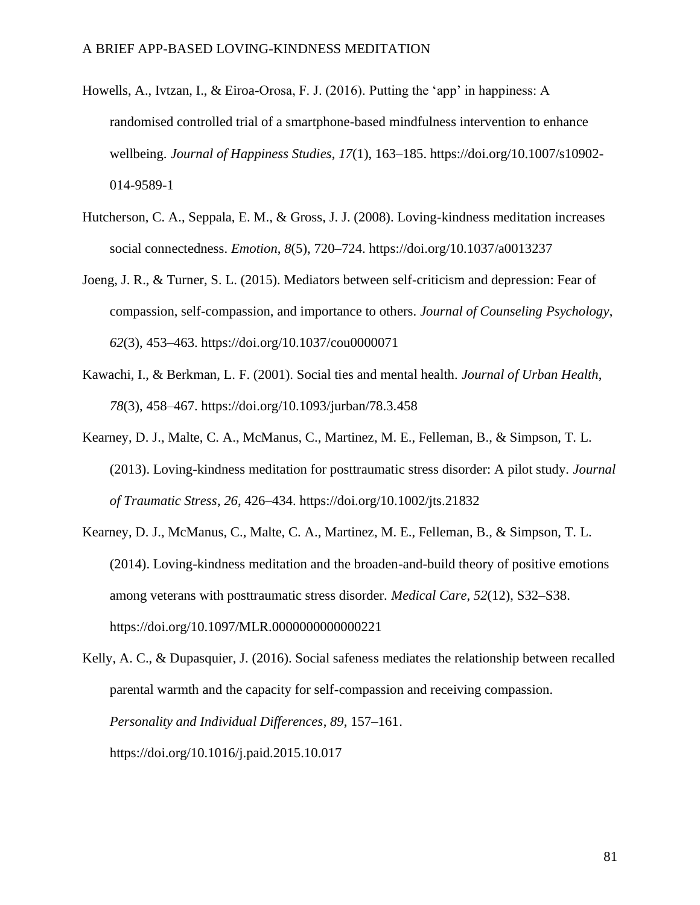- Howells, A., Ivtzan, I., & Eiroa-Orosa, F. J. (2016). Putting the 'app' in happiness: A randomised controlled trial of a smartphone-based mindfulness intervention to enhance wellbeing. *Journal of Happiness Studies*, *17*(1), 163–185. https://doi.org/10.1007/s10902- 014-9589-1
- Hutcherson, C. A., Seppala, E. M., & Gross, J. J. (2008). Loving-kindness meditation increases social connectedness. *Emotion*, *8*(5), 720–724. https://doi.org/10.1037/a0013237
- Joeng, J. R., & Turner, S. L. (2015). Mediators between self-criticism and depression: Fear of compassion, self-compassion, and importance to others. *Journal of Counseling Psychology*, *62*(3), 453–463. https://doi.org/10.1037/cou0000071
- Kawachi, I., & Berkman, L. F. (2001). Social ties and mental health. *Journal of Urban Health*, *78*(3), 458–467. https://doi.org/10.1093/jurban/78.3.458
- Kearney, D. J., Malte, C. A., McManus, C., Martinez, M. E., Felleman, B., & Simpson, T. L. (2013). Loving-kindness meditation for posttraumatic stress disorder: A pilot study. *Journal of Traumatic Stress*, *26*, 426–434. https://doi.org/10.1002/jts.21832
- Kearney, D. J., McManus, C., Malte, C. A., Martinez, M. E., Felleman, B., & Simpson, T. L. (2014). Loving-kindness meditation and the broaden-and-build theory of positive emotions among veterans with posttraumatic stress disorder. *Medical Care*, *52*(12), S32–S38. https://doi.org/10.1097/MLR.0000000000000221

Kelly, A. C., & Dupasquier, J. (2016). Social safeness mediates the relationship between recalled parental warmth and the capacity for self-compassion and receiving compassion. *Personality and Individual Differences*, *89*, 157–161. https://doi.org/10.1016/j.paid.2015.10.017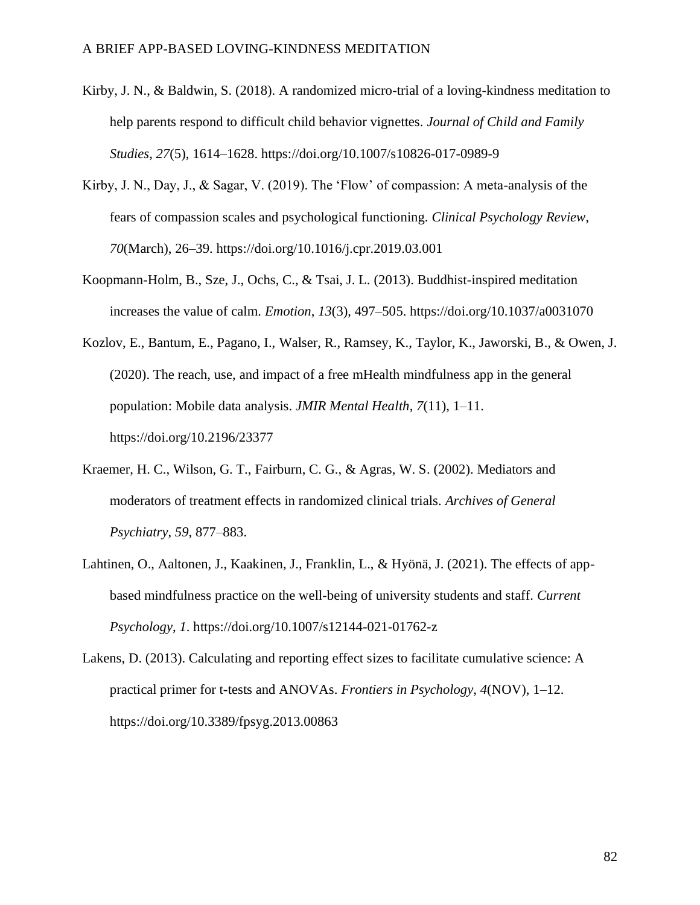- Kirby, J. N., & Baldwin, S. (2018). A randomized micro-trial of a loving-kindness meditation to help parents respond to difficult child behavior vignettes. *Journal of Child and Family Studies*, *27*(5), 1614–1628. https://doi.org/10.1007/s10826-017-0989-9
- Kirby, J. N., Day, J., & Sagar, V. (2019). The 'Flow' of compassion: A meta-analysis of the fears of compassion scales and psychological functioning. *Clinical Psychology Review*, *70*(March), 26–39. https://doi.org/10.1016/j.cpr.2019.03.001
- Koopmann-Holm, B., Sze, J., Ochs, C., & Tsai, J. L. (2013). Buddhist-inspired meditation increases the value of calm. *Emotion*, *13*(3), 497–505. https://doi.org/10.1037/a0031070
- Kozlov, E., Bantum, E., Pagano, I., Walser, R., Ramsey, K., Taylor, K., Jaworski, B., & Owen, J. (2020). The reach, use, and impact of a free mHealth mindfulness app in the general population: Mobile data analysis. *JMIR Mental Health*, *7*(11), 1–11. https://doi.org/10.2196/23377
- Kraemer, H. C., Wilson, G. T., Fairburn, C. G., & Agras, W. S. (2002). Mediators and moderators of treatment effects in randomized clinical trials. *Archives of General Psychiatry*, *59*, 877–883.
- Lahtinen, O., Aaltonen, J., Kaakinen, J., Franklin, L., & Hyönä, J. (2021). The effects of appbased mindfulness practice on the well-being of university students and staff. *Current Psychology*, *1*. https://doi.org/10.1007/s12144-021-01762-z
- Lakens, D. (2013). Calculating and reporting effect sizes to facilitate cumulative science: A practical primer for t-tests and ANOVAs. *Frontiers in Psychology*, *4*(NOV), 1–12. https://doi.org/10.3389/fpsyg.2013.00863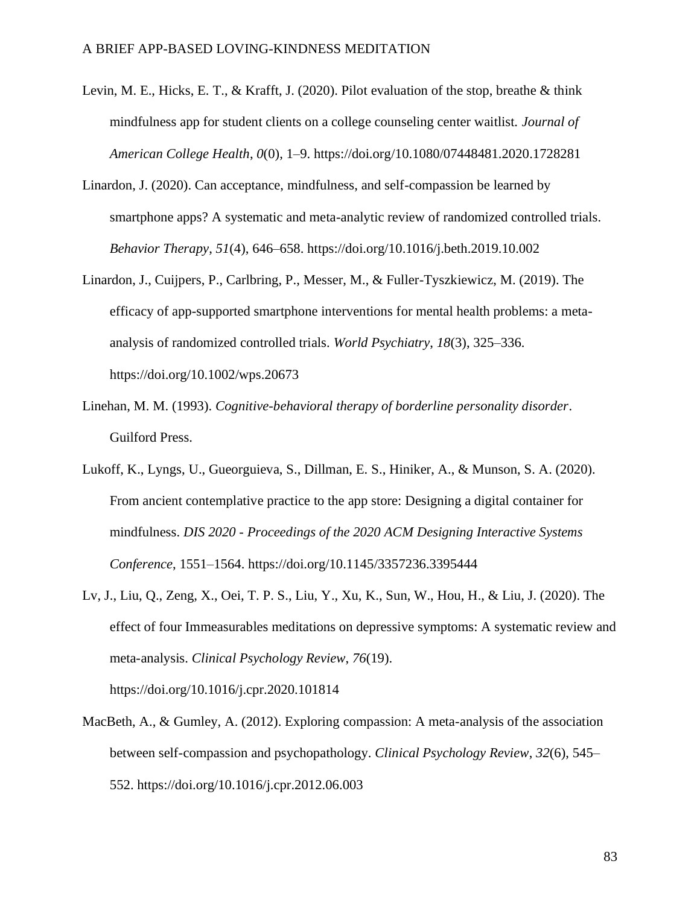- Levin, M. E., Hicks, E. T., & Krafft, J. (2020). Pilot evaluation of the stop, breathe & think mindfulness app for student clients on a college counseling center waitlist. *Journal of American College Health*, *0*(0), 1–9. https://doi.org/10.1080/07448481.2020.1728281
- Linardon, J. (2020). Can acceptance, mindfulness, and self-compassion be learned by smartphone apps? A systematic and meta-analytic review of randomized controlled trials. *Behavior Therapy*, *51*(4), 646–658. https://doi.org/10.1016/j.beth.2019.10.002
- Linardon, J., Cuijpers, P., Carlbring, P., Messer, M., & Fuller-Tyszkiewicz, M. (2019). The efficacy of app-supported smartphone interventions for mental health problems: a metaanalysis of randomized controlled trials. *World Psychiatry*, *18*(3), 325–336. https://doi.org/10.1002/wps.20673
- Linehan, M. M. (1993). *Cognitive-behavioral therapy of borderline personality disorder*. Guilford Press.
- Lukoff, K., Lyngs, U., Gueorguieva, S., Dillman, E. S., Hiniker, A., & Munson, S. A. (2020). From ancient contemplative practice to the app store: Designing a digital container for mindfulness. *DIS 2020 - Proceedings of the 2020 ACM Designing Interactive Systems Conference*, 1551–1564. https://doi.org/10.1145/3357236.3395444
- Lv, J., Liu, Q., Zeng, X., Oei, T. P. S., Liu, Y., Xu, K., Sun, W., Hou, H., & Liu, J. (2020). The effect of four Immeasurables meditations on depressive symptoms: A systematic review and meta-analysis. *Clinical Psychology Review*, *76*(19). https://doi.org/10.1016/j.cpr.2020.101814
- MacBeth, A., & Gumley, A. (2012). Exploring compassion: A meta-analysis of the association between self-compassion and psychopathology. *Clinical Psychology Review*, *32*(6), 545– 552. https://doi.org/10.1016/j.cpr.2012.06.003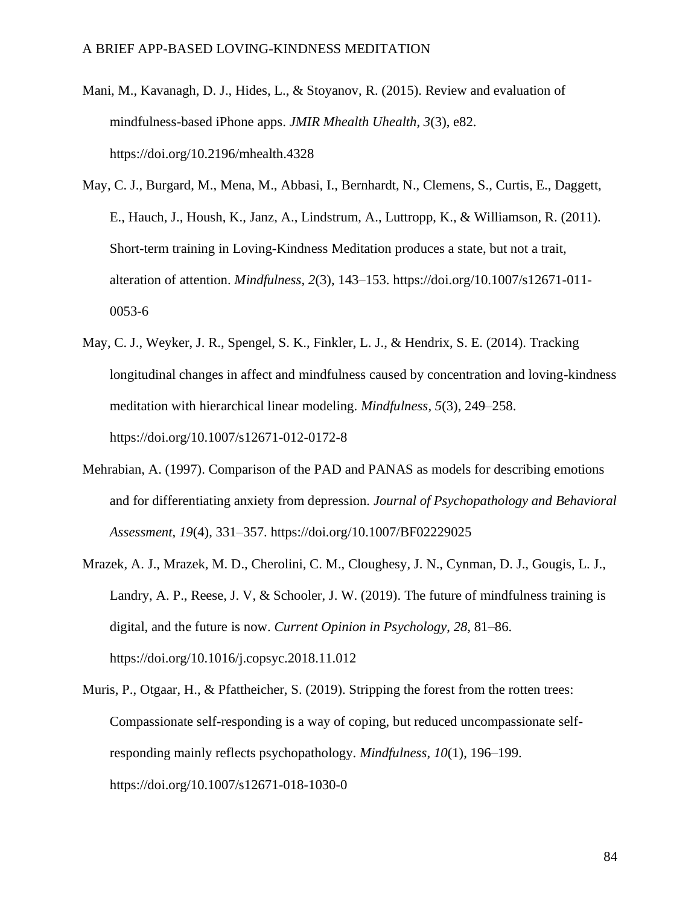- Mani, M., Kavanagh, D. J., Hides, L., & Stoyanov, R. (2015). Review and evaluation of mindfulness-based iPhone apps. *JMIR Mhealth Uhealth*, *3*(3), e82. https://doi.org/10.2196/mhealth.4328
- May, C. J., Burgard, M., Mena, M., Abbasi, I., Bernhardt, N., Clemens, S., Curtis, E., Daggett, E., Hauch, J., Housh, K., Janz, A., Lindstrum, A., Luttropp, K., & Williamson, R. (2011). Short-term training in Loving-Kindness Meditation produces a state, but not a trait, alteration of attention. *Mindfulness*, *2*(3), 143–153. https://doi.org/10.1007/s12671-011- 0053-6
- May, C. J., Weyker, J. R., Spengel, S. K., Finkler, L. J., & Hendrix, S. E. (2014). Tracking longitudinal changes in affect and mindfulness caused by concentration and loving-kindness meditation with hierarchical linear modeling. *Mindfulness*, *5*(3), 249–258. https://doi.org/10.1007/s12671-012-0172-8
- Mehrabian, A. (1997). Comparison of the PAD and PANAS as models for describing emotions and for differentiating anxiety from depression. *Journal of Psychopathology and Behavioral Assessment*, *19*(4), 331–357. https://doi.org/10.1007/BF02229025
- Mrazek, A. J., Mrazek, M. D., Cherolini, C. M., Cloughesy, J. N., Cynman, D. J., Gougis, L. J., Landry, A. P., Reese, J. V, & Schooler, J. W. (2019). The future of mindfulness training is digital, and the future is now. *Current Opinion in Psychology*, *28*, 81–86. https://doi.org/10.1016/j.copsyc.2018.11.012
- Muris, P., Otgaar, H., & Pfattheicher, S. (2019). Stripping the forest from the rotten trees: Compassionate self-responding is a way of coping, but reduced uncompassionate selfresponding mainly reflects psychopathology. *Mindfulness*, *10*(1), 196–199. https://doi.org/10.1007/s12671-018-1030-0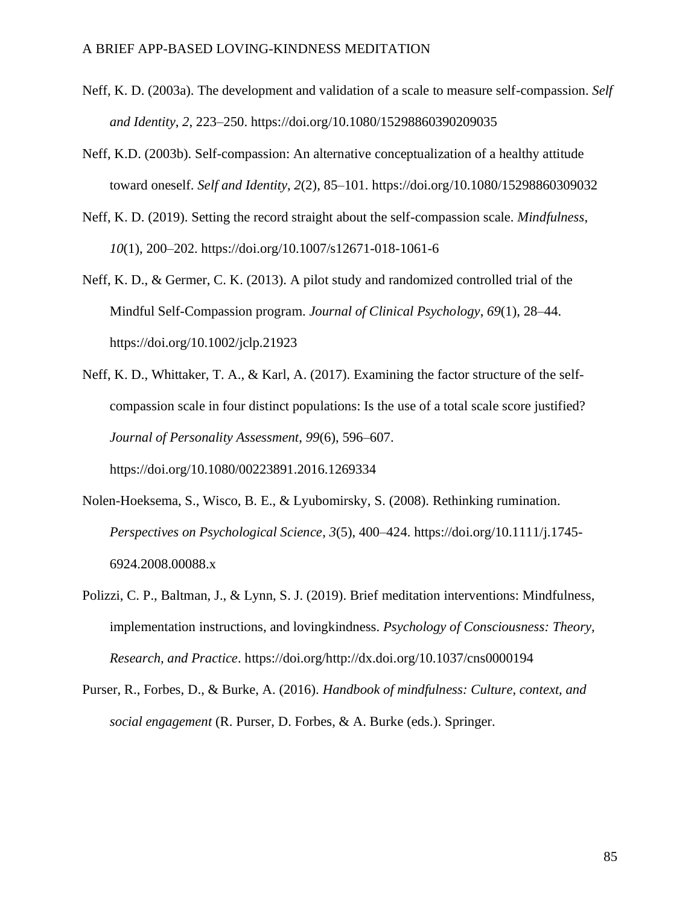- Neff, K. D. (2003a). The development and validation of a scale to measure self-compassion. *Self and Identity*, *2*, 223–250. https://doi.org/10.1080/15298860390209035
- Neff, K.D. (2003b). Self-compassion: An alternative conceptualization of a healthy attitude toward oneself. *Self and Identity*, *2*(2), 85–101. https://doi.org/10.1080/15298860309032
- Neff, K. D. (2019). Setting the record straight about the self-compassion scale. *Mindfulness*, *10*(1), 200–202. https://doi.org/10.1007/s12671-018-1061-6
- Neff, K. D., & Germer, C. K. (2013). A pilot study and randomized controlled trial of the Mindful Self-Compassion program. *Journal of Clinical Psychology*, *69*(1), 28–44. https://doi.org/10.1002/jclp.21923
- Neff, K. D., Whittaker, T. A., & Karl, A. (2017). Examining the factor structure of the selfcompassion scale in four distinct populations: Is the use of a total scale score justified? *Journal of Personality Assessment*, *99*(6), 596–607.

https://doi.org/10.1080/00223891.2016.1269334

- Nolen-Hoeksema, S., Wisco, B. E., & Lyubomirsky, S. (2008). Rethinking rumination. *Perspectives on Psychological Science*, *3*(5), 400–424. https://doi.org/10.1111/j.1745- 6924.2008.00088.x
- Polizzi, C. P., Baltman, J., & Lynn, S. J. (2019). Brief meditation interventions: Mindfulness, implementation instructions, and lovingkindness. *Psychology of Consciousness: Theory, Research, and Practice*. https://doi.org/http://dx.doi.org/10.1037/cns0000194
- Purser, R., Forbes, D., & Burke, A. (2016). *Handbook of mindfulness: Culture, context, and social engagement* (R. Purser, D. Forbes, & A. Burke (eds.). Springer.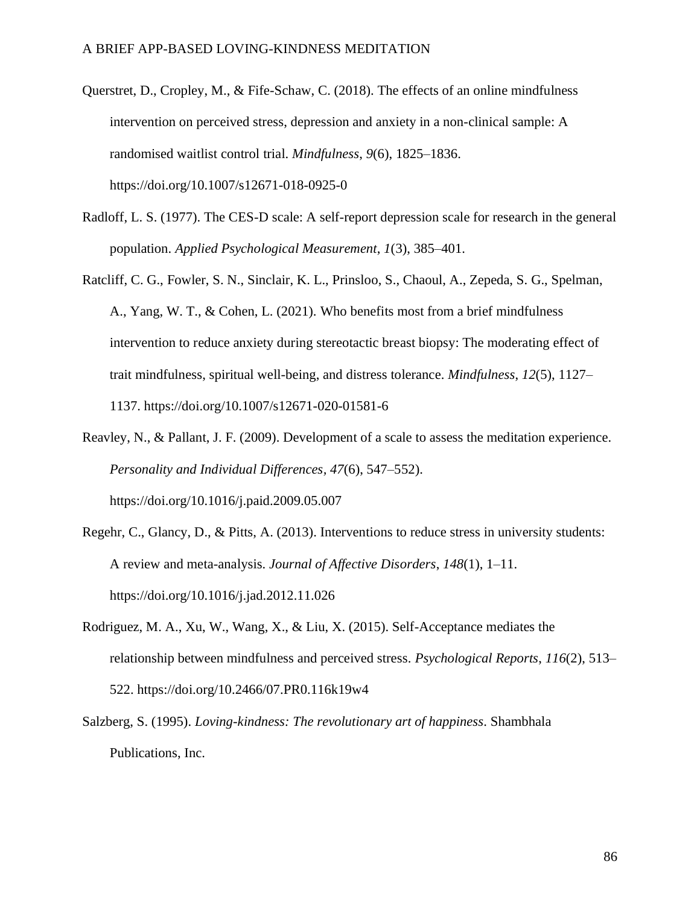- Querstret, D., Cropley, M., & Fife-Schaw, C. (2018). The effects of an online mindfulness intervention on perceived stress, depression and anxiety in a non-clinical sample: A randomised waitlist control trial. *Mindfulness*, *9*(6), 1825–1836. https://doi.org/10.1007/s12671-018-0925-0
- Radloff, L. S. (1977). The CES-D scale: A self-report depression scale for research in the general population. *Applied Psychological Measurement*, *1*(3), 385–401.
- Ratcliff, C. G., Fowler, S. N., Sinclair, K. L., Prinsloo, S., Chaoul, A., Zepeda, S. G., Spelman, A., Yang, W. T., & Cohen, L. (2021). Who benefits most from a brief mindfulness intervention to reduce anxiety during stereotactic breast biopsy: The moderating effect of trait mindfulness, spiritual well-being, and distress tolerance. *Mindfulness*, *12*(5), 1127– 1137. https://doi.org/10.1007/s12671-020-01581-6
- Reavley, N., & Pallant, J. F. (2009). Development of a scale to assess the meditation experience. *Personality and Individual Differences, 47*(6), 547–552). https://doi.org/10.1016/j.paid.2009.05.007
- Regehr, C., Glancy, D., & Pitts, A. (2013). Interventions to reduce stress in university students: A review and meta-analysis. *Journal of Affective Disorders*, *148*(1), 1–11. https://doi.org/10.1016/j.jad.2012.11.026
- Rodriguez, M. A., Xu, W., Wang, X., & Liu, X. (2015). Self-Acceptance mediates the relationship between mindfulness and perceived stress. *Psychological Reports*, *116*(2), 513– 522. https://doi.org/10.2466/07.PR0.116k19w4
- Salzberg, S. (1995). *Loving-kindness: The revolutionary art of happiness*. Shambhala Publications, Inc.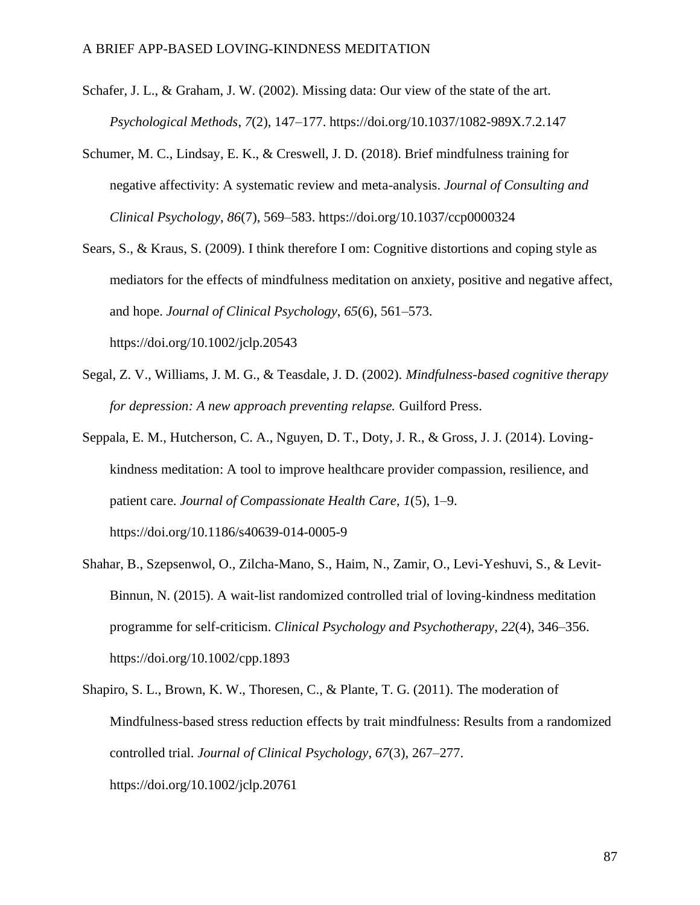- Schafer, J. L., & Graham, J. W. (2002). Missing data: Our view of the state of the art. *Psychological Methods*, *7*(2), 147–177. https://doi.org/10.1037/1082-989X.7.2.147
- Schumer, M. C., Lindsay, E. K., & Creswell, J. D. (2018). Brief mindfulness training for negative affectivity: A systematic review and meta-analysis. *Journal of Consulting and Clinical Psychology*, *86*(7), 569–583. https://doi.org/10.1037/ccp0000324
- Sears, S., & Kraus, S. (2009). I think therefore I om: Cognitive distortions and coping style as mediators for the effects of mindfulness meditation on anxiety, positive and negative affect, and hope. *Journal of Clinical Psychology*, *65*(6), 561–573. https://doi.org/10.1002/jclp.20543
- Segal, Z. V., Williams, J. M. G., & Teasdale, J. D. (2002). *Mindfulness-based cognitive therapy for depression: A new approach preventing relapse.* Guilford Press.
- Seppala, E. M., Hutcherson, C. A., Nguyen, D. T., Doty, J. R., & Gross, J. J. (2014). Lovingkindness meditation: A tool to improve healthcare provider compassion, resilience, and patient care. *Journal of Compassionate Health Care*, *1*(5), 1–9. https://doi.org/10.1186/s40639-014-0005-9
- Shahar, B., Szepsenwol, O., Zilcha-Mano, S., Haim, N., Zamir, O., Levi-Yeshuvi, S., & Levit-Binnun, N. (2015). A wait-list randomized controlled trial of loving-kindness meditation programme for self-criticism. *Clinical Psychology and Psychotherapy*, *22*(4), 346–356. https://doi.org/10.1002/cpp.1893
- Shapiro, S. L., Brown, K. W., Thoresen, C., & Plante, T. G. (2011). The moderation of Mindfulness-based stress reduction effects by trait mindfulness: Results from a randomized controlled trial. *Journal of Clinical Psychology*, *67*(3), 267–277. https://doi.org/10.1002/jclp.20761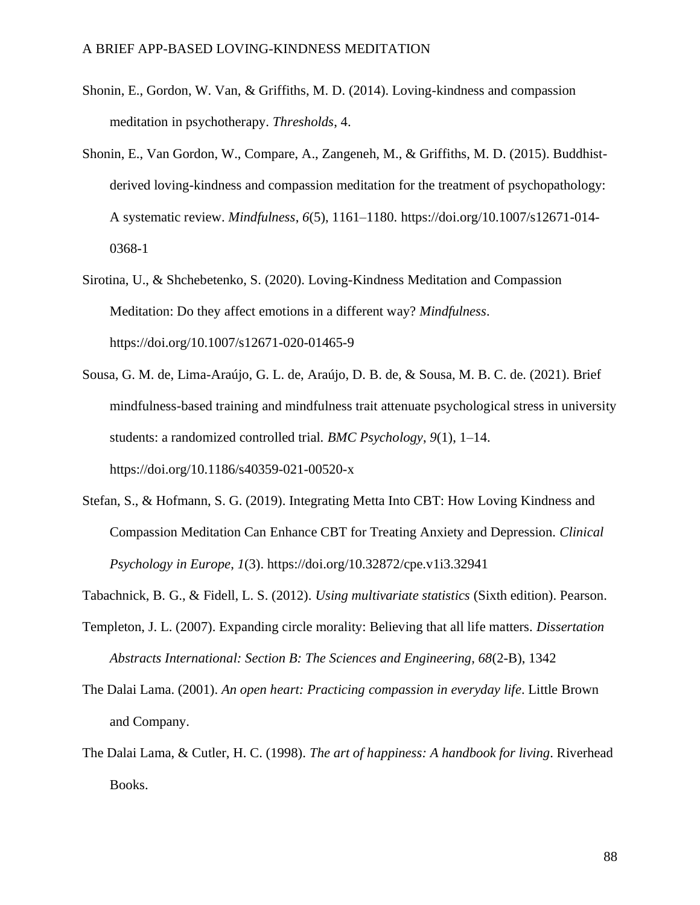- Shonin, E., Gordon, W. Van, & Griffiths, M. D. (2014). Loving-kindness and compassion meditation in psychotherapy. *Thresholds*, 4.
- Shonin, E., Van Gordon, W., Compare, A., Zangeneh, M., & Griffiths, M. D. (2015). Buddhistderived loving-kindness and compassion meditation for the treatment of psychopathology: A systematic review. *Mindfulness*, *6*(5), 1161–1180. https://doi.org/10.1007/s12671-014- 0368-1
- Sirotina, U., & Shchebetenko, S. (2020). Loving-Kindness Meditation and Compassion Meditation: Do they affect emotions in a different way? *Mindfulness*. https://doi.org/10.1007/s12671-020-01465-9
- Sousa, G. M. de, Lima-Araújo, G. L. de, Araújo, D. B. de, & Sousa, M. B. C. de. (2021). Brief mindfulness-based training and mindfulness trait attenuate psychological stress in university students: a randomized controlled trial. *BMC Psychology*, *9*(1), 1–14. https://doi.org/10.1186/s40359-021-00520-x
- Stefan, S., & Hofmann, S. G. (2019). Integrating Metta Into CBT: How Loving Kindness and Compassion Meditation Can Enhance CBT for Treating Anxiety and Depression. *Clinical Psychology in Europe*, *1*(3). https://doi.org/10.32872/cpe.v1i3.32941
- Tabachnick, B. G., & Fidell, L. S. (2012). *Using multivariate statistics* (Sixth edition). Pearson.
- Templeton, J. L. (2007). Expanding circle morality: Believing that all life matters. *Dissertation Abstracts International: Section B: The Sciences and Engineering, 68*(2-B), 1342
- The Dalai Lama. (2001). *An open heart: Practicing compassion in everyday life*. Little Brown and Company.
- The Dalai Lama, & Cutler, H. C. (1998). *The art of happiness: A handbook for living*. Riverhead Books.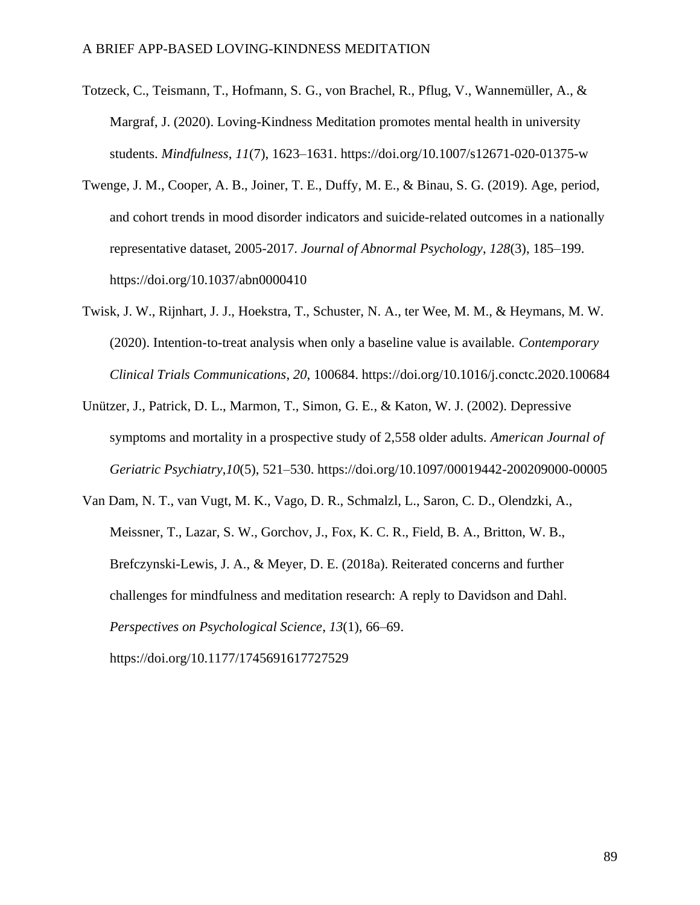- Totzeck, C., Teismann, T., Hofmann, S. G., von Brachel, R., Pflug, V., Wannemüller, A., & Margraf, J. (2020). Loving-Kindness Meditation promotes mental health in university students. *Mindfulness*, *11*(7), 1623–1631. https://doi.org/10.1007/s12671-020-01375-w
- Twenge, J. M., Cooper, A. B., Joiner, T. E., Duffy, M. E., & Binau, S. G. (2019). Age, period, and cohort trends in mood disorder indicators and suicide-related outcomes in a nationally representative dataset, 2005-2017. *Journal of Abnormal Psychology*, *128*(3), 185–199. https://doi.org/10.1037/abn0000410
- Twisk, J. W., Rijnhart, J. J., Hoekstra, T., Schuster, N. A., ter Wee, M. M., & Heymans, M. W. (2020). Intention-to-treat analysis when only a baseline value is available. *Contemporary Clinical Trials Communications*, *20*, 100684. https://doi.org/10.1016/j.conctc.2020.100684
- Unützer, J., Patrick, D. L., Marmon, T., Simon, G. E., & Katon, W. J. (2002). Depressive symptoms and mortality in a prospective study of 2,558 older adults. *American Journal of Geriatric Psychiatry*,*10*(5), 521–530. https://doi.org/10.1097/00019442-200209000-00005
- Van Dam, N. T., van Vugt, M. K., Vago, D. R., Schmalzl, L., Saron, C. D., Olendzki, A., Meissner, T., Lazar, S. W., Gorchov, J., Fox, K. C. R., Field, B. A., Britton, W. B., Brefczynski-Lewis, J. A., & Meyer, D. E. (2018a). Reiterated concerns and further challenges for mindfulness and meditation research: A reply to Davidson and Dahl. *Perspectives on Psychological Science*, *13*(1), 66–69. https://doi.org/10.1177/1745691617727529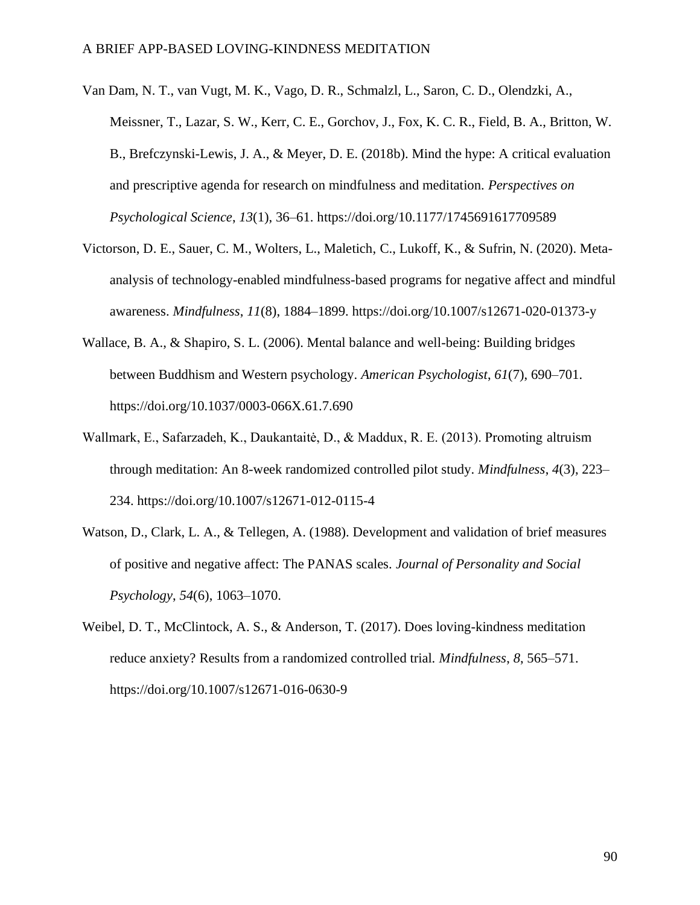- Van Dam, N. T., van Vugt, M. K., Vago, D. R., Schmalzl, L., Saron, C. D., Olendzki, A., Meissner, T., Lazar, S. W., Kerr, C. E., Gorchov, J., Fox, K. C. R., Field, B. A., Britton, W. B., Brefczynski-Lewis, J. A., & Meyer, D. E. (2018b). Mind the hype: A critical evaluation and prescriptive agenda for research on mindfulness and meditation. *Perspectives on Psychological Science*, *13*(1), 36–61. https://doi.org/10.1177/1745691617709589
- Victorson, D. E., Sauer, C. M., Wolters, L., Maletich, C., Lukoff, K., & Sufrin, N. (2020). Metaanalysis of technology-enabled mindfulness-based programs for negative affect and mindful awareness. *Mindfulness*, *11*(8), 1884–1899. https://doi.org/10.1007/s12671-020-01373-y
- Wallace, B. A., & Shapiro, S. L. (2006). Mental balance and well-being: Building bridges between Buddhism and Western psychology. *American Psychologist*, *61*(7), 690–701. https://doi.org/10.1037/0003-066X.61.7.690
- Wallmark, E., Safarzadeh, K., Daukantaitė, D., & Maddux, R. E. (2013). Promoting altruism through meditation: An 8-week randomized controlled pilot study. *Mindfulness*, *4*(3), 223– 234. https://doi.org/10.1007/s12671-012-0115-4
- Watson, D., Clark, L. A., & Tellegen, A. (1988). Development and validation of brief measures of positive and negative affect: The PANAS scales. *Journal of Personality and Social Psychology*, *54*(6), 1063–1070.
- Weibel, D. T., McClintock, A. S., & Anderson, T. (2017). Does loving-kindness meditation reduce anxiety? Results from a randomized controlled trial. *Mindfulness*, *8*, 565–571. https://doi.org/10.1007/s12671-016-0630-9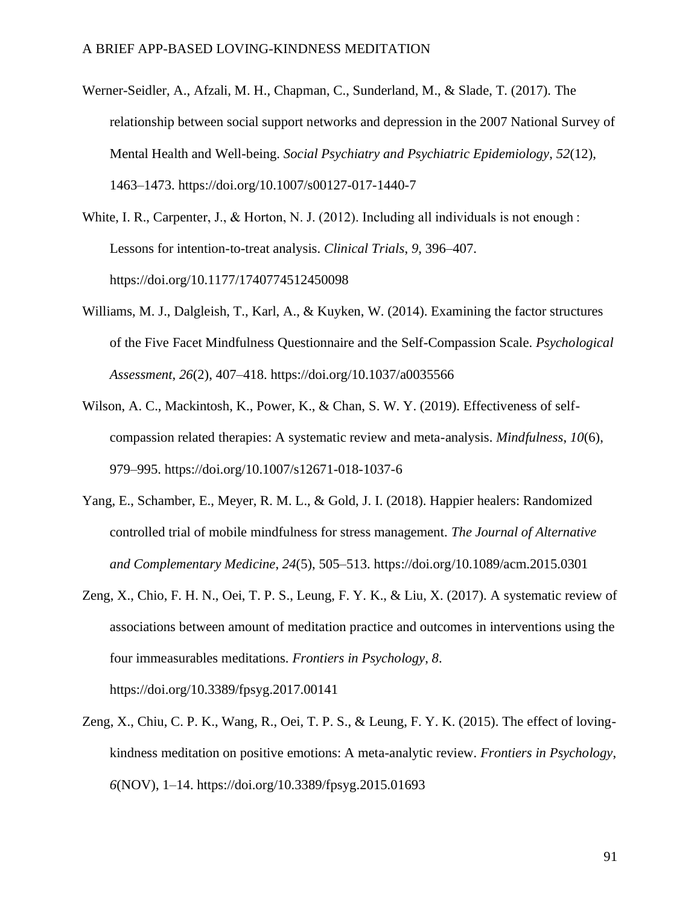- Werner-Seidler, A., Afzali, M. H., Chapman, C., Sunderland, M., & Slade, T. (2017). The relationship between social support networks and depression in the 2007 National Survey of Mental Health and Well-being. *Social Psychiatry and Psychiatric Epidemiology*, *52*(12), 1463–1473. https://doi.org/10.1007/s00127-017-1440-7
- White, I. R., Carpenter, J., & Horton, N. J. (2012). Including all individuals is not enough : Lessons for intention-to-treat analysis. *Clinical Trials*, *9*, 396–407. https://doi.org/10.1177/1740774512450098
- Williams, M. J., Dalgleish, T., Karl, A., & Kuyken, W. (2014). Examining the factor structures of the Five Facet Mindfulness Questionnaire and the Self-Compassion Scale. *Psychological Assessment*, *26*(2), 407–418. https://doi.org/10.1037/a0035566
- Wilson, A. C., Mackintosh, K., Power, K., & Chan, S. W. Y. (2019). Effectiveness of selfcompassion related therapies: A systematic review and meta-analysis. *Mindfulness*, *10*(6), 979–995. https://doi.org/10.1007/s12671-018-1037-6
- Yang, E., Schamber, E., Meyer, R. M. L., & Gold, J. I. (2018). Happier healers: Randomized controlled trial of mobile mindfulness for stress management. *The Journal of Alternative and Complementary Medicine*, *24*(5), 505–513. https://doi.org/10.1089/acm.2015.0301
- Zeng, X., Chio, F. H. N., Oei, T. P. S., Leung, F. Y. K., & Liu, X. (2017). A systematic review of associations between amount of meditation practice and outcomes in interventions using the four immeasurables meditations. *Frontiers in Psychology*, *8*. https://doi.org/10.3389/fpsyg.2017.00141
- Zeng, X., Chiu, C. P. K., Wang, R., Oei, T. P. S., & Leung, F. Y. K. (2015). The effect of lovingkindness meditation on positive emotions: A meta-analytic review. *Frontiers in Psychology*, *6*(NOV), 1–14. https://doi.org/10.3389/fpsyg.2015.01693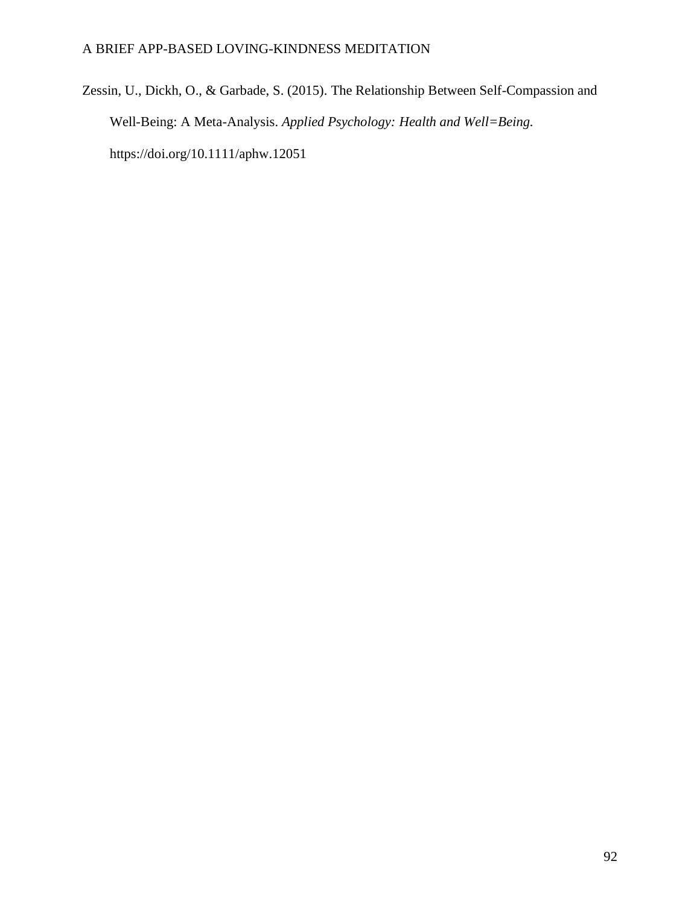Zessin, U., Dickh, O., & Garbade, S. (2015). The Relationship Between Self-Compassion and Well-Being: A Meta-Analysis. *Applied Psychology: Health and Well=Being.*  https://doi.org/10.1111/aphw.12051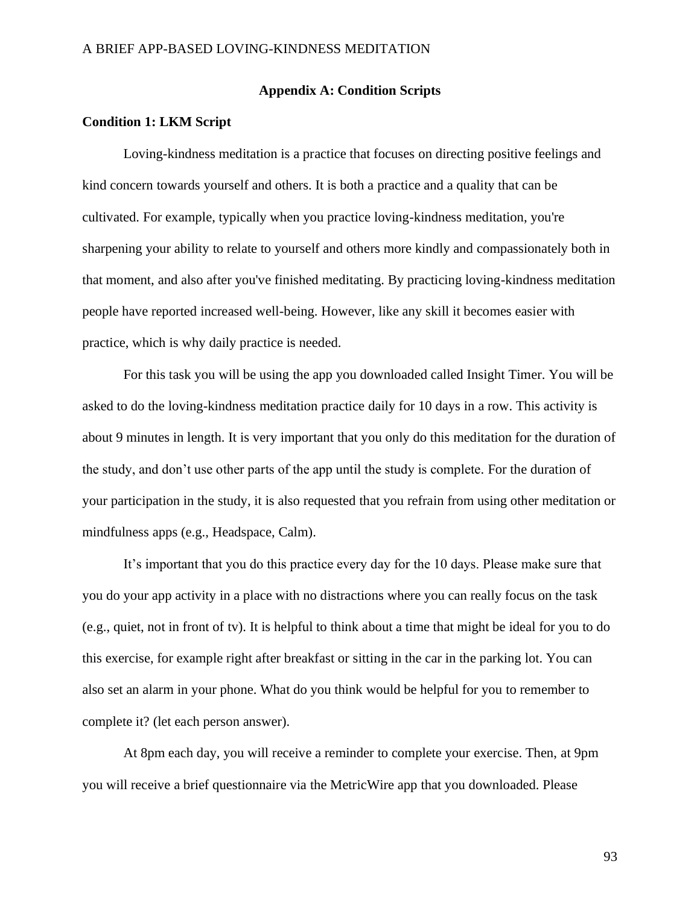#### **Appendix A: Condition Scripts**

#### **Condition 1: LKM Script**

Loving-kindness meditation is a practice that focuses on directing positive feelings and kind concern towards yourself and others. It is both a practice and a quality that can be cultivated. For example, typically when you practice loving-kindness meditation, you're sharpening your ability to relate to yourself and others more kindly and compassionately both in that moment, and also after you've finished meditating. By practicing loving-kindness meditation people have reported increased well-being. However, like any skill it becomes easier with practice, which is why daily practice is needed.

For this task you will be using the app you downloaded called Insight Timer. You will be asked to do the loving-kindness meditation practice daily for 10 days in a row. This activity is about 9 minutes in length. It is very important that you only do this meditation for the duration of the study, and don't use other parts of the app until the study is complete. For the duration of your participation in the study, it is also requested that you refrain from using other meditation or mindfulness apps (e.g., Headspace, Calm).

It's important that you do this practice every day for the 10 days. Please make sure that you do your app activity in a place with no distractions where you can really focus on the task (e.g., quiet, not in front of tv). It is helpful to think about a time that might be ideal for you to do this exercise, for example right after breakfast or sitting in the car in the parking lot. You can also set an alarm in your phone. What do you think would be helpful for you to remember to complete it? (let each person answer).

At 8pm each day, you will receive a reminder to complete your exercise. Then, at 9pm you will receive a brief questionnaire via the MetricWire app that you downloaded. Please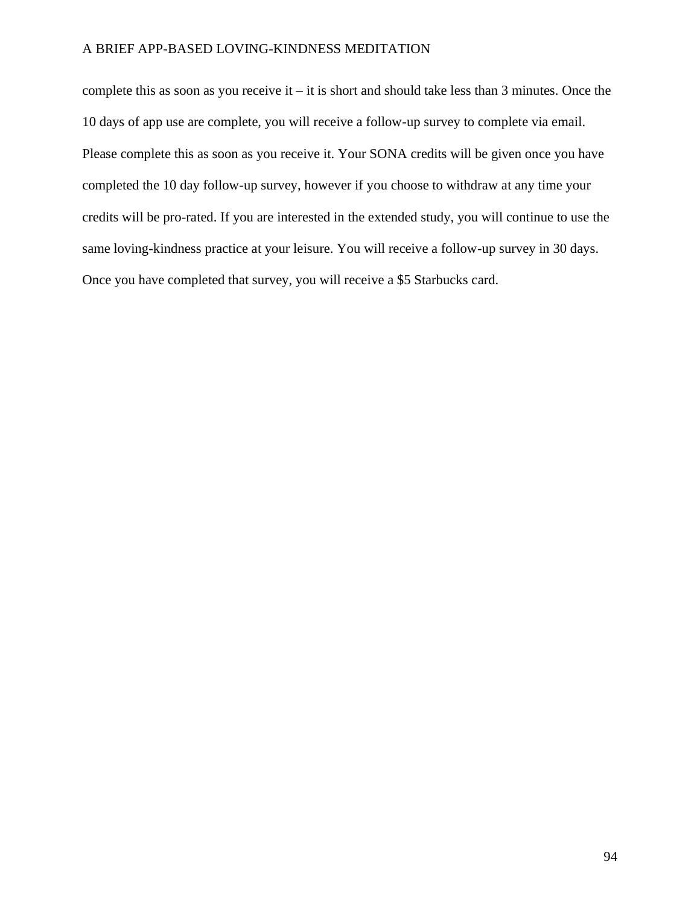complete this as soon as you receive it – it is short and should take less than 3 minutes. Once the 10 days of app use are complete, you will receive a follow-up survey to complete via email. Please complete this as soon as you receive it. Your SONA credits will be given once you have completed the 10 day follow-up survey, however if you choose to withdraw at any time your credits will be pro-rated. If you are interested in the extended study, you will continue to use the same loving-kindness practice at your leisure. You will receive a follow-up survey in 30 days. Once you have completed that survey, you will receive a \$5 Starbucks card.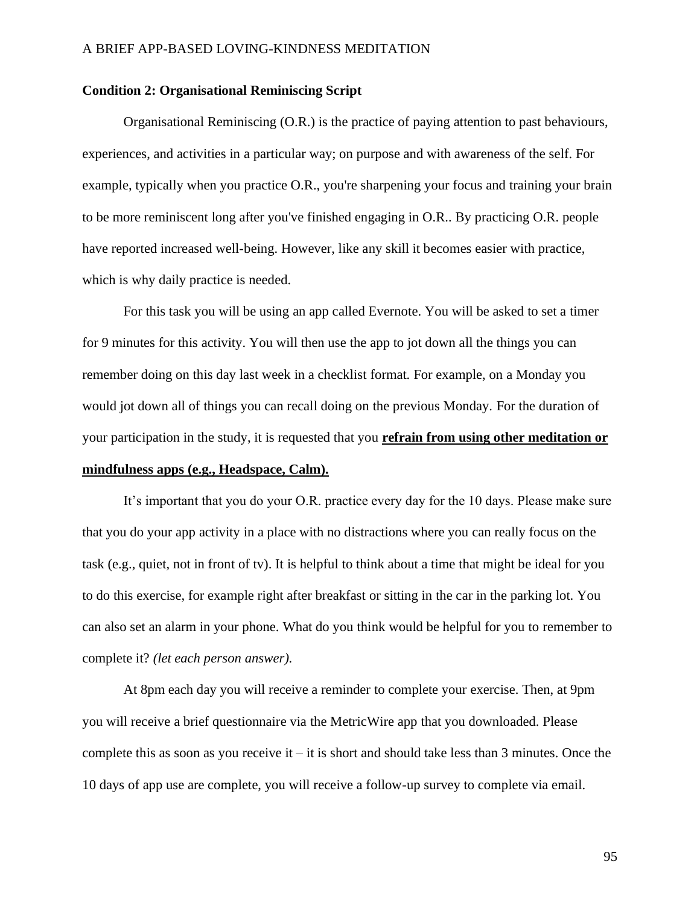#### **Condition 2: Organisational Reminiscing Script**

Organisational Reminiscing (O.R.) is the practice of paying attention to past behaviours, experiences, and activities in a particular way; on purpose and with awareness of the self. For example, typically when you practice O.R., you're sharpening your focus and training your brain to be more reminiscent long after you've finished engaging in O.R.. By practicing O.R. people have reported increased well-being. However, like any skill it becomes easier with practice, which is why daily practice is needed.

For this task you will be using an app called Evernote. You will be asked to set a timer for 9 minutes for this activity. You will then use the app to jot down all the things you can remember doing on this day last week in a checklist format. For example, on a Monday you would jot down all of things you can recall doing on the previous Monday. For the duration of your participation in the study, it is requested that you **refrain from using other meditation or mindfulness apps (e.g., Headspace, Calm).**

It's important that you do your O.R. practice every day for the 10 days. Please make sure that you do your app activity in a place with no distractions where you can really focus on the task (e.g., quiet, not in front of tv). It is helpful to think about a time that might be ideal for you to do this exercise, for example right after breakfast or sitting in the car in the parking lot. You can also set an alarm in your phone. What do you think would be helpful for you to remember to complete it? *(let each person answer).* 

At 8pm each day you will receive a reminder to complete your exercise. Then, at 9pm you will receive a brief questionnaire via the MetricWire app that you downloaded. Please complete this as soon as you receive it – it is short and should take less than 3 minutes. Once the 10 days of app use are complete, you will receive a follow-up survey to complete via email.

95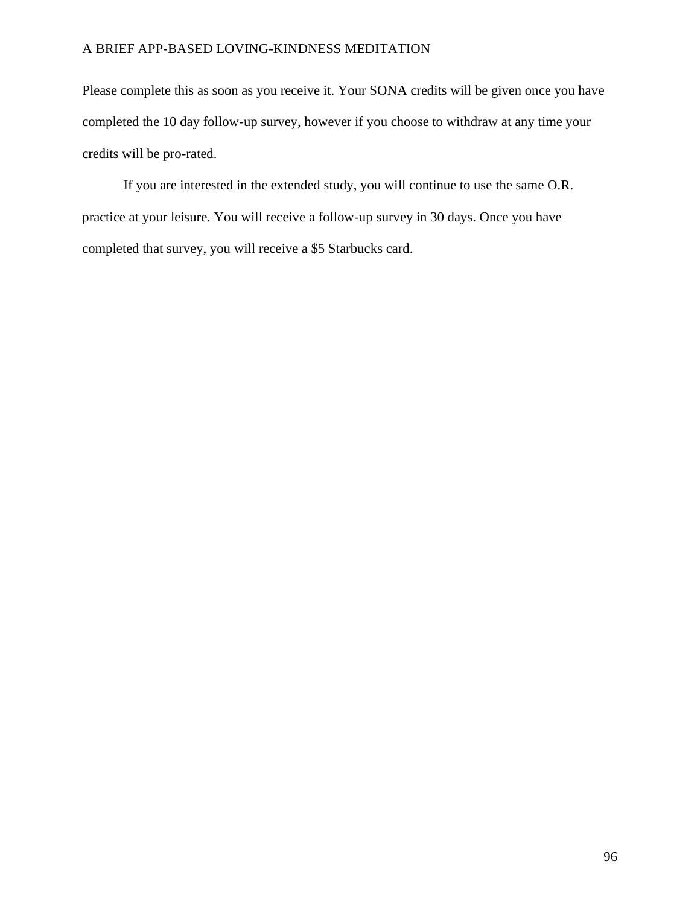Please complete this as soon as you receive it. Your SONA credits will be given once you have completed the 10 day follow-up survey, however if you choose to withdraw at any time your credits will be pro-rated.

If you are interested in the extended study, you will continue to use the same O.R. practice at your leisure. You will receive a follow-up survey in 30 days. Once you have completed that survey, you will receive a \$5 Starbucks card.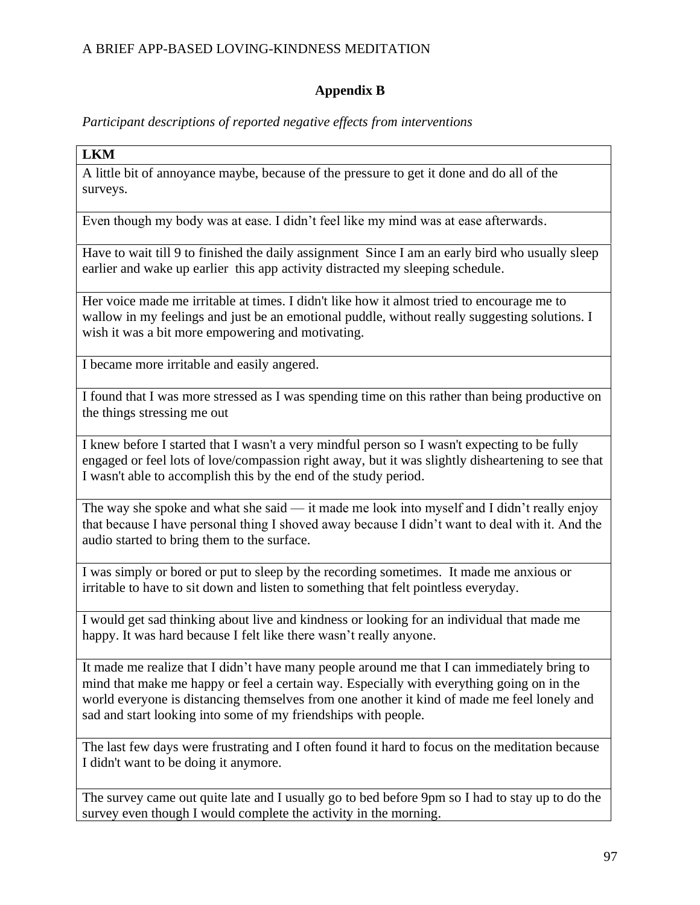## **Appendix B**

*Participant descriptions of reported negative effects from interventions*

### **LKM**

A little bit of annoyance maybe, because of the pressure to get it done and do all of the surveys.

Even though my body was at ease. I didn't feel like my mind was at ease afterwards.

Have to wait till 9 to finished the daily assignment Since I am an early bird who usually sleep earlier and wake up earlier this app activity distracted my sleeping schedule.

Her voice made me irritable at times. I didn't like how it almost tried to encourage me to wallow in my feelings and just be an emotional puddle, without really suggesting solutions. I wish it was a bit more empowering and motivating.

I became more irritable and easily angered.

I found that I was more stressed as I was spending time on this rather than being productive on the things stressing me out

I knew before I started that I wasn't a very mindful person so I wasn't expecting to be fully engaged or feel lots of love/compassion right away, but it was slightly disheartening to see that I wasn't able to accomplish this by the end of the study period.

The way she spoke and what she said — it made me look into myself and I didn't really enjoy that because I have personal thing I shoved away because I didn't want to deal with it. And the audio started to bring them to the surface.

I was simply or bored or put to sleep by the recording sometimes. It made me anxious or irritable to have to sit down and listen to something that felt pointless everyday.

I would get sad thinking about live and kindness or looking for an individual that made me happy. It was hard because I felt like there wasn't really anyone.

It made me realize that I didn't have many people around me that I can immediately bring to mind that make me happy or feel a certain way. Especially with everything going on in the world everyone is distancing themselves from one another it kind of made me feel lonely and sad and start looking into some of my friendships with people.

The last few days were frustrating and I often found it hard to focus on the meditation because I didn't want to be doing it anymore.

The survey came out quite late and I usually go to bed before 9pm so I had to stay up to do the survey even though I would complete the activity in the morning.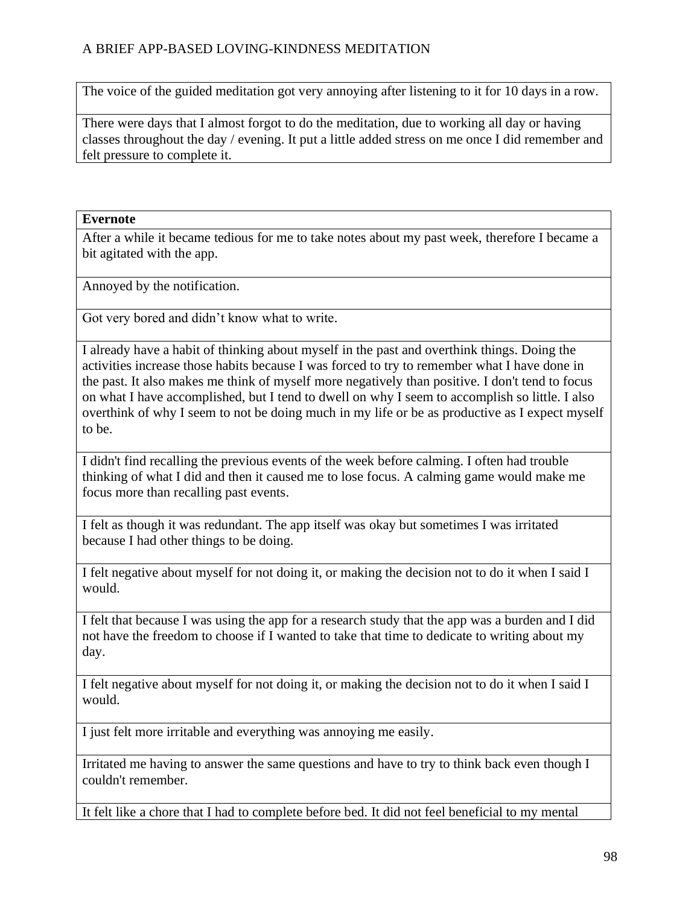The voice of the guided meditation got very annoying after listening to it for 10 days in a row.

There were days that I almost forgot to do the meditation, due to working all day or having classes throughout the day / evening. It put a little added stress on me once I did remember and felt pressure to complete it.

### **Evernote**

After a while it became tedious for me to take notes about my past week, therefore I became a bit agitated with the app.

Annoyed by the notification.

Got very bored and didn't know what to write.

I already have a habit of thinking about myself in the past and overthink things. Doing the activities increase those habits because I was forced to try to remember what I have done in the past. It also makes me think of myself more negatively than positive. I don't tend to focus on what I have accomplished, but I tend to dwell on why I seem to accomplish so little. I also overthink of why I seem to not be doing much in my life or be as productive as I expect myself to be.

I didn't find recalling the previous events of the week before calming. I often had trouble thinking of what I did and then it caused me to lose focus. A calming game would make me focus more than recalling past events.

I felt as though it was redundant. The app itself was okay but sometimes I was irritated because I had other things to be doing.

I felt negative about myself for not doing it, or making the decision not to do it when I said I would.

I felt that because I was using the app for a research study that the app was a burden and I did not have the freedom to choose if I wanted to take that time to dedicate to writing about my day.

I felt negative about myself for not doing it, or making the decision not to do it when I said I would.

I just felt more irritable and everything was annoying me easily.

Irritated me having to answer the same questions and have to try to think back even though I couldn't remember.

It felt like a chore that I had to complete before bed. It did not feel beneficial to my mental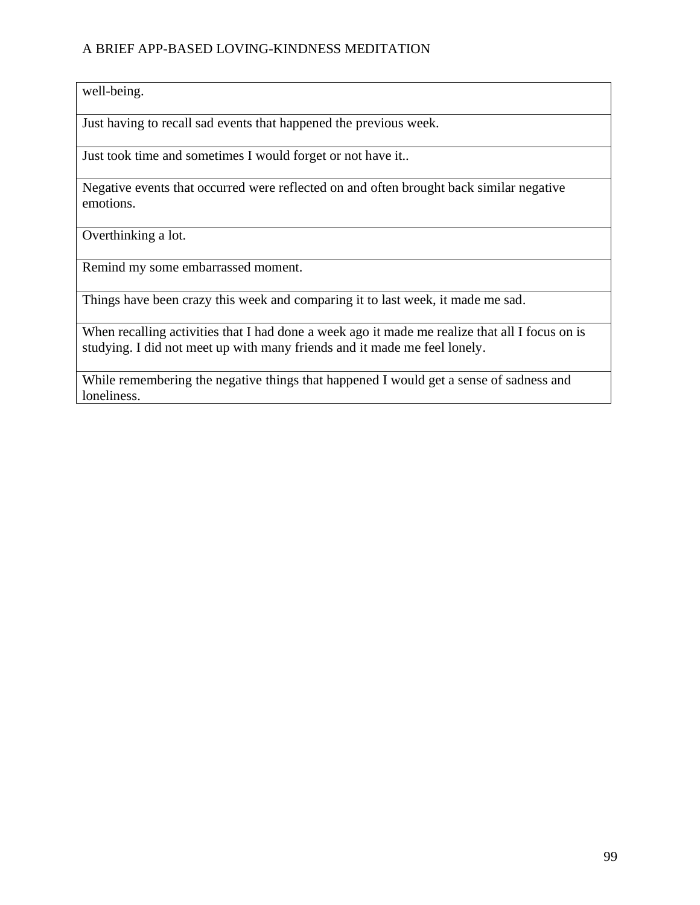well-being.

Just having to recall sad events that happened the previous week.

Just took time and sometimes I would forget or not have it..

Negative events that occurred were reflected on and often brought back similar negative emotions.

Overthinking a lot.

Remind my some embarrassed moment.

Things have been crazy this week and comparing it to last week, it made me sad.

When recalling activities that I had done a week ago it made me realize that all I focus on is studying. I did not meet up with many friends and it made me feel lonely.

While remembering the negative things that happened I would get a sense of sadness and loneliness.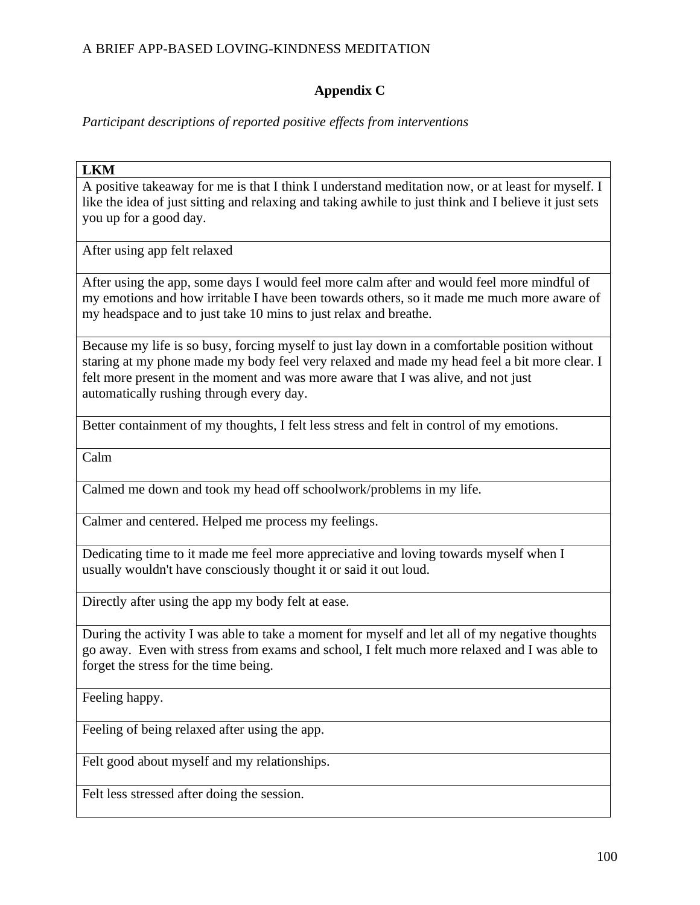# **Appendix C**

*Participant descriptions of reported positive effects from interventions*

### **LKM**

A positive takeaway for me is that I think I understand meditation now, or at least for myself. I like the idea of just sitting and relaxing and taking awhile to just think and I believe it just sets you up for a good day.

After using app felt relaxed

After using the app, some days I would feel more calm after and would feel more mindful of my emotions and how irritable I have been towards others, so it made me much more aware of my headspace and to just take 10 mins to just relax and breathe.

Because my life is so busy, forcing myself to just lay down in a comfortable position without staring at my phone made my body feel very relaxed and made my head feel a bit more clear. I felt more present in the moment and was more aware that I was alive, and not just automatically rushing through every day.

Better containment of my thoughts, I felt less stress and felt in control of my emotions.

Calm

Calmed me down and took my head off schoolwork/problems in my life.

Calmer and centered. Helped me process my feelings.

Dedicating time to it made me feel more appreciative and loving towards myself when I usually wouldn't have consciously thought it or said it out loud.

Directly after using the app my body felt at ease.

During the activity I was able to take a moment for myself and let all of my negative thoughts go away. Even with stress from exams and school, I felt much more relaxed and I was able to forget the stress for the time being.

Feeling happy.

Feeling of being relaxed after using the app.

Felt good about myself and my relationships.

Felt less stressed after doing the session.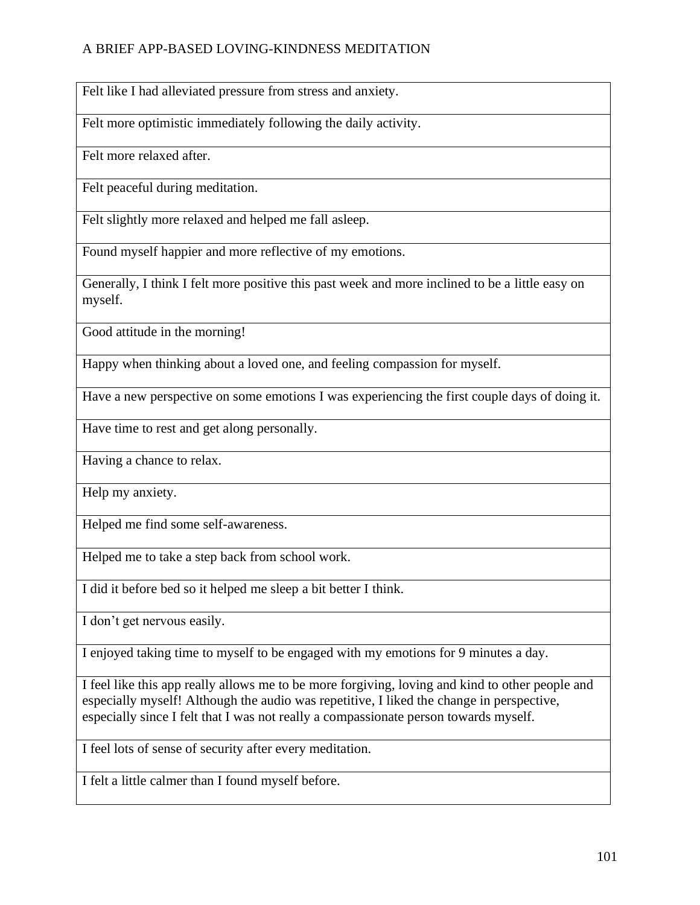Felt like I had alleviated pressure from stress and anxiety.

Felt more optimistic immediately following the daily activity.

Felt more relaxed after.

Felt peaceful during meditation.

Felt slightly more relaxed and helped me fall asleep.

Found myself happier and more reflective of my emotions.

Generally, I think I felt more positive this past week and more inclined to be a little easy on myself.

Good attitude in the morning!

Happy when thinking about a loved one, and feeling compassion for myself.

Have a new perspective on some emotions I was experiencing the first couple days of doing it.

Have time to rest and get along personally.

Having a chance to relax.

Help my anxiety.

Helped me find some self-awareness.

Helped me to take a step back from school work.

I did it before bed so it helped me sleep a bit better I think.

I don't get nervous easily.

I enjoyed taking time to myself to be engaged with my emotions for 9 minutes a day.

I feel like this app really allows me to be more forgiving, loving and kind to other people and especially myself! Although the audio was repetitive, I liked the change in perspective, especially since I felt that I was not really a compassionate person towards myself.

I feel lots of sense of security after every meditation.

I felt a little calmer than I found myself before.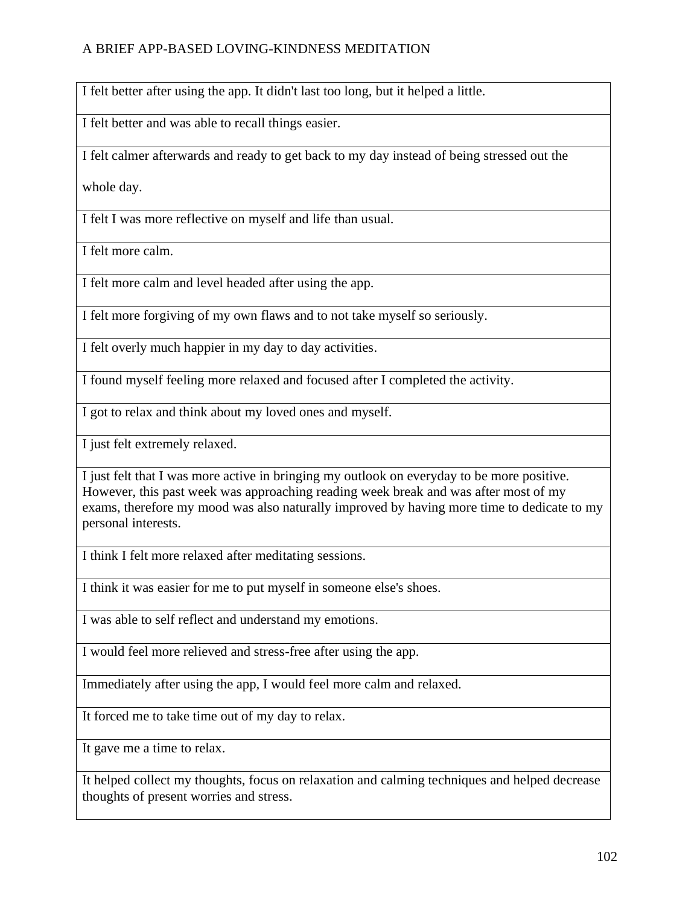I felt better after using the app. It didn't last too long, but it helped a little.

I felt better and was able to recall things easier.

I felt calmer afterwards and ready to get back to my day instead of being stressed out the

whole day.

I felt I was more reflective on myself and life than usual.

I felt more calm.

I felt more calm and level headed after using the app.

I felt more forgiving of my own flaws and to not take myself so seriously.

I felt overly much happier in my day to day activities.

I found myself feeling more relaxed and focused after I completed the activity.

I got to relax and think about my loved ones and myself.

I just felt extremely relaxed.

I just felt that I was more active in bringing my outlook on everyday to be more positive. However, this past week was approaching reading week break and was after most of my exams, therefore my mood was also naturally improved by having more time to dedicate to my personal interests.

I think I felt more relaxed after meditating sessions.

I think it was easier for me to put myself in someone else's shoes.

I was able to self reflect and understand my emotions.

I would feel more relieved and stress-free after using the app.

Immediately after using the app, I would feel more calm and relaxed.

It forced me to take time out of my day to relax.

It gave me a time to relax.

It helped collect my thoughts, focus on relaxation and calming techniques and helped decrease thoughts of present worries and stress.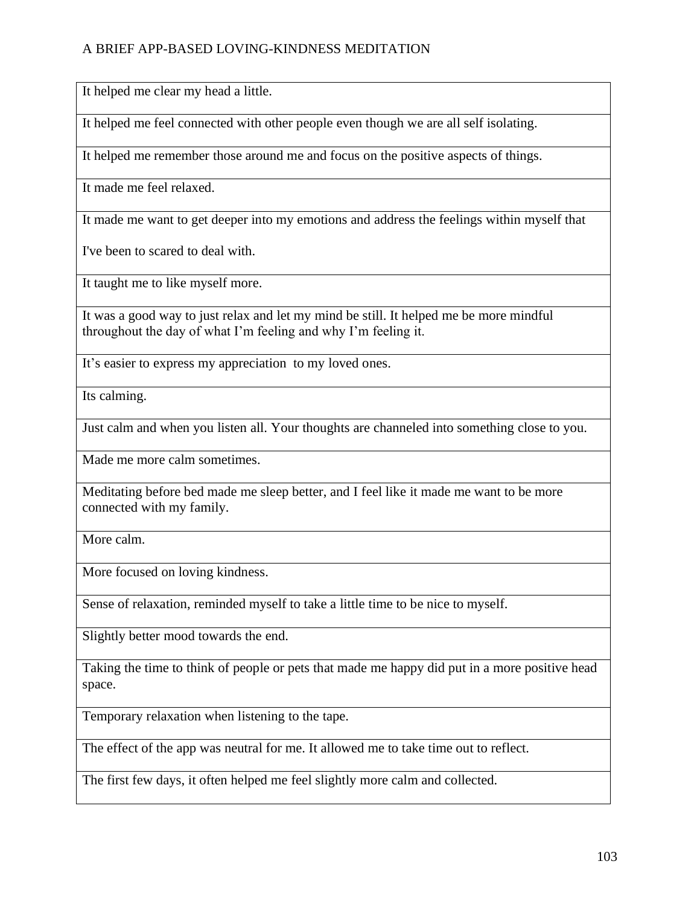It helped me clear my head a little.

It helped me feel connected with other people even though we are all self isolating.

It helped me remember those around me and focus on the positive aspects of things.

It made me feel relaxed.

It made me want to get deeper into my emotions and address the feelings within myself that

I've been to scared to deal with.

It taught me to like myself more.

It was a good way to just relax and let my mind be still. It helped me be more mindful throughout the day of what I'm feeling and why I'm feeling it.

It's easier to express my appreciation to my loved ones.

Its calming.

Just calm and when you listen all. Your thoughts are channeled into something close to you.

Made me more calm sometimes.

Meditating before bed made me sleep better, and I feel like it made me want to be more connected with my family.

More calm.

More focused on loving kindness.

Sense of relaxation, reminded myself to take a little time to be nice to myself.

Slightly better mood towards the end.

Taking the time to think of people or pets that made me happy did put in a more positive head space.

Temporary relaxation when listening to the tape.

The effect of the app was neutral for me. It allowed me to take time out to reflect.

The first few days, it often helped me feel slightly more calm and collected.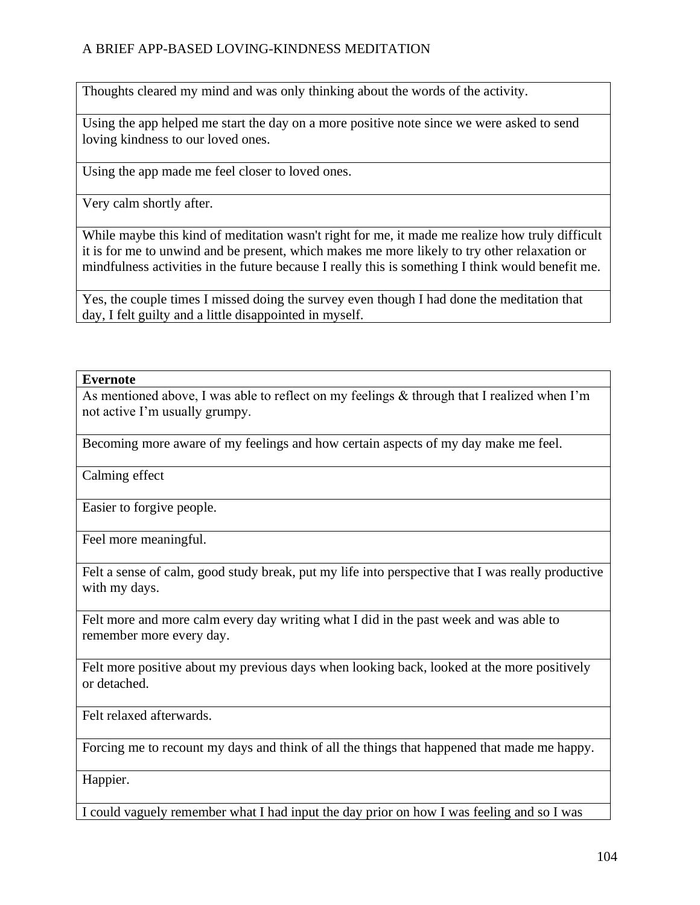Thoughts cleared my mind and was only thinking about the words of the activity.

Using the app helped me start the day on a more positive note since we were asked to send loving kindness to our loved ones.

Using the app made me feel closer to loved ones.

Very calm shortly after.

While maybe this kind of meditation wasn't right for me, it made me realize how truly difficult it is for me to unwind and be present, which makes me more likely to try other relaxation or mindfulness activities in the future because I really this is something I think would benefit me.

Yes, the couple times I missed doing the survey even though I had done the meditation that day, I felt guilty and a little disappointed in myself.

### **Evernote**

As mentioned above, I was able to reflect on my feelings & through that I realized when I'm not active I'm usually grumpy.

Becoming more aware of my feelings and how certain aspects of my day make me feel.

Calming effect

Easier to forgive people.

Feel more meaningful.

Felt a sense of calm, good study break, put my life into perspective that I was really productive with my days.

Felt more and more calm every day writing what I did in the past week and was able to remember more every day.

Felt more positive about my previous days when looking back, looked at the more positively or detached.

Felt relaxed afterwards.

Forcing me to recount my days and think of all the things that happened that made me happy.

Happier.

I could vaguely remember what I had input the day prior on how I was feeling and so I was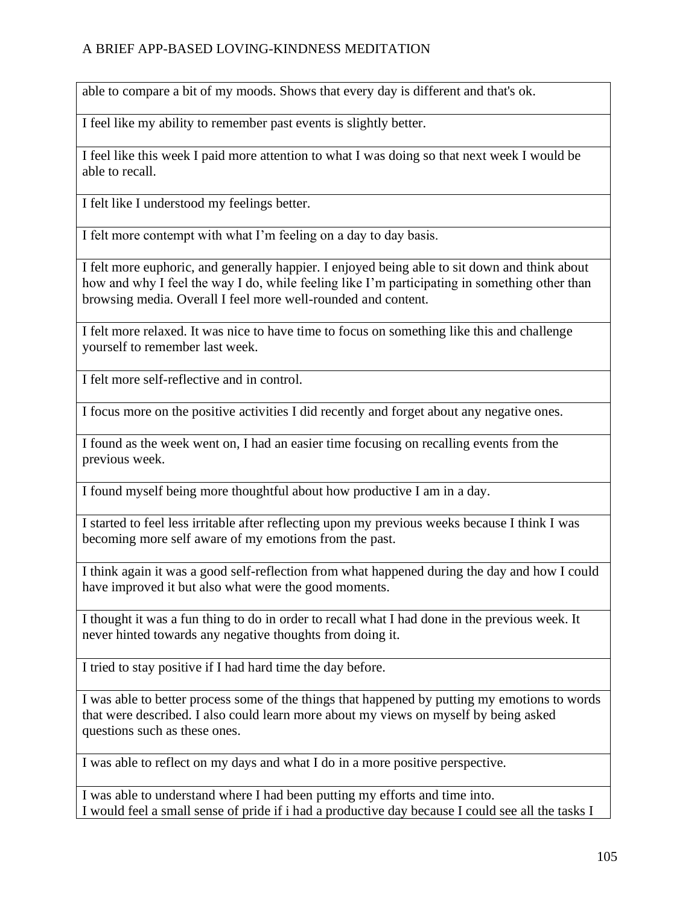able to compare a bit of my moods. Shows that every day is different and that's ok.

I feel like my ability to remember past events is slightly better.

I feel like this week I paid more attention to what I was doing so that next week I would be able to recall.

I felt like I understood my feelings better.

I felt more contempt with what I'm feeling on a day to day basis.

I felt more euphoric, and generally happier. I enjoyed being able to sit down and think about how and why I feel the way I do, while feeling like I'm participating in something other than browsing media. Overall I feel more well-rounded and content.

I felt more relaxed. It was nice to have time to focus on something like this and challenge yourself to remember last week.

I felt more self-reflective and in control.

I focus more on the positive activities I did recently and forget about any negative ones.

I found as the week went on, I had an easier time focusing on recalling events from the previous week.

I found myself being more thoughtful about how productive I am in a day.

I started to feel less irritable after reflecting upon my previous weeks because I think I was becoming more self aware of my emotions from the past.

I think again it was a good self-reflection from what happened during the day and how I could have improved it but also what were the good moments.

I thought it was a fun thing to do in order to recall what I had done in the previous week. It never hinted towards any negative thoughts from doing it.

I tried to stay positive if I had hard time the day before.

I was able to better process some of the things that happened by putting my emotions to words that were described. I also could learn more about my views on myself by being asked questions such as these ones.

I was able to reflect on my days and what I do in a more positive perspective.

I was able to understand where I had been putting my efforts and time into. I would feel a small sense of pride if i had a productive day because I could see all the tasks I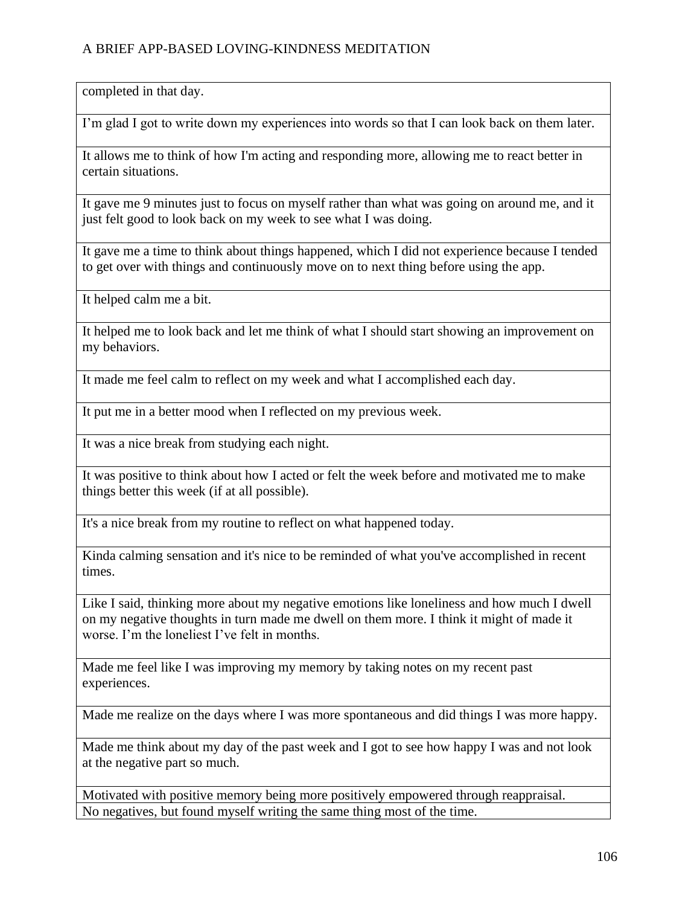completed in that day.

I'm glad I got to write down my experiences into words so that I can look back on them later.

It allows me to think of how I'm acting and responding more, allowing me to react better in certain situations.

It gave me 9 minutes just to focus on myself rather than what was going on around me, and it just felt good to look back on my week to see what I was doing.

It gave me a time to think about things happened, which I did not experience because I tended to get over with things and continuously move on to next thing before using the app.

It helped calm me a bit.

It helped me to look back and let me think of what I should start showing an improvement on my behaviors.

It made me feel calm to reflect on my week and what I accomplished each day.

It put me in a better mood when I reflected on my previous week.

It was a nice break from studying each night.

It was positive to think about how I acted or felt the week before and motivated me to make things better this week (if at all possible).

It's a nice break from my routine to reflect on what happened today.

Kinda calming sensation and it's nice to be reminded of what you've accomplished in recent times.

Like I said, thinking more about my negative emotions like loneliness and how much I dwell on my negative thoughts in turn made me dwell on them more. I think it might of made it worse. I'm the loneliest I've felt in months.

Made me feel like I was improving my memory by taking notes on my recent past experiences.

Made me realize on the days where I was more spontaneous and did things I was more happy.

Made me think about my day of the past week and I got to see how happy I was and not look at the negative part so much.

Motivated with positive memory being more positively empowered through reappraisal. No negatives, but found myself writing the same thing most of the time.